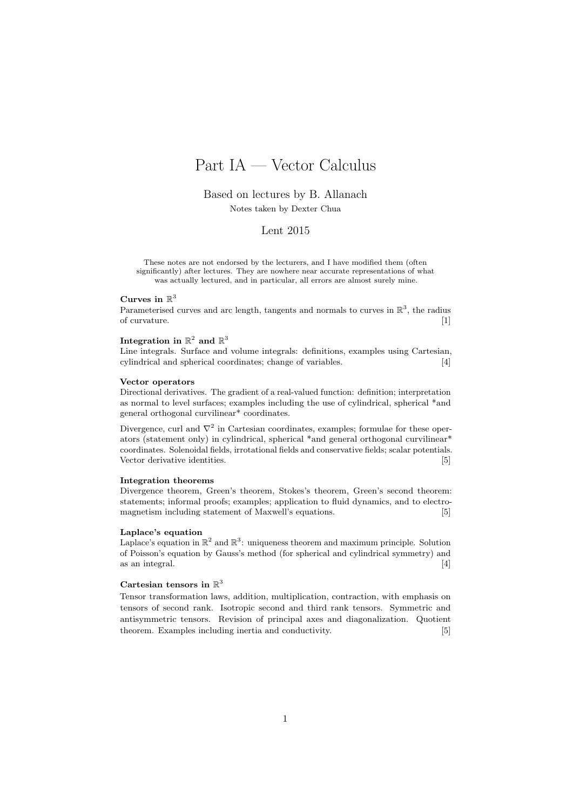# Part IA — Vector Calculus

Based on lectures by B. Allanach

Notes taken by Dexter Chua

## Lent 2015

These notes are not endorsed by the lecturers, and I have modified them (often significantly) after lectures. They are nowhere near accurate representations of what was actually lectured, and in particular, all errors are almost surely mine.

#### Curves in  $\mathbb{R}^3$

Parameterised curves and arc length, tangents and normals to curves in  $\mathbb{R}^3$ , the radius of curvature. [1]

### Integration in  $\mathbb{R}^2$  and  $\mathbb{R}^3$

Line integrals. Surface and volume integrals: definitions, examples using Cartesian, cylindrical and spherical coordinates; change of variables. [4]

#### Vector operators

Directional derivatives. The gradient of a real-valued function: definition; interpretation as normal to level surfaces; examples including the use of cylindrical, spherical \*and general orthogonal curvilinear\* coordinates.

Divergence, curl and  $\nabla^2$  in Cartesian coordinates, examples; formulae for these operators (statement only) in cylindrical, spherical \*and general orthogonal curvilinear\* coordinates. Solenoidal fields, irrotational fields and conservative fields; scalar potentials. Vector derivative identities. [5]

#### Integration theorems

Divergence theorem, Green's theorem, Stokes's theorem, Green's second theorem: statements; informal proofs; examples; application to fluid dynamics, and to electromagnetism including statement of Maxwell's equations. [5]

#### Laplace's equation

Laplace's equation in  $\mathbb{R}^2$  and  $\mathbb{R}^3$ : uniqueness theorem and maximum principle. Solution of Poisson's equation by Gauss's method (for spherical and cylindrical symmetry) and as an integral.  $[4]$ 

#### Cartesian tensors in  $\mathbb{R}^3$

Tensor transformation laws, addition, multiplication, contraction, with emphasis on tensors of second rank. Isotropic second and third rank tensors. Symmetric and antisymmetric tensors. Revision of principal axes and diagonalization. Quotient theorem. Examples including inertia and conductivity. [5]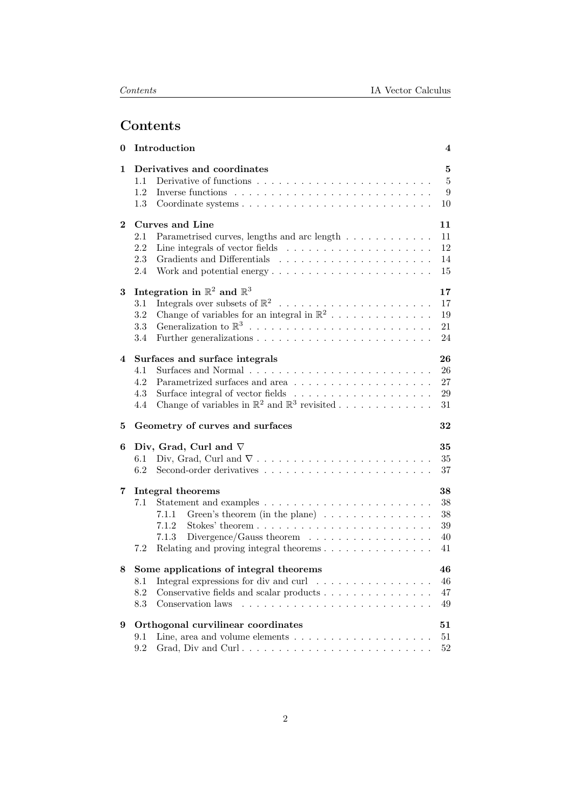# Contents

| 0        | Introduction                                                                                                                                                                                                                                 | 4                                           |  |
|----------|----------------------------------------------------------------------------------------------------------------------------------------------------------------------------------------------------------------------------------------------|---------------------------------------------|--|
| 1        | Derivatives and coordinates<br>1.1<br>1.2<br>Inverse functions<br>1.3                                                                                                                                                                        | $\overline{5}$<br>$\overline{5}$<br>9<br>10 |  |
| $\bf{2}$ | Curves and Line<br>Parametrised curves, lengths and arc length<br>2.1<br>2.2<br>Line integrals of vector fields $\ldots \ldots \ldots \ldots \ldots \ldots$<br>2.3<br>2.4                                                                    | 11<br>11<br>12<br>14<br>15                  |  |
| 3        | Integration in $\mathbb{R}^2$ and $\mathbb{R}^3$<br>3.1<br>Change of variables for an integral in $\mathbb{R}^2$<br>3.2<br>3.3<br>3.4                                                                                                        | 17<br>17<br>19<br>21<br>24                  |  |
| 4        | Surfaces and surface integrals<br>4.1<br>4.2<br>4.3<br>Surface integral of vector fields $\ldots \ldots \ldots \ldots \ldots \ldots$<br>Change of variables in $\mathbb{R}^2$ and $\mathbb{R}^3$ revisited<br>4.4                            | 26<br>26<br>27<br>29<br>31                  |  |
| 5        | 32<br>Geometry of curves and surfaces                                                                                                                                                                                                        |                                             |  |
| 6        | Div, Grad, Curl and $\nabla$<br>$6.1\,$<br>6.2                                                                                                                                                                                               | 35<br>35<br>37                              |  |
| 7        | Integral theorems<br>7.1<br>Green's theorem (in the plane) $\ldots \ldots \ldots \ldots \ldots$<br>7.1.1<br>7.1.2<br>Divergence/Gauss theorem $\ldots \ldots \ldots \ldots \ldots$<br>7.1.3<br>Relating and proving integral theorems<br>7.2 | 38<br>38<br>38<br>39<br>40<br>41            |  |
| 8        | Some applications of integral theorems<br>Integral expressions for div and curl<br>8.1<br>8.2<br>Conservative fields and scalar products<br>8.3<br>Conservation laws                                                                         | 46<br>46<br>47<br>49                        |  |
| 9        | Orthogonal curvilinear coordinates<br>Line, area and volume elements $\dots \dots \dots \dots \dots \dots \dots$<br>9.1<br>Grad, Div and Curl<br>9.2                                                                                         | 51<br>51<br>52                              |  |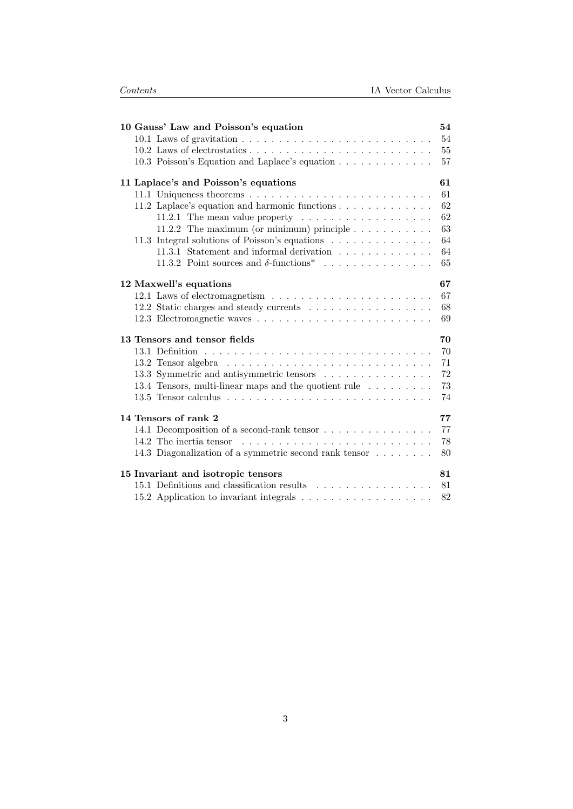| 10 Gauss' Law and Poisson's equation                                               | 54 |  |  |
|------------------------------------------------------------------------------------|----|--|--|
| 10.1 Laws of gravitation $\ldots \ldots \ldots \ldots \ldots \ldots \ldots \ldots$ | 54 |  |  |
|                                                                                    | 55 |  |  |
| 10.3 Poisson's Equation and Laplace's equation                                     | 57 |  |  |
| 11 Laplace's and Poisson's equations                                               | 61 |  |  |
|                                                                                    | 61 |  |  |
| 11.2 Laplace's equation and harmonic functions                                     | 62 |  |  |
| 11.2.1 The mean value property $\dots \dots \dots \dots \dots \dots$               | 62 |  |  |
| 11.2.2 The maximum (or minimum) principle $\ldots \ldots \ldots$                   | 63 |  |  |
| 11.3 Integral solutions of Poisson's equations                                     | 64 |  |  |
| 11.3.1 Statement and informal derivation                                           | 64 |  |  |
| 11.3.2 Point sources and $\delta$ -functions <sup>*</sup>                          | 65 |  |  |
| 12 Maxwell's equations                                                             | 67 |  |  |
|                                                                                    | 67 |  |  |
| 12.2 Static charges and steady currents                                            | 68 |  |  |
|                                                                                    | 69 |  |  |
| 13 Tensors and tensor fields                                                       |    |  |  |
|                                                                                    | 70 |  |  |
|                                                                                    | 71 |  |  |
| 13.3 Symmetric and antisymmetric tensors                                           | 72 |  |  |
| 13.4 Tensors, multi-linear maps and the quotient rule                              | 73 |  |  |
|                                                                                    | 74 |  |  |
| 14 Tensors of rank 2                                                               | 77 |  |  |
| 14.1 Decomposition of a second-rank tensor                                         | 77 |  |  |
| 14.2 The inertia tensor                                                            | 78 |  |  |
| 14.3 Diagonalization of a symmetric second rank tensor                             | 80 |  |  |
| 15 Invariant and isotropic tensors                                                 | 81 |  |  |
| 15.1 Definitions and classification results                                        | 81 |  |  |
|                                                                                    | 82 |  |  |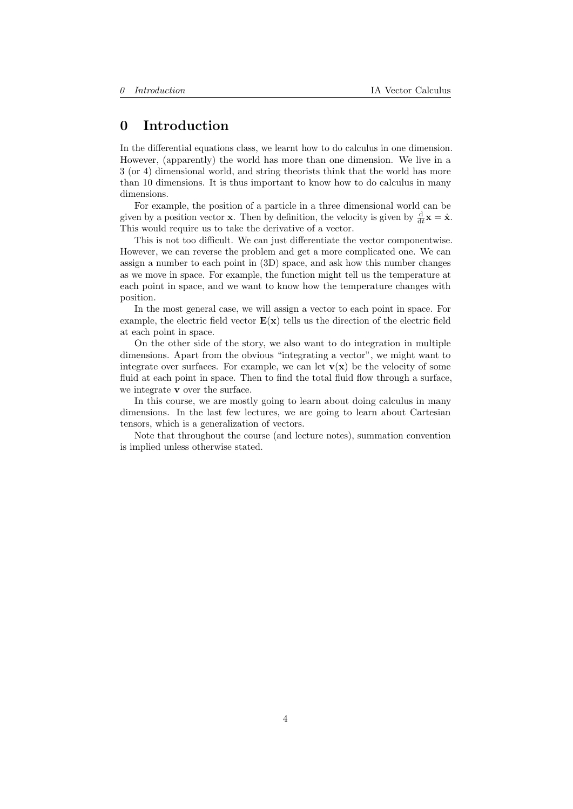## <span id="page-3-0"></span>0 Introduction

In the differential equations class, we learnt how to do calculus in one dimension. However, (apparently) the world has more than one dimension. We live in a 3 (or 4) dimensional world, and string theorists think that the world has more than 10 dimensions. It is thus important to know how to do calculus in many dimensions.

For example, the position of a particle in a three dimensional world can be given by a position vector **x**. Then by definition, the velocity is given by  $\frac{d}{dt}\mathbf{x} = \dot{\mathbf{x}}$ . This would require us to take the derivative of a vector.

This is not too difficult. We can just differentiate the vector componentwise. However, we can reverse the problem and get a more complicated one. We can assign a number to each point in (3D) space, and ask how this number changes as we move in space. For example, the function might tell us the temperature at each point in space, and we want to know how the temperature changes with position.

In the most general case, we will assign a vector to each point in space. For example, the electric field vector  $E(x)$  tells us the direction of the electric field at each point in space.

On the other side of the story, we also want to do integration in multiple dimensions. Apart from the obvious "integrating a vector", we might want to integrate over surfaces. For example, we can let  $\mathbf{v}(\mathbf{x})$  be the velocity of some fluid at each point in space. Then to find the total fluid flow through a surface, we integrate v over the surface.

In this course, we are mostly going to learn about doing calculus in many dimensions. In the last few lectures, we are going to learn about Cartesian tensors, which is a generalization of vectors.

Note that throughout the course (and lecture notes), summation convention is implied unless otherwise stated.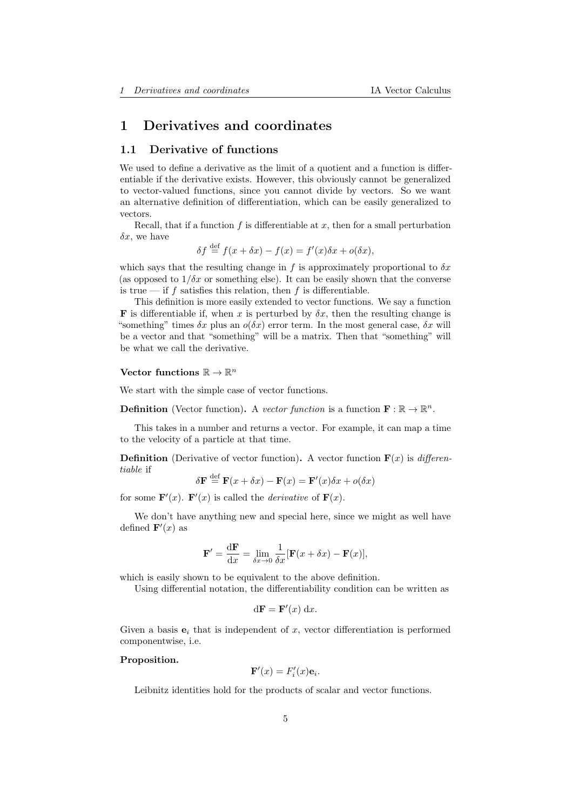## <span id="page-4-0"></span>1 Derivatives and coordinates

## <span id="page-4-1"></span>1.1 Derivative of functions

We used to define a derivative as the limit of a quotient and a function is differentiable if the derivative exists. However, this obviously cannot be generalized to vector-valued functions, since you cannot divide by vectors. So we want an alternative definition of differentiation, which can be easily generalized to vectors.

Recall, that if a function  $f$  is differentiable at  $x$ , then for a small perturbation  $\delta x$ , we have

$$
\delta f \stackrel{\text{def}}{=} f(x + \delta x) - f(x) = f'(x)\delta x + o(\delta x),
$$

which says that the resulting change in f is approximately proportional to  $\delta x$ (as opposed to  $1/\delta x$  or something else). It can be easily shown that the converse is true — if f satisfies this relation, then f is differentiable.

This definition is more easily extended to vector functions. We say a function **F** is differentiable if, when x is perturbed by  $\delta x$ , then the resulting change is "something" times  $\delta x$  plus an  $o(\delta x)$  error term. In the most general case,  $\delta x$  will be a vector and that "something" will be a matrix. Then that "something" will be what we call the derivative.

## Vector functions  $\mathbb{R} \to \mathbb{R}^n$

We start with the simple case of vector functions.

**Definition** (Vector function). A vector function is a function  $\mathbf{F} : \mathbb{R} \to \mathbb{R}^n$ .

This takes in a number and returns a vector. For example, it can map a time to the velocity of a particle at that time.

**Definition** (Derivative of vector function). A vector function  $\mathbf{F}(x)$  is *differen*tiable if

$$
\delta \mathbf{F} \stackrel{\text{def}}{=} \mathbf{F}(x + \delta x) - \mathbf{F}(x) = \mathbf{F}'(x)\delta x + o(\delta x)
$$

for some  $\mathbf{F}'(x)$ .  $\mathbf{F}'(x)$  is called the *derivative* of  $\mathbf{F}(x)$ .

We don't have anything new and special here, since we might as well have defined  $\mathbf{F}'(x)$  as

$$
\mathbf{F}' = \frac{\mathrm{d}\mathbf{F}}{\mathrm{d}x} = \lim_{\delta x \to 0} \frac{1}{\delta x} [\mathbf{F}(x + \delta x) - \mathbf{F}(x)],
$$

which is easily shown to be equivalent to the above definition.

Using differential notation, the differentiability condition can be written as

$$
d\mathbf{F} = \mathbf{F}'(x) \, dx.
$$

Given a basis  $e_i$  that is independent of x, vector differentiation is performed componentwise, i.e.

#### Proposition.

$$
\mathbf{F}'(x) = F_i'(x)\mathbf{e}_i.
$$

Leibnitz identities hold for the products of scalar and vector functions.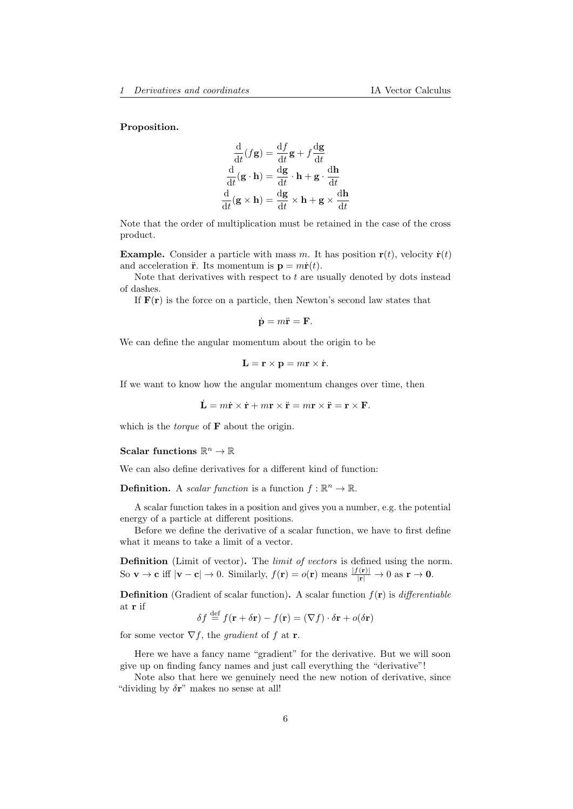#### Proposition.

$$
\frac{d}{dt}(f\mathbf{g}) = \frac{df}{dt}\mathbf{g} + f\frac{d\mathbf{g}}{dt}
$$

$$
\frac{d}{dt}(\mathbf{g} \cdot \mathbf{h}) = \frac{d\mathbf{g}}{dt} \cdot \mathbf{h} + \mathbf{g} \cdot \frac{d\mathbf{h}}{dt}
$$

$$
\frac{d}{dt}(\mathbf{g} \times \mathbf{h}) = \frac{d\mathbf{g}}{dt} \times \mathbf{h} + \mathbf{g} \times \frac{d\mathbf{h}}{dt}
$$

Note that the order of multiplication must be retained in the case of the cross product.

**Example.** Consider a particle with mass m. It has position  $\mathbf{r}(t)$ , velocity  $\dot{\mathbf{r}}(t)$ and acceleration  $\ddot{\mathbf{r}}$ . Its momentum is  $\mathbf{p} = m\dot{\mathbf{r}}(t)$ .

Note that derivatives with respect to  $t$  are usually denoted by dots instead of dashes.

If  $F(r)$  is the force on a particle, then Newton's second law states that

$$
\dot{\mathbf{p}} = m\ddot{\mathbf{r}} = \mathbf{F}.
$$

We can define the angular momentum about the origin to be

$$
\mathbf{L} = \mathbf{r} \times \mathbf{p} = m\mathbf{r} \times \dot{\mathbf{r}}.
$$

If we want to know how the angular momentum changes over time, then

$$
\dot{\mathbf{L}} = m\dot{\mathbf{r}} \times \dot{\mathbf{r}} + m\mathbf{r} \times \ddot{\mathbf{r}} = m\mathbf{r} \times \ddot{\mathbf{r}} = \mathbf{r} \times \mathbf{F}.
$$

which is the *torque* of  $\bf{F}$  about the origin.

## Scalar functions  $\mathbb{R}^n \to \mathbb{R}$

We can also define derivatives for a different kind of function:

**Definition.** A scalar function is a function  $f : \mathbb{R}^n \to \mathbb{R}$ .

A scalar function takes in a position and gives you a number, e.g. the potential energy of a particle at different positions.

Before we define the derivative of a scalar function, we have to first define what it means to take a limit of a vector.

Definition (Limit of vector). The *limit of vectors* is defined using the norm. So **v**  $\rightarrow$  **c** iff  $|\mathbf{v} - \mathbf{c}| \rightarrow 0$ . Similarly,  $f(\mathbf{r}) = o(\mathbf{r})$  means  $\frac{|f(\mathbf{r})|}{|\mathbf{r}|} \rightarrow 0$  as  $\mathbf{r} \rightarrow \mathbf{0}$ .

**Definition** (Gradient of scalar function). A scalar function  $f(\mathbf{r})$  is *differentiable* at r if

 $\delta f \stackrel{\text{def}}{=} f(\mathbf{r} + \delta \mathbf{r}) - f(\mathbf{r}) = (\nabla f) \cdot \delta \mathbf{r} + o(\delta \mathbf{r})$ 

for some vector  $\nabla f$ , the *gradient* of f at **r**.

Here we have a fancy name "gradient" for the derivative. But we will soon give up on finding fancy names and just call everything the "derivative"!

Note also that here we genuinely need the new notion of derivative, since "dividing by  $\delta \mathbf{r}$ " makes no sense at all!"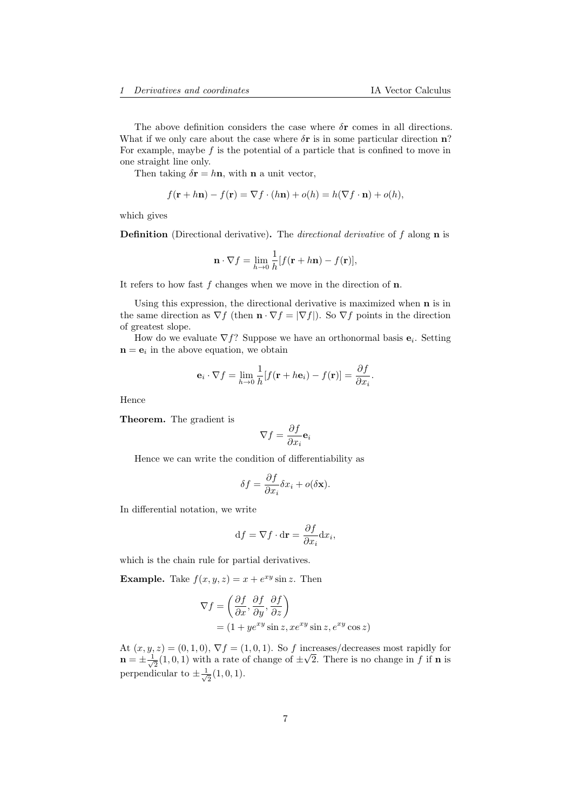The above definition considers the case where  $\delta$ **r** comes in all directions. What if we only care about the case where  $\delta$ **r** is in some particular direction **n**? For example, maybe  $f$  is the potential of a particle that is confined to move in one straight line only.

Then taking  $\delta \mathbf{r} = h \mathbf{n}$ , with **n** a unit vector,

$$
f(\mathbf{r} + h\mathbf{n}) - f(\mathbf{r}) = \nabla f \cdot (h\mathbf{n}) + o(h) = h(\nabla f \cdot \mathbf{n}) + o(h),
$$

which gives

Definition (Directional derivative). The *directional derivative* of f along **n** is

$$
\mathbf{n} \cdot \nabla f = \lim_{h \to 0} \frac{1}{h} [f(\mathbf{r} + h\mathbf{n}) - f(\mathbf{r})],
$$

It refers to how fast  $f$  changes when we move in the direction of  $n$ .

Using this expression, the directional derivative is maximized when n is in the same direction as  $\nabla f$  (then  $\mathbf{n} \cdot \nabla f = |\nabla f|$ ). So  $\nabla f$  points in the direction of greatest slope.

How do we evaluate  $\nabla f$ ? Suppose we have an orthonormal basis  $\mathbf{e}_i$ . Setting  $\mathbf{n} = \mathbf{e}_i$  in the above equation, we obtain

$$
\mathbf{e}_i \cdot \nabla f = \lim_{h \to 0} \frac{1}{h} [f(\mathbf{r} + h\mathbf{e}_i) - f(\mathbf{r})] = \frac{\partial f}{\partial x_i}.
$$

Hence

Theorem. The gradient is

$$
\nabla f = \frac{\partial f}{\partial x_i} \mathbf{e}_i
$$

Hence we can write the condition of differentiability as

$$
\delta f = \frac{\partial f}{\partial x_i} \delta x_i + o(\delta \mathbf{x}).
$$

In differential notation, we write

$$
df = \nabla f \cdot d\mathbf{r} = \frac{\partial f}{\partial x_i} dx_i,
$$

which is the chain rule for partial derivatives.

**Example.** Take  $f(x, y, z) = x + e^{xy} \sin z$ . Then

$$
\nabla f = \left(\frac{\partial f}{\partial x}, \frac{\partial f}{\partial y}, \frac{\partial f}{\partial z}\right)
$$
  
=  $(1 + ye^{xy} \sin z, xe^{xy} \sin z, e^{xy} \cos z)$ 

At  $(x, y, z) = (0, 1, 0), \nabla f = (1, 0, 1).$  So f increases/decreases most rapidly for  $\mathbf{n} = \pm \frac{1}{\sqrt{2}}$  $\frac{1}{2}(1,0,1)$  with a rate of change of  $\pm\sqrt{2}$ . There is no change in f if **n** is perpendicular to  $\pm \frac{1}{4}$  $\frac{1}{2}(1,0,1)$ .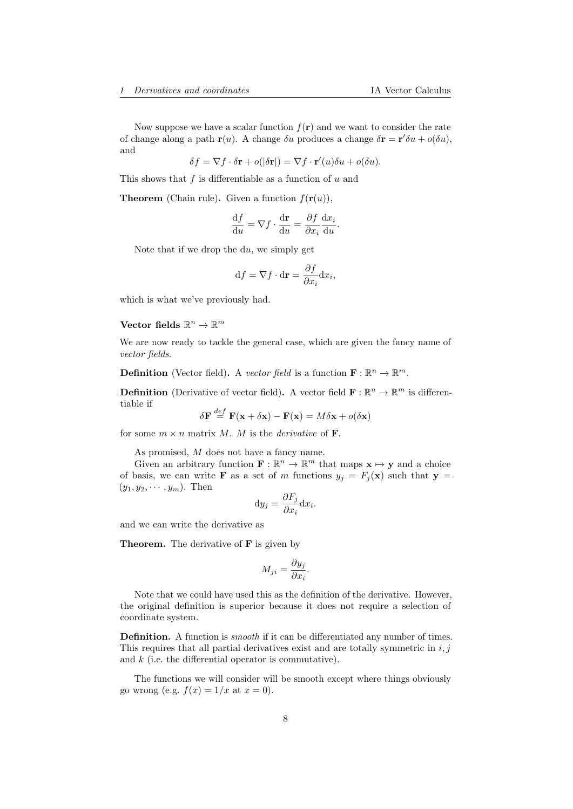Now suppose we have a scalar function  $f(\mathbf{r})$  and we want to consider the rate of change along a path  $\mathbf{r}(u)$ . A change  $\delta u$  produces a change  $\delta \mathbf{r} = \mathbf{r}' \delta u + o(\delta u)$ , and

$$
\delta f = \nabla f \cdot \delta \mathbf{r} + o(|\delta \mathbf{r}|) = \nabla f \cdot \mathbf{r}'(u)\delta u + o(\delta u).
$$

This shows that  $f$  is differentiable as a function of  $u$  and

**Theorem** (Chain rule). Given a function  $f(\mathbf{r}(u))$ ,

$$
\frac{\mathrm{d}f}{\mathrm{d}u} = \nabla f \cdot \frac{\mathrm{d}\mathbf{r}}{\mathrm{d}u} = \frac{\partial f}{\partial x_i} \frac{\mathrm{d}x_i}{\mathrm{d}u}.
$$

Note that if we drop the du, we simply get

$$
\mathrm{d} f = \nabla f \cdot \mathrm{d} \mathbf{r} = \frac{\partial f}{\partial x_i} \mathrm{d} x_i,
$$

which is what we've previously had.

## Vector fields  $\mathbb{R}^n \to \mathbb{R}^m$

We are now ready to tackle the general case, which are given the fancy name of vector fields.

**Definition** (Vector field). A vector field is a function  $\mathbf{F} : \mathbb{R}^n \to \mathbb{R}^m$ .

**Definition** (Derivative of vector field). A vector field  $\mathbf{F} : \mathbb{R}^n \to \mathbb{R}^m$  is differentiable if def

$$
\delta \mathbf{F} \stackrel{def}{=} \mathbf{F}(\mathbf{x} + \delta \mathbf{x}) - \mathbf{F}(\mathbf{x}) = M \delta \mathbf{x} + o(\delta \mathbf{x})
$$

for some  $m \times n$  matrix M. M is the *derivative* of **F**.

As promised, M does not have a fancy name.

Given an arbitrary function  $\mathbf{F} : \mathbb{R}^n \to \mathbb{R}^m$  that maps  $\mathbf{x} \mapsto \mathbf{y}$  and a choice of basis, we can write **F** as a set of m functions  $y_j = F_j(\mathbf{x})$  such that  $\mathbf{y} =$  $(y_1, y_2, \dots, y_m)$ . Then

$$
\mathrm{d}y_j = \frac{\partial F_j}{\partial x_i} \mathrm{d}x_i.
$$

and we can write the derivative as

Theorem. The derivative of F is given by

$$
M_{ji} = \frac{\partial y_j}{\partial x_i}.
$$

Note that we could have used this as the definition of the derivative. However, the original definition is superior because it does not require a selection of coordinate system.

Definition. A function is *smooth* if it can be differentiated any number of times. This requires that all partial derivatives exist and are totally symmetric in  $i, j$ and  $k$  (i.e. the differential operator is commutative).

The functions we will consider will be smooth except where things obviously go wrong (e.g.  $f(x) = 1/x$  at  $x = 0$ ).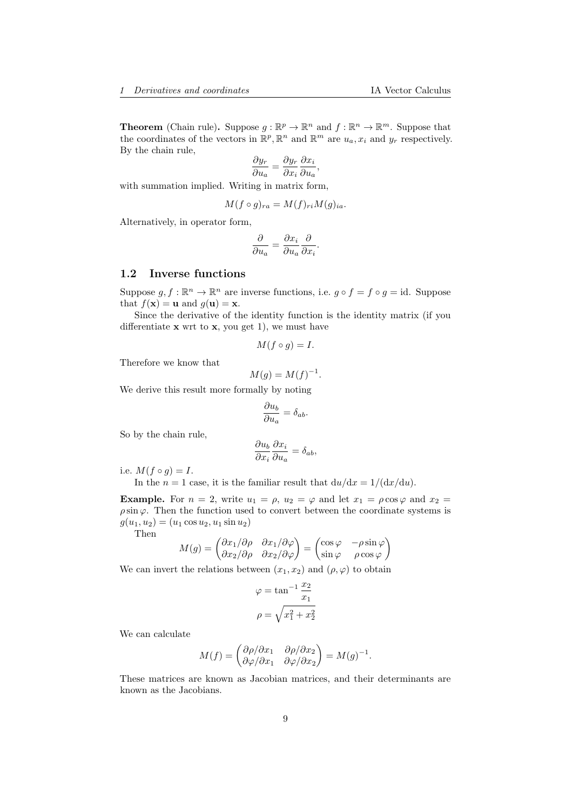**Theorem** (Chain rule). Suppose  $g : \mathbb{R}^p \to \mathbb{R}^n$  and  $f : \mathbb{R}^n \to \mathbb{R}^m$ . Suppose that the coordinates of the vectors in  $\mathbb{R}^p$ ,  $\mathbb{R}^n$  and  $\mathbb{R}^m$  are  $u_a, x_i$  and  $y_r$  respectively. By the chain rule,

$$
\frac{\partial y_r}{\partial u_a} = \frac{\partial y_r}{\partial x_i} \frac{\partial x_i}{\partial u_a},
$$

with summation implied. Writing in matrix form,

$$
M(f \circ g)_{ra} = M(f)_{ri} M(g)_{ia}.
$$

Alternatively, in operator form,

$$
\frac{\partial}{\partial u_a} = \frac{\partial x_i}{\partial u_a} \frac{\partial}{\partial x_i}.
$$

### <span id="page-8-0"></span>1.2 Inverse functions

Suppose  $g, f : \mathbb{R}^n \to \mathbb{R}^n$  are inverse functions, i.e.  $g \circ f = f \circ g = id$ . Suppose that  $f(\mathbf{x}) = \mathbf{u}$  and  $g(\mathbf{u}) = \mathbf{x}$ .

Since the derivative of the identity function is the identity matrix (if you differentiate  $x$  wrt to  $x$ , you get 1), we must have

$$
M(f \circ g) = I.
$$

Therefore we know that

$$
M(g) = M(f)^{-1}.
$$

We derive this result more formally by noting

$$
\frac{\partial u_b}{\partial u_a} = \delta_{ab}.
$$

So by the chain rule,

$$
\frac{\partial u_b}{\partial x_i} \frac{\partial x_i}{\partial u_a} = \delta_{ab},
$$

i.e.  $M(f \circ g) = I$ .

In the  $n = 1$  case, it is the familiar result that  $du/dx = 1/(dx/du)$ .

**Example.** For  $n = 2$ , write  $u_1 = \rho$ ,  $u_2 = \varphi$  and let  $x_1 = \rho \cos \varphi$  and  $x_2 =$  $\rho \sin \varphi$ . Then the function used to convert between the coordinate systems is  $g(u_1, u_2) = (u_1 \cos u_2, u_1 \sin u_2)$ 

Then

$$
M(g) = \begin{pmatrix} \partial x_1/\partial \rho & \partial x_1/\partial \varphi \\ \partial x_2/\partial \rho & \partial x_2/\partial \varphi \end{pmatrix} = \begin{pmatrix} \cos \varphi & -\rho \sin \varphi \\ \sin \varphi & \rho \cos \varphi \end{pmatrix}
$$

We can invert the relations between  $(x_1, x_2)$  and  $(\rho, \varphi)$  to obtain

$$
\varphi = \tan^{-1} \frac{x_2}{x_1}
$$

$$
\rho = \sqrt{x_1^2 + x_2^2}
$$

We can calculate

$$
M(f) = \begin{pmatrix} \partial \rho/\partial x_1 & \partial \rho/\partial x_2 \\ \partial \varphi/\partial x_1 & \partial \varphi/\partial x_2 \end{pmatrix} = M(g)^{-1}.
$$

These matrices are known as Jacobian matrices, and their determinants are known as the Jacobians.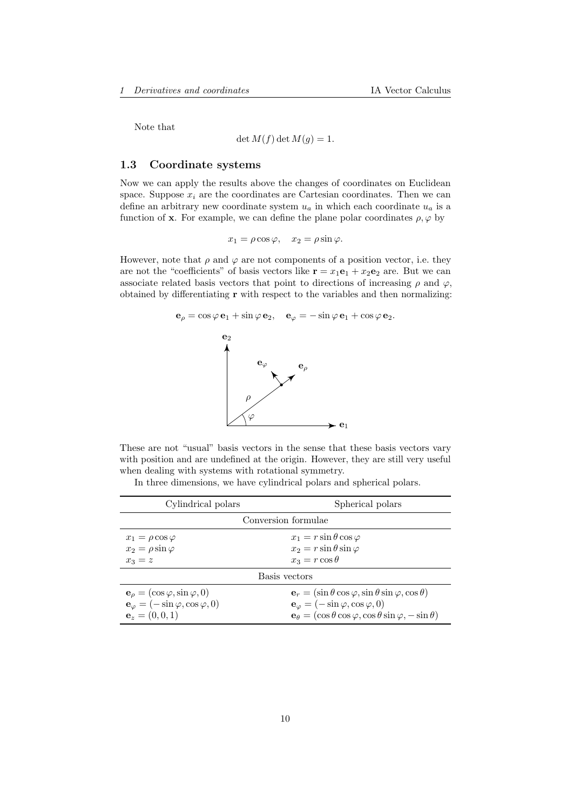Note that

$$
\det M(f) \det M(g) = 1.
$$

### <span id="page-9-0"></span>1.3 Coordinate systems

Now we can apply the results above the changes of coordinates on Euclidean space. Suppose  $x_i$  are the coordinates are Cartesian coordinates. Then we can define an arbitrary new coordinate system  $u_a$  in which each coordinate  $u_a$  is a function of **x**. For example, we can define the plane polar coordinates  $\rho, \varphi$  by

$$
x_1 = \rho \cos \varphi, \quad x_2 = \rho \sin \varphi.
$$

However, note that  $\rho$  and  $\varphi$  are not components of a position vector, i.e. they are not the "coefficients" of basis vectors like  $\mathbf{r} = x_1 \mathbf{e}_1 + x_2 \mathbf{e}_2$  are. But we can associate related basis vectors that point to directions of increasing  $\rho$  and  $\varphi$ , obtained by differentiating r with respect to the variables and then normalizing:



These are not "usual" basis vectors in the sense that these basis vectors vary with position and are undefined at the origin. However, they are still very useful when dealing with systems with rotational symmetry.

In three dimensions, we have cylindrical polars and spherical polars.

| Cylindrical polars                                        | Spherical polars                                                                           |  |  |
|-----------------------------------------------------------|--------------------------------------------------------------------------------------------|--|--|
| Conversion formulae                                       |                                                                                            |  |  |
| $x_1 = \rho \cos \varphi$                                 | $x_1 = r \sin \theta \cos \varphi$                                                         |  |  |
| $x_2 = \rho \sin \varphi$                                 | $x_2 = r \sin \theta \sin \varphi$                                                         |  |  |
| $x_3 = z$                                                 | $x_3 = r \cos \theta$                                                                      |  |  |
| Basis vectors                                             |                                                                                            |  |  |
| $\mathbf{e}_{\rho} = (\cos \varphi, \sin \varphi, 0)$     | $\mathbf{e}_r = (\sin \theta \cos \varphi, \sin \theta \sin \varphi, \cos \theta)$         |  |  |
| $\mathbf{e}_{\varphi} = (-\sin \varphi, \cos \varphi, 0)$ | $\mathbf{e}_{\varphi} = (-\sin \varphi, \cos \varphi, 0)$                                  |  |  |
| ${\bf e}_z=(0,0,1)$                                       | $\mathbf{e}_{\theta} = (\cos \theta \cos \varphi, \cos \theta \sin \varphi, -\sin \theta)$ |  |  |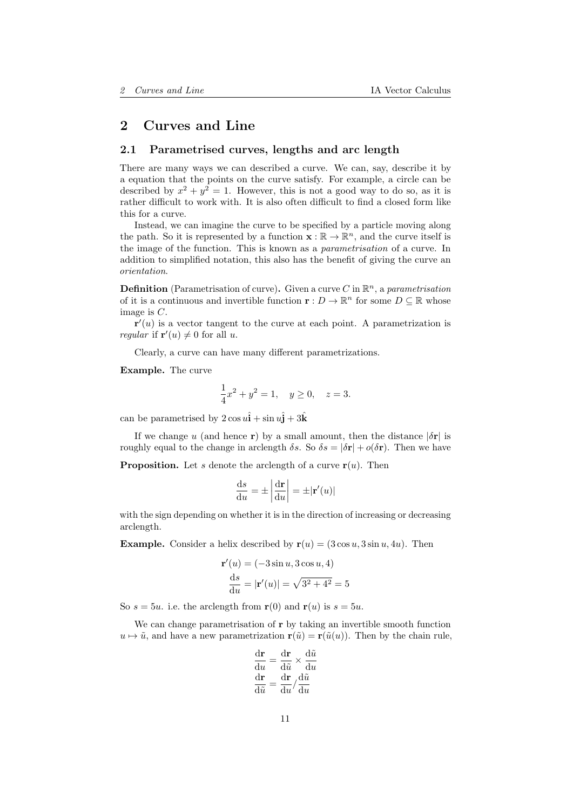## <span id="page-10-0"></span>2 Curves and Line

### <span id="page-10-1"></span>2.1 Parametrised curves, lengths and arc length

There are many ways we can described a curve. We can, say, describe it by a equation that the points on the curve satisfy. For example, a circle can be described by  $x^2 + y^2 = 1$ . However, this is not a good way to do so, as it is rather difficult to work with. It is also often difficult to find a closed form like this for a curve.

Instead, we can imagine the curve to be specified by a particle moving along the path. So it is represented by a function  $\mathbf{x} : \mathbb{R} \to \mathbb{R}^n$ , and the curve itself is the image of the function. This is known as a parametrisation of a curve. In addition to simplified notation, this also has the benefit of giving the curve an orientation.

**Definition** (Parametrisation of curve). Given a curve C in  $\mathbb{R}^n$ , a parametrisation of it is a continuous and invertible function  $\mathbf{r}: D \to \mathbb{R}^n$  for some  $D \subseteq \mathbb{R}$  whose image is C.

 $\mathbf{r}'(u)$  is a vector tangent to the curve at each point. A parametrization is *regular* if  $\mathbf{r}'(u) \neq 0$  for all u.

Clearly, a curve can have many different parametrizations.

Example. The curve

$$
\frac{1}{4}x^2 + y^2 = 1, \quad y \ge 0, \quad z = 3.
$$

can be parametrised by  $2 \cos u \hat{\mathbf{i}} + \sin u \hat{\mathbf{j}} + 3\hat{\mathbf{k}}$ 

If we change u (and hence r) by a small amount, then the distance  $|\delta r|$  is roughly equal to the change in arclength  $\delta s$ . So  $\delta s = |\delta \mathbf{r}| + o(\delta \mathbf{r})$ . Then we have

**Proposition.** Let s denote the arclength of a curve  $r(u)$ . Then

$$
\frac{\mathrm{d}s}{\mathrm{d}u} = \pm \left| \frac{\mathrm{d}\mathbf{r}}{\mathrm{d}u} \right| = \pm |\mathbf{r}'(u)|
$$

with the sign depending on whether it is in the direction of increasing or decreasing arclength.

**Example.** Consider a helix described by  $r(u) = (3 \cos u, 3 \sin u, 4u)$ . Then

$$
\mathbf{r}'(u) = (-3\sin u, 3\cos u, 4)
$$

$$
\frac{ds}{du} = |\mathbf{r}'(u)| = \sqrt{3^2 + 4^2} = 5
$$

So  $s = 5u$ , i.e. the arclength from  $r(0)$  and  $r(u)$  is  $s = 5u$ .

We can change parametrisation of r by taking an invertible smooth function  $u \mapsto \tilde{u}$ , and have a new parametrization  $r(\tilde{u}) = r(\tilde{u}(u))$ . Then by the chain rule,

$$
\frac{d\mathbf{r}}{du} = \frac{d\mathbf{r}}{d\tilde{u}} \times \frac{d\tilde{u}}{du}
$$

$$
\frac{d\mathbf{r}}{d\tilde{u}} = \frac{d\mathbf{r}}{du} / \frac{d\tilde{u}}{du}
$$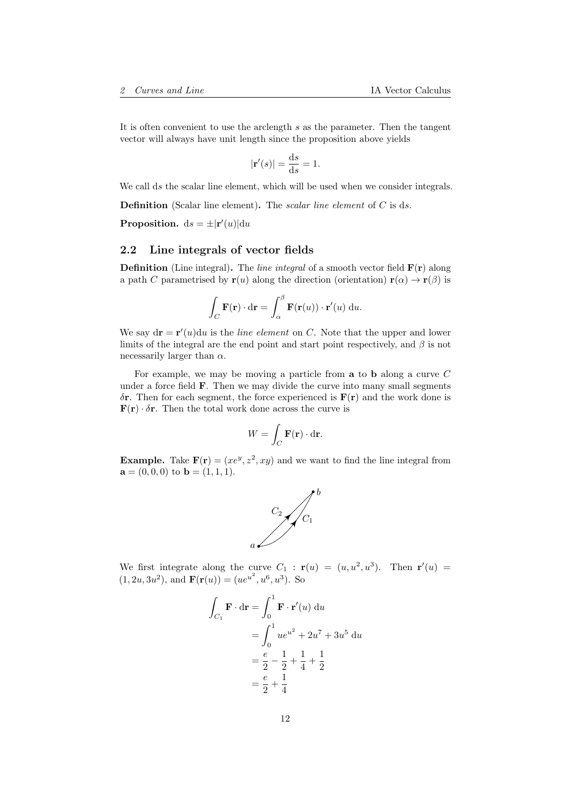It is often convenient to use the arclength s as the parameter. Then the tangent vector will always have unit length since the proposition above yields

$$
|\mathbf{r}'(s)| = \frac{\mathrm{d}s}{\mathrm{d}s} = 1.
$$

We call ds the scalar line element, which will be used when we consider integrals.

**Definition** (Scalar line element). The *scalar line element* of  $C$  is ds.

**Proposition.**  $ds = \pm |r'(u)| du$ 

## <span id="page-11-0"></span>2.2 Line integrals of vector fields

**Definition** (Line integral). The *line integral* of a smooth vector field  $\mathbf{F}(\mathbf{r})$  along a path C parametrised by  $\mathbf{r}(u)$  along the direction (orientation)  $\mathbf{r}(\alpha) \to \mathbf{r}(\beta)$  is

$$
\int_C \mathbf{F}(\mathbf{r}) \cdot d\mathbf{r} = \int_{\alpha}^{\beta} \mathbf{F}(\mathbf{r}(u)) \cdot \mathbf{r}'(u) du.
$$

We say  $dr = r'(u)du$  is the *line element* on C. Note that the upper and lower limits of the integral are the end point and start point respectively, and  $\beta$  is not necessarily larger than  $\alpha$ .

For example, we may be moving a particle from a to b along a curve C under a force field  $\bf{F}$ . Then we may divide the curve into many small segments  $\delta$ **r**. Then for each segment, the force experienced is  $F(r)$  and the work done is **<b>r**. Then the total work done across the curve is

$$
W = \int_C \mathbf{F}(\mathbf{r}) \cdot d\mathbf{r}.
$$

**Example.** Take  $\mathbf{F}(\mathbf{r}) = (xe^y, z^2, xy)$  and we want to find the line integral from  $\mathbf{a} = (0, 0, 0)$  to  $\mathbf{b} = (1, 1, 1)$ .



We first integrate along the curve  $C_1$ :  $\mathbf{r}(u) = (u, u^2, u^3)$ . Then  $\mathbf{r}'(u) =$  $(1, 2u, 3u^2)$ , and  $\mathbf{F}(\mathbf{r}(u)) = (ue^{u^2}, u^6, u^3)$ . So

$$
\int_{C_1} \mathbf{F} \cdot d\mathbf{r} = \int_0^1 \mathbf{F} \cdot \mathbf{r}'(u) du
$$
  
= 
$$
\int_0^1 u e^{u^2} + 2u^7 + 3u^5 du
$$
  
= 
$$
\frac{e}{2} - \frac{1}{2} + \frac{1}{4} + \frac{1}{2}
$$
  
= 
$$
\frac{e}{2} + \frac{1}{4}
$$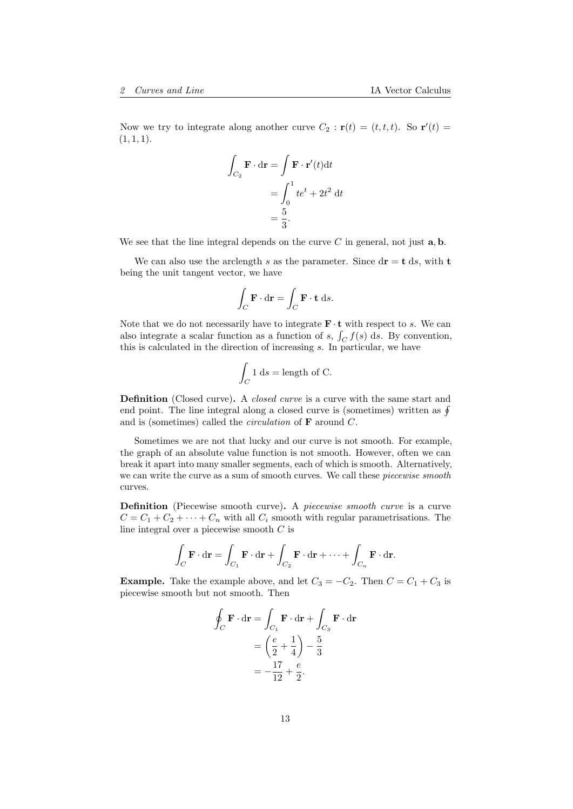Now we try to integrate along another curve  $C_2 : \mathbf{r}(t) = (t, t, t)$ . So  $\mathbf{r}'(t) =$  $(1, 1, 1).$ 

$$
\int_{C_2} \mathbf{F} \cdot d\mathbf{r} = \int \mathbf{F} \cdot \mathbf{r}'(t) dt
$$

$$
= \int_0^1 t e^t + 2t^2 dt
$$

$$
= \frac{5}{3}.
$$

We see that the line integral depends on the curve  $C$  in general, not just  $\mathbf{a}, \mathbf{b}$ .

We can also use the arclength s as the parameter. Since  $d\mathbf{r} = \mathbf{t} \, ds$ , with  $\mathbf{t}$ being the unit tangent vector, we have

$$
\int_C \mathbf{F} \cdot \mathbf{dr} = \int_C \mathbf{F} \cdot \mathbf{t} \, ds.
$$

Note that we do not necessarily have to integrate  $\mathbf{F} \cdot \mathbf{t}$  with respect to s. We can also integrate a scalar function as a function of s,  $\int_C f(s) ds$ . By convention, this is calculated in the direction of increasing s. In particular, we have

$$
\int_C 1 \, \mathrm{d}s = \text{length of C}.
$$

**Definition** (Closed curve). A *closed curve* is a curve with the same start and end point. The line integral along a closed curve is (sometimes) written as  $\oint$ and is (sometimes) called the *circulation* of  $\bf{F}$  around  $C$ .

Sometimes we are not that lucky and our curve is not smooth. For example, the graph of an absolute value function is not smooth. However, often we can break it apart into many smaller segments, each of which is smooth. Alternatively, we can write the curve as a sum of smooth curves. We call these *piecewise smooth* curves.

Definition (Piecewise smooth curve). A piecewise smooth curve is a curve  $C = C_1 + C_2 + \cdots + C_n$  with all  $C_i$  smooth with regular parametrisations. The line integral over a piecewise smooth  $C$  is

$$
\int_C \mathbf{F} \cdot d\mathbf{r} = \int_{C_1} \mathbf{F} \cdot d\mathbf{r} + \int_{C_2} \mathbf{F} \cdot d\mathbf{r} + \dots + \int_{C_n} \mathbf{F} \cdot d\mathbf{r}.
$$

**Example.** Take the example above, and let  $C_3 = -C_2$ . Then  $C = C_1 + C_3$  is piecewise smooth but not smooth. Then

$$
\oint_C \mathbf{F} \cdot d\mathbf{r} = \int_{C_1} \mathbf{F} \cdot d\mathbf{r} + \int_{C_3} \mathbf{F} \cdot d\mathbf{r}
$$
\n
$$
= \left(\frac{e}{2} + \frac{1}{4}\right) - \frac{5}{3}
$$
\n
$$
= -\frac{17}{12} + \frac{e}{2}.
$$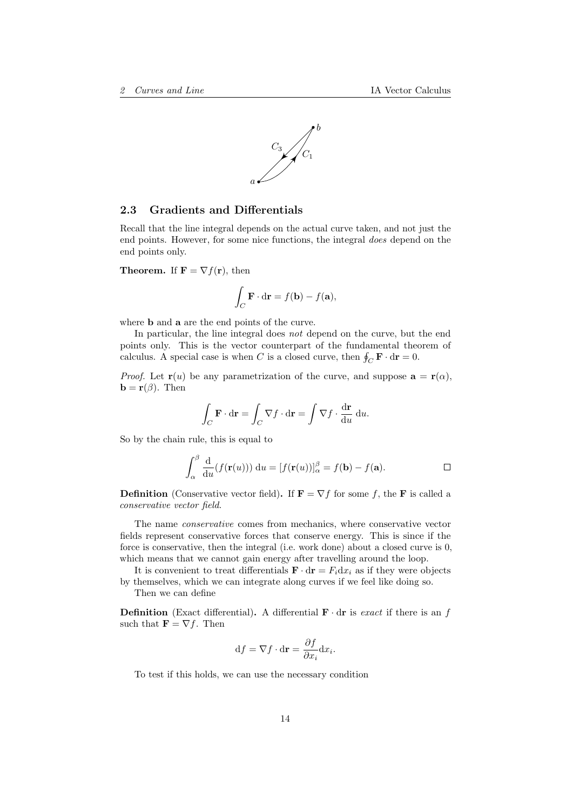

#### <span id="page-13-0"></span>2.3 Gradients and Differentials

Recall that the line integral depends on the actual curve taken, and not just the end points. However, for some nice functions, the integral does depend on the end points only.

**Theorem.** If  $\mathbf{F} = \nabla f(\mathbf{r})$ , then

$$
\int_C \mathbf{F} \cdot d\mathbf{r} = f(\mathbf{b}) - f(\mathbf{a}),
$$

where b and a are the end points of the curve.

In particular, the line integral does not depend on the curve, but the end points only. This is the vector counterpart of the fundamental theorem of calculus. A special case is when C is a closed curve, then  $\oint_C \mathbf{F} \cdot d\mathbf{r} = 0$ .

*Proof.* Let  $\mathbf{r}(u)$  be any parametrization of the curve, and suppose  $\mathbf{a} = \mathbf{r}(\alpha)$ ,  $\mathbf{b} = \mathbf{r}(\beta)$ . Then

$$
\int_C \mathbf{F} \cdot d\mathbf{r} = \int_C \nabla f \cdot d\mathbf{r} = \int \nabla f \cdot \frac{d\mathbf{r}}{du} du.
$$

So by the chain rule, this is equal to

$$
\int_{\alpha}^{\beta} \frac{\mathrm{d}}{\mathrm{d}u} (f(\mathbf{r}(u))) \, \mathrm{d}u = [f(\mathbf{r}(u))]_{\alpha}^{\beta} = f(\mathbf{b}) - f(\mathbf{a}).
$$

**Definition** (Conservative vector field). If  $\mathbf{F} = \nabla f$  for some f, the **F** is called a conservative vector field.

The name conservative comes from mechanics, where conservative vector fields represent conservative forces that conserve energy. This is since if the force is conservative, then the integral (i.e. work done) about a closed curve is 0, which means that we cannot gain energy after travelling around the loop.

It is convenient to treat differentials  $\mathbf{F} \cdot d\mathbf{r} = F_i dx_i$  as if they were objects by themselves, which we can integrate along curves if we feel like doing so.

Then we can define

**Definition** (Exact differential). A differential  $\mathbf{F} \cdot d\mathbf{r}$  is exact if there is an f such that  $\mathbf{F} = \nabla f$ . Then

$$
\mathrm{d}f = \nabla f \cdot \mathrm{d}\mathbf{r} = \frac{\partial f}{\partial x_i} \mathrm{d}x_i.
$$

To test if this holds, we can use the necessary condition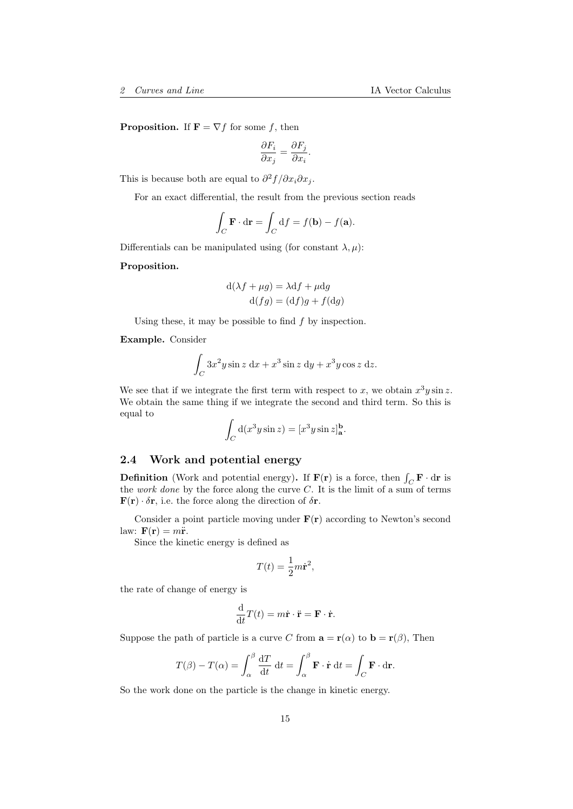**Proposition.** If  $\mathbf{F} = \nabla f$  for some f, then

$$
\frac{\partial F_i}{\partial x_j} = \frac{\partial F_j}{\partial x_i}.
$$

This is because both are equal to  $\partial^2 f / \partial x_i \partial x_j$ .

For an exact differential, the result from the previous section reads

$$
\int_C \mathbf{F} \cdot d\mathbf{r} = \int_C df = f(\mathbf{b}) - f(\mathbf{a}).
$$

Differentials can be manipulated using (for constant  $\lambda, \mu$ ):

#### Proposition.

$$
d(\lambda f + \mu g) = \lambda df + \mu dg
$$
  

$$
d(fg) = (df)g + f(dg)
$$

Using these, it may be possible to find  $f$  by inspection.

Example. Consider

$$
\int_C 3x^2 y \sin z \, dx + x^3 \sin z \, dy + x^3 y \cos z \, dz.
$$

We see that if we integrate the first term with respect to x, we obtain  $x^3y\sin x$ . We obtain the same thing if we integrate the second and third term. So this is equal to

$$
\int_C \mathrm{d}(x^3 y \sin z) = [x^3 y \sin z]_a^b.
$$

## <span id="page-14-0"></span>2.4 Work and potential energy

**Definition** (Work and potential energy). If  $F(r)$  is a force, then  $\int_C \mathbf{F} \cdot d\mathbf{r}$  is the work done by the force along the curve  $C$ . It is the limit of a sum of terms **, i.e. the force along the direction of**  $\delta \mathbf{r}$ **.** 

Consider a point particle moving under  $F(r)$  according to Newton's second law:  $\mathbf{F}(\mathbf{r}) = m\ddot{\mathbf{r}}$ .

Since the kinetic energy is defined as

$$
T(t) = \frac{1}{2}m\dot{\mathbf{r}}^2,
$$

the rate of change of energy is

$$
\frac{\mathrm{d}}{\mathrm{d}t}T(t) = m\dot{\mathbf{r}} \cdot \ddot{\mathbf{r}} = \mathbf{F} \cdot \dot{\mathbf{r}}.
$$

Suppose the path of particle is a curve C from  $\mathbf{a} = \mathbf{r}(\alpha)$  to  $\mathbf{b} = \mathbf{r}(\beta)$ , Then

$$
T(\beta) - T(\alpha) = \int_{\alpha}^{\beta} \frac{\mathrm{d}T}{\mathrm{d}t} \, \mathrm{d}t = \int_{\alpha}^{\beta} \mathbf{F} \cdot \dot{\mathbf{r}} \, \mathrm{d}t = \int_{C} \mathbf{F} \cdot \mathrm{d}\mathbf{r}.
$$

So the work done on the particle is the change in kinetic energy.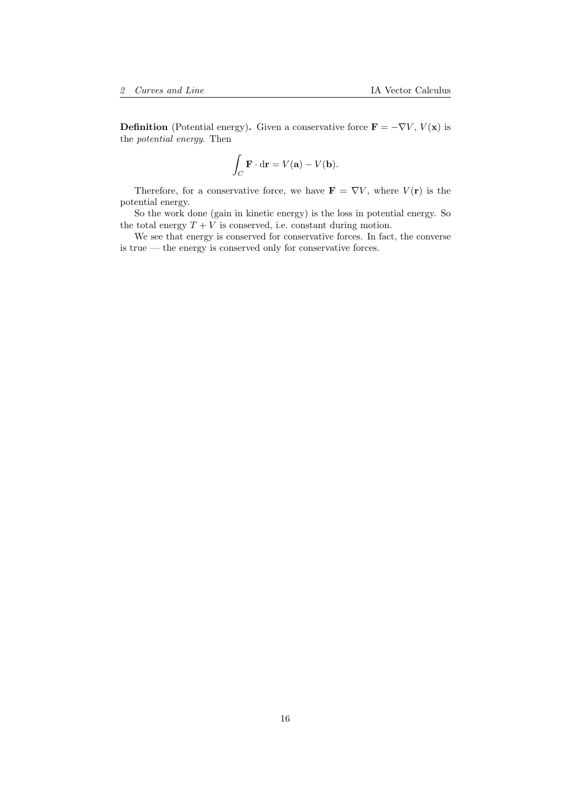**Definition** (Potential energy). Given a conservative force  $\mathbf{F} = -\nabla V, V(\mathbf{x})$  is the potential energy. Then

$$
\int_C \mathbf{F} \cdot \mathbf{dr} = V(\mathbf{a}) - V(\mathbf{b}).
$$

Therefore, for a conservative force, we have  $\mathbf{F} = \nabla V$ , where  $V(\mathbf{r})$  is the potential energy.

So the work done (gain in kinetic energy) is the loss in potential energy. So the total energy  $T + V$  is conserved, i.e. constant during motion.

We see that energy is conserved for conservative forces. In fact, the converse is true — the energy is conserved only for conservative forces.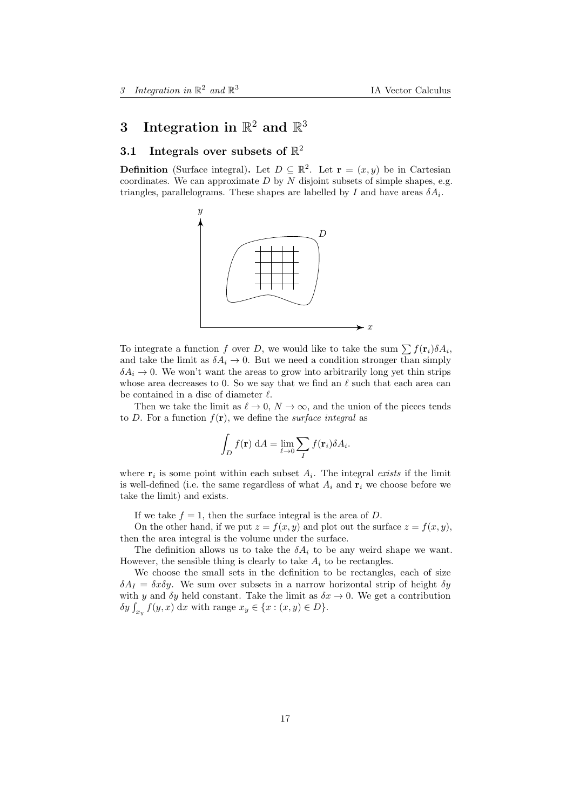# <span id="page-16-0"></span>3 Integration in  $\mathbb{R}^2$  and  $\mathbb{R}^3$

# <span id="page-16-1"></span>3.1 Integrals over subsets of  $\mathbb{R}^2$

**Definition** (Surface integral). Let  $D \subseteq \mathbb{R}^2$ . Let  $\mathbf{r} = (x, y)$  be in Cartesian coordinates. We can approximate  $D$  by  $N$  disjoint subsets of simple shapes, e.g. triangles, parallelograms. These shapes are labelled by I and have areas  $\delta A_i$ .



To integrate a function f over D, we would like to take the sum  $\sum f(\mathbf{r}_i) \delta A_i$ , and take the limit as  $\delta A_i \to 0$ . But we need a condition stronger than simply  $\delta A_i \to 0$ . We won't want the areas to grow into arbitrarily long yet thin strips whose area decreases to 0. So we say that we find an  $\ell$  such that each area can be contained in a disc of diameter  $\ell$ .

Then we take the limit as  $\ell \to 0$ ,  $N \to \infty$ , and the union of the pieces tends to D. For a function  $f(\mathbf{r})$ , we define the *surface integral* as

$$
\int_D f(\mathbf{r}) \, dA = \lim_{\ell \to 0} \sum_I f(\mathbf{r}_i) \delta A_i.
$$

where  $\mathbf{r}_i$  is some point within each subset  $A_i$ . The integral exists if the limit is well-defined (i.e. the same regardless of what  $A_i$  and  $\mathbf{r}_i$  we choose before we take the limit) and exists.

If we take  $f = 1$ , then the surface integral is the area of D.

On the other hand, if we put  $z = f(x, y)$  and plot out the surface  $z = f(x, y)$ , then the area integral is the volume under the surface.

The definition allows us to take the  $\delta A_i$  to be any weird shape we want. However, the sensible thing is clearly to take  $A_i$  to be rectangles.

We choose the small sets in the definition to be rectangles, each of size  $\delta A_I = \delta x \delta y$ . We sum over subsets in a narrow horizontal strip of height  $\delta y$ with y and  $\delta y$  held constant. Take the limit as  $\delta x \to 0$ . We get a contribution  $\delta y \int_{x_y} f(y, x) dx$  with range  $x_y \in \{x : (x, y) \in D\}.$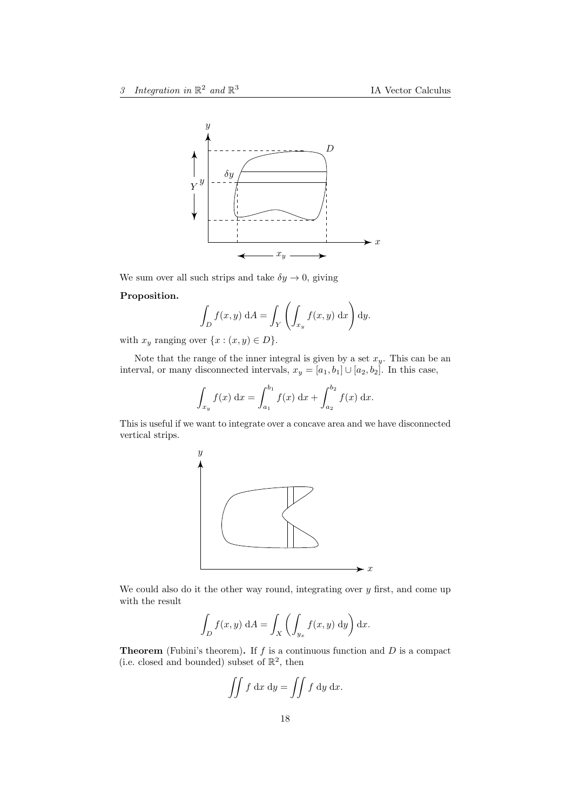

We sum over all such strips and take  $\delta y \to 0$ , giving

#### Proposition.

$$
\int_D f(x, y) \, dA = \int_Y \left( \int_{x_y} f(x, y) \, dx \right) dy.
$$

with  $x_y$  ranging over  $\{x : (x, y) \in D\}.$ 

Note that the range of the inner integral is given by a set  $x_y$ . This can be an interval, or many disconnected intervals,  $x_y = [a_1, b_1] \cup [a_2, b_2]$ . In this case,

$$
\int_{x_y} f(x) dx = \int_{a_1}^{b_1} f(x) dx + \int_{a_2}^{b_2} f(x) dx.
$$

This is useful if we want to integrate over a concave area and we have disconnected vertical strips.



We could also do it the other way round, integrating over  $y$  first, and come up with the result

$$
\int_D f(x, y) \, dA = \int_X \left( \int_{y_x} f(x, y) \, dy \right) dx.
$$

**Theorem** (Fubini's theorem). If  $f$  is a continuous function and  $D$  is a compact (i.e. closed and bounded) subset of  $\mathbb{R}^2$ , then

$$
\iint f \, \mathrm{d}x \, \mathrm{d}y = \iint f \, \mathrm{d}y \, \mathrm{d}x.
$$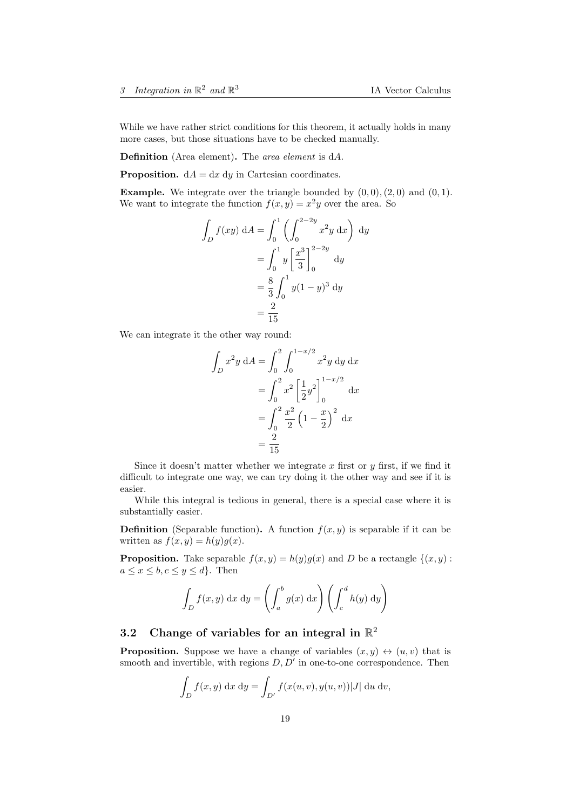While we have rather strict conditions for this theorem, it actually holds in many more cases, but those situations have to be checked manually.

Definition (Area element). The area element is dA.

**Proposition.**  $dA = dx dy$  in Cartesian coordinates.

**Example.** We integrate over the triangle bounded by  $(0, 0), (2, 0)$  and  $(0, 1)$ . We want to integrate the function  $f(x, y) = x^2y$  over the area. So

$$
\int_{D} f(xy) dA = \int_{0}^{1} \left( \int_{0}^{2-2y} x^{2}y dx \right) dy
$$

$$
= \int_{0}^{1} y \left[ \frac{x^{3}}{3} \right]_{0}^{2-2y} dy
$$

$$
= \frac{8}{3} \int_{0}^{1} y(1-y)^{3} dy
$$

$$
= \frac{2}{15}
$$

We can integrate it the other way round:

$$
\int_{D} x^{2}y \, dA = \int_{0}^{2} \int_{0}^{1-x/2} x^{2}y \, dy \, dx
$$

$$
= \int_{0}^{2} x^{2} \left[\frac{1}{2}y^{2}\right]_{0}^{1-x/2} dx
$$

$$
= \int_{0}^{2} \frac{x^{2}}{2} \left(1 - \frac{x}{2}\right)^{2} dx
$$

$$
= \frac{2}{15}
$$

Since it doesn't matter whether we integrate x first or y first, if we find it difficult to integrate one way, we can try doing it the other way and see if it is easier.

While this integral is tedious in general, there is a special case where it is substantially easier.

**Definition** (Separable function). A function  $f(x, y)$  is separable if it can be written as  $f(x, y) = h(y)g(x)$ .

**Proposition.** Take separable  $f(x, y) = h(y)g(x)$  and D be a rectangle  $\{(x, y) :$  $a \leq x \leq b, c \leq y \leq d$ . Then

$$
\int_D f(x, y) dx dy = \left( \int_a^b g(x) dx \right) \left( \int_c^d h(y) dy \right)
$$

# <span id="page-18-0"></span>3.2 Change of variables for an integral in  $\mathbb{R}^2$

**Proposition.** Suppose we have a change of variables  $(x, y) \leftrightarrow (u, v)$  that is smooth and invertible, with regions  $D, D'$  in one-to-one correspondence. Then

$$
\int_{D} f(x, y) \, dx \, dy = \int_{D'} f(x(u, v), y(u, v)) |J| \, du \, dv,
$$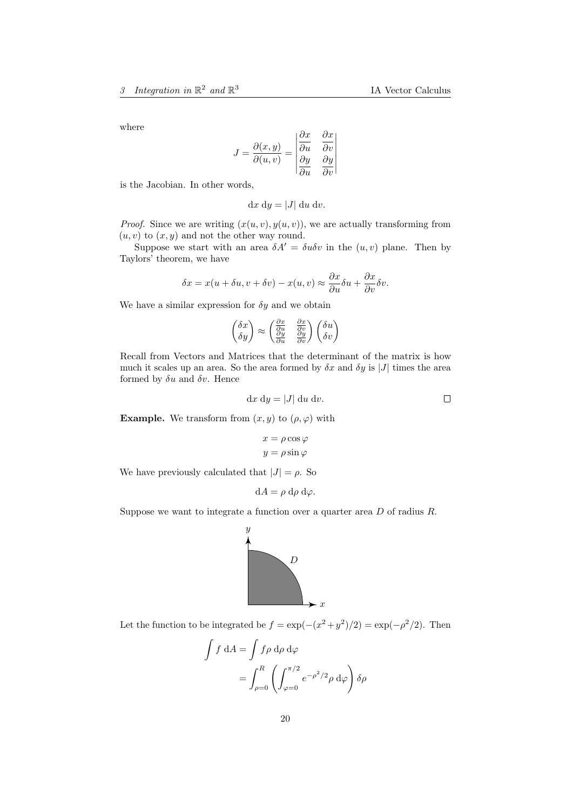where

$$
J = \frac{\partial(x, y)}{\partial(u, v)} = \begin{vmatrix} \frac{\partial x}{\partial u} & \frac{\partial x}{\partial v} \\ \frac{\partial y}{\partial u} & \frac{\partial y}{\partial v} \end{vmatrix}
$$

is the Jacobian. In other words,

$$
dx dy = |J| du dv.
$$

*Proof.* Since we are writing  $(x(u, v), y(u, v))$ , we are actually transforming from  $(u, v)$  to  $(x, y)$  and not the other way round.

Suppose we start with an area  $\delta A' = \delta u \delta v$  in the  $(u, v)$  plane. Then by Taylors' theorem, we have

$$
\delta x = x(u + \delta u, v + \delta v) - x(u, v) \approx \frac{\partial x}{\partial u} \delta u + \frac{\partial x}{\partial v} \delta v.
$$

We have a similar expression for  $\delta y$  and we obtain

$$
\begin{pmatrix} \delta x \\ \delta y \end{pmatrix} \approx \begin{pmatrix} \frac{\partial x}{\partial u} & \frac{\partial x}{\partial v} \\ \frac{\partial y}{\partial u} & \frac{\partial y}{\partial v} \end{pmatrix} \begin{pmatrix} \delta u \\ \delta v \end{pmatrix}
$$

Recall from Vectors and Matrices that the determinant of the matrix is how much it scales up an area. So the area formed by  $\delta x$  and  $\delta y$  is |J| times the area formed by  $\delta u$  and  $\delta v$ . Hence

$$
dx dy = |J| du dv.
$$

**Example.** We transform from  $(x, y)$  to  $(\rho, \varphi)$  with

$$
x = \rho \cos \varphi
$$

$$
y = \rho \sin \varphi
$$

We have previously calculated that  $|J| = \rho$ . So

$$
dA = \rho \ d\rho \ d\varphi.
$$

Suppose we want to integrate a function over a quarter area D of radius R.



Let the function to be integrated be  $f = \exp(-(x^2 + y^2)/2) = \exp(-\rho^2/2)$ . Then

$$
\int f \, dA = \int f \rho \, d\rho \, d\varphi
$$

$$
= \int_{\rho=0}^{R} \left( \int_{\varphi=0}^{\pi/2} e^{-\rho^2/2} \rho \, d\varphi \right) \delta\rho
$$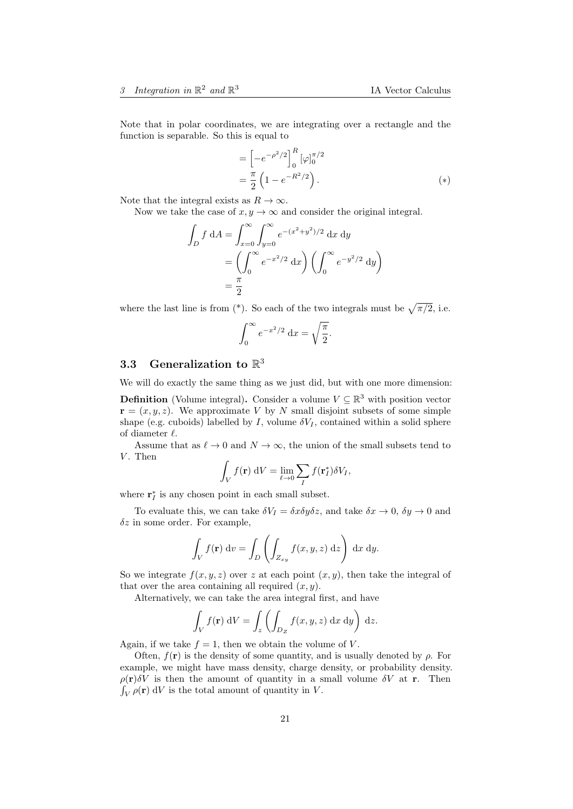Note that in polar coordinates, we are integrating over a rectangle and the function is separable. So this is equal to

$$
= \left[ -e^{-\rho^2/2} \right]_0^R [\varphi]_0^{\pi/2}
$$
  
=  $\frac{\pi}{2} \left( 1 - e^{-R^2/2} \right)$ . (\*)

Note that the integral exists as  $R \to \infty$ .

Now we take the case of  $x, y \to \infty$  and consider the original integral.

$$
\int_{D} f \, dA = \int_{x=0}^{\infty} \int_{y=0}^{\infty} e^{-(x^{2}+y^{2})/2} \, dx \, dy
$$

$$
= \left( \int_{0}^{\infty} e^{-x^{2}/2} \, dx \right) \left( \int_{0}^{\infty} e^{-y^{2}/2} \, dy \right)
$$

$$
= \frac{\pi}{2}
$$

where the last line is from  $(*)$ . So each of the two integrals must be  $\sqrt{\pi/2}$ , i.e.

$$
\int_0^\infty e^{-x^2/2} \, \mathrm{d}x = \sqrt{\frac{\pi}{2}}.
$$

# <span id="page-20-0"></span>3.3 Generalization to  $\mathbb{R}^3$

We will do exactly the same thing as we just did, but with one more dimension:

**Definition** (Volume integral). Consider a volume  $V \subseteq \mathbb{R}^3$  with position vector  $\mathbf{r} = (x, y, z)$ . We approximate V by N small disjoint subsets of some simple shape (e.g. cuboids) labelled by I, volume  $\delta V_I$ , contained within a solid sphere of diameter  $\ell$ .

Assume that as  $\ell \to 0$  and  $N \to \infty$ , the union of the small subsets tend to  $V$ . Then

$$
\int_V f(\mathbf{r}) \, \mathrm{d}V = \lim_{\ell \to 0} \sum_I f(\mathbf{r}_I^*) \delta V_I,
$$

where  $\mathbf{r}_I^*$  is any chosen point in each small subset.

To evaluate this, we can take  $\delta V_I = \delta x \delta y \delta z$ , and take  $\delta x \to 0$ ,  $\delta y \to 0$  and  $\delta z$  in some order. For example,

$$
\int_{V} f(\mathbf{r}) \, \mathrm{d}v = \int_{D} \left( \int_{Z_{xy}} f(x, y, z) \, \mathrm{d}z \right) \, \mathrm{d}x \, \mathrm{d}y.
$$

So we integrate  $f(x, y, z)$  over z at each point  $(x, y)$ , then take the integral of that over the area containing all required  $(x, y)$ .

Alternatively, we can take the area integral first, and have

$$
\int_{V} f(\mathbf{r}) \, \mathrm{d}V = \int_{z} \left( \int_{D_Z} f(x, y, z) \, \mathrm{d}x \, \mathrm{d}y \right) \, \mathrm{d}z.
$$

Again, if we take  $f = 1$ , then we obtain the volume of V.

Often,  $f(\mathbf{r})$  is the density of some quantity, and is usually denoted by  $\rho$ . For example, we might have mass density, charge density, or probability density.  $\rho(\mathbf{r})\delta V$  is then the amount of quantity in a small volume  $\delta V$  at r. Then  $\int_V \rho(\mathbf{r}) dV$  is the total amount of quantity in V.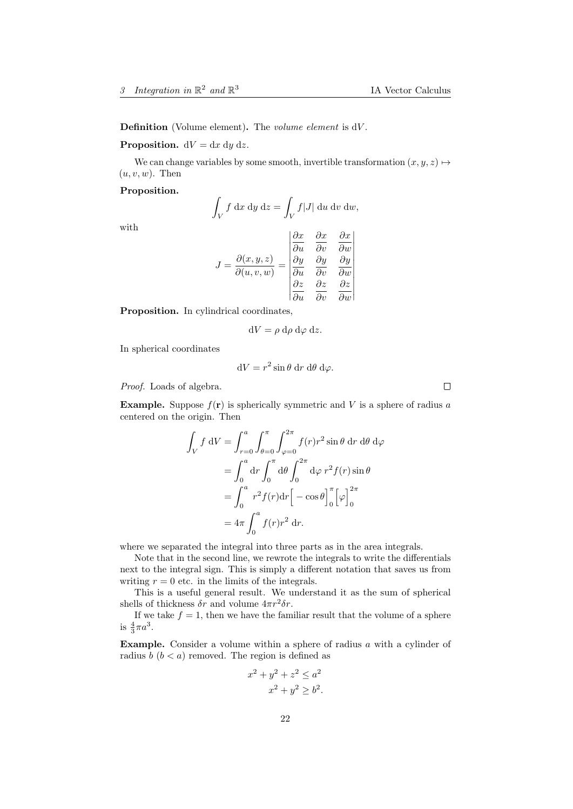Definition (Volume element). The volume element is dV.

#### **Proposition.**  $dV = dx dy dz$ .

We can change variables by some smooth, invertible transformation  $(x, y, z) \mapsto$  $(u, v, w)$ . Then

#### Proposition.

$$
\int_V f \, dx \, dy \, dz = \int_V f|J| \, du \, dv \, dw,
$$

with

$$
J = \frac{\partial(x, y, z)}{\partial(u, v, w)} = \begin{vmatrix} \frac{\partial x}{\partial u} & \frac{\partial x}{\partial v} & \frac{\partial x}{\partial w} \\ \frac{\partial y}{\partial u} & \frac{\partial y}{\partial v} & \frac{\partial y}{\partial w} \\ \frac{\partial z}{\partial u} & \frac{\partial z}{\partial v} & \frac{\partial z}{\partial w} \end{vmatrix}
$$

Proposition. In cylindrical coordinates,

$$
dV = \rho \, d\rho \, d\varphi \, dz.
$$

In spherical coordinates

$$
dV = r^2 \sin \theta \, dr \, d\theta \, d\varphi.
$$

Proof. Loads of algebra.

**Example.** Suppose  $f(\mathbf{r})$  is spherically symmetric and V is a sphere of radius a centered on the origin. Then

$$
\int_{V} f \, dV = \int_{r=0}^{a} \int_{\theta=0}^{\pi} \int_{\varphi=0}^{2\pi} f(r)r^{2} \sin \theta \, dr \, d\theta \, d\varphi
$$

$$
= \int_{0}^{a} dr \int_{0}^{\pi} d\theta \int_{0}^{2\pi} d\varphi \, r^{2} f(r) \sin \theta
$$

$$
= \int_{0}^{a} r^{2} f(r) dr \Big[ -\cos \theta \Big]_{0}^{\pi} \Big[ \varphi \Big]_{0}^{2\pi}
$$

$$
= 4\pi \int_{0}^{a} f(r)r^{2} dr.
$$

where we separated the integral into three parts as in the area integrals.

Note that in the second line, we rewrote the integrals to write the differentials next to the integral sign. This is simply a different notation that saves us from writing  $r = 0$  etc. in the limits of the integrals.

This is a useful general result. We understand it as the sum of spherical shells of thickness  $\delta r$  and volume  $4\pi r^2 \delta r$ .

If we take  $f = 1$ , then we have the familiar result that the volume of a sphere is  $\frac{4}{3}\pi a^3$ .

Example. Consider a volume within a sphere of radius a with a cylinder of radius  $b (b < a)$  removed. The region is defined as

$$
x2 + y2 + z2 \le a2
$$
  

$$
x2 + y2 \ge b2.
$$

 $\Box$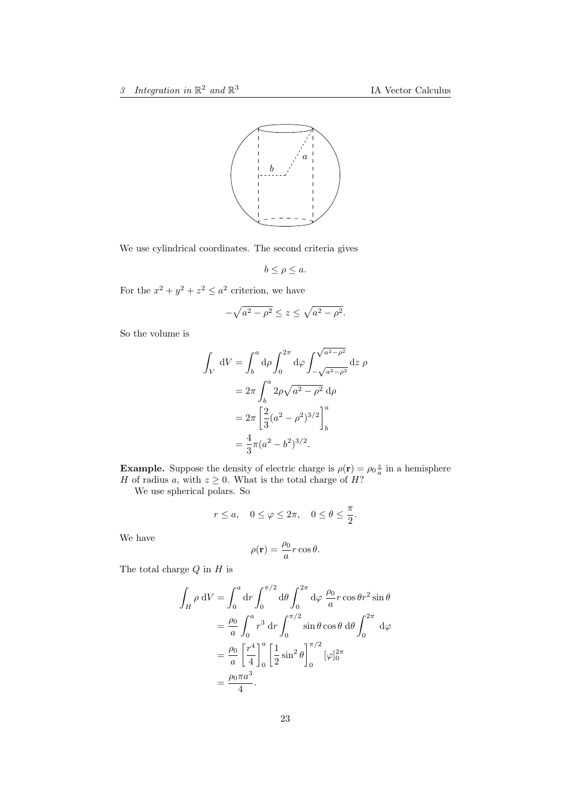

We use cylindrical coordinates. The second criteria gives

$$
b \le \rho \le a.
$$

For the  $x^2 + y^2 + z^2 \leq a^2$  criterion, we have

$$
-\sqrt{a^2-\rho^2} \le z \le \sqrt{a^2-\rho^2}.
$$

So the volume is

$$
\int_{V} dV = \int_{b}^{a} d\rho \int_{0}^{2\pi} d\varphi \int_{-\sqrt{a^{2}-\rho^{2}}}^{\sqrt{a^{2}-\rho^{2}}} dz \rho
$$

$$
= 2\pi \int_{b}^{a} 2\rho \sqrt{a^{2}-\rho^{2}} d\rho
$$

$$
= 2\pi \left[ \frac{2}{3} (a^{2}-\rho^{2})^{3/2} \right]_{b}^{a}
$$

$$
= \frac{4}{3} \pi (a^{2}-b^{2})^{3/2}.
$$

**Example.** Suppose the density of electric charge is  $\rho(\mathbf{r}) = \rho_0 \frac{z}{a}$  in a hemisphere H of radius a, with  $z \geq 0$ . What is the total charge of H?

We use spherical polars. So

$$
r \le a, \quad 0 \le \varphi \le 2\pi, \quad 0 \le \theta \le \frac{\pi}{2}.
$$

We have

$$
\rho(\mathbf{r}) = \frac{\rho_0}{a} r \cos \theta.
$$

The total charge  $Q$  in  $H$  is

$$
\int_H \rho \, dV = \int_0^a dr \int_0^{\pi/2} d\theta \int_0^{2\pi} d\varphi \, \frac{\rho_0}{a} r \cos \theta r^2 \sin \theta
$$

$$
= \frac{\rho_0}{a} \int_0^a r^3 dr \int_0^{\pi/2} \sin \theta \cos \theta \, d\theta \int_0^{2\pi} d\varphi
$$

$$
= \frac{\rho_0}{a} \left[ \frac{r^4}{4} \right]_0^a \left[ \frac{1}{2} \sin^2 \theta \right]_0^{\pi/2} [\varphi]_0^{2\pi}
$$

$$
= \frac{\rho_0 \pi a^3}{4}.
$$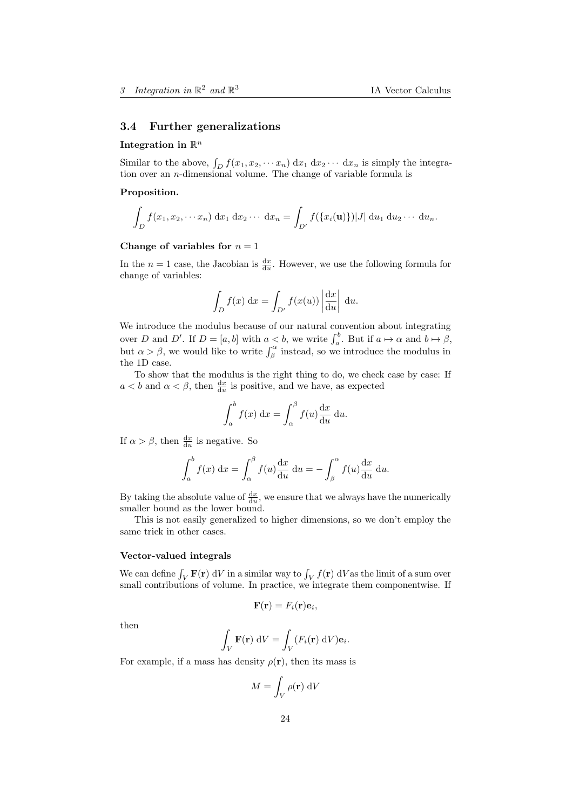#### <span id="page-23-0"></span>3.4 Further generalizations

## Integration in  $\mathbb{R}^n$

Similar to the above,  $\int_D f(x_1, x_2, \cdots x_n) dx_1 dx_2 \cdots dx_n$  is simply the integration over an *n*-dimensional volume. The change of variable formula is

### Proposition.

$$
\int_{D} f(x_1, x_2, \cdots x_n) \, dx_1 \, dx_2 \cdots \, dx_n = \int_{D'} f(\{x_i(\mathbf{u})\}) |J| \, du_1 \, du_2 \cdots \, du_n.
$$

### Change of variables for  $n = 1$

In the  $n=1$  case, the Jacobian is  $\frac{dx}{du}$ . However, we use the following formula for change of variables:

$$
\int_D f(x) dx = \int_{D'} f(x(u)) \left| \frac{dx}{du} \right| du.
$$

We introduce the modulus because of our natural convention about integrating over D and D'. If  $D = [a, b]$  with  $a < b$ , we write  $\int_a^b$ . But if  $a \mapsto \alpha$  and  $b \mapsto \beta$ , but  $\alpha > \beta$ , we would like to write  $\int_{\beta}^{\alpha}$  instead, so we introduce the modulus in the 1D case.

To show that the modulus is the right thing to do, we check case by case: If  $a < b$  and  $\alpha < \beta$ , then  $\frac{dx}{du}$  is positive, and we have, as expected

$$
\int_{a}^{b} f(x) dx = \int_{\alpha}^{\beta} f(u) \frac{\mathrm{d}x}{\mathrm{d}u} du.
$$

If  $\alpha > \beta$ , then  $\frac{dx}{du}$  is negative. So

$$
\int_{a}^{b} f(x) dx = \int_{\alpha}^{\beta} f(u) \frac{dx}{du} du = -\int_{\beta}^{\alpha} f(u) \frac{dx}{du} du.
$$

By taking the absolute value of  $\frac{dx}{du}$ , we ensure that we always have the numerically smaller bound as the lower bound.

This is not easily generalized to higher dimensions, so we don't employ the same trick in other cases.

#### Vector-valued integrals

We can define  $\int_V \mathbf{F}(\mathbf{r}) dV$  in a similar way to  $\int_V f(\mathbf{r}) dV$  as the limit of a sum over small contributions of volume. In practice, we integrate them componentwise. If

$$
\mathbf{F}(\mathbf{r})=F_i(\mathbf{r})\mathbf{e}_i,
$$

then

$$
\int_V \mathbf{F}(\mathbf{r}) \, \mathrm{d}V = \int_V (F_i(\mathbf{r}) \, \mathrm{d}V) \mathbf{e}_i.
$$

For example, if a mass has density  $\rho(\mathbf{r})$ , then its mass is

$$
M = \int_{V} \rho(\mathbf{r}) \, \mathrm{d}V
$$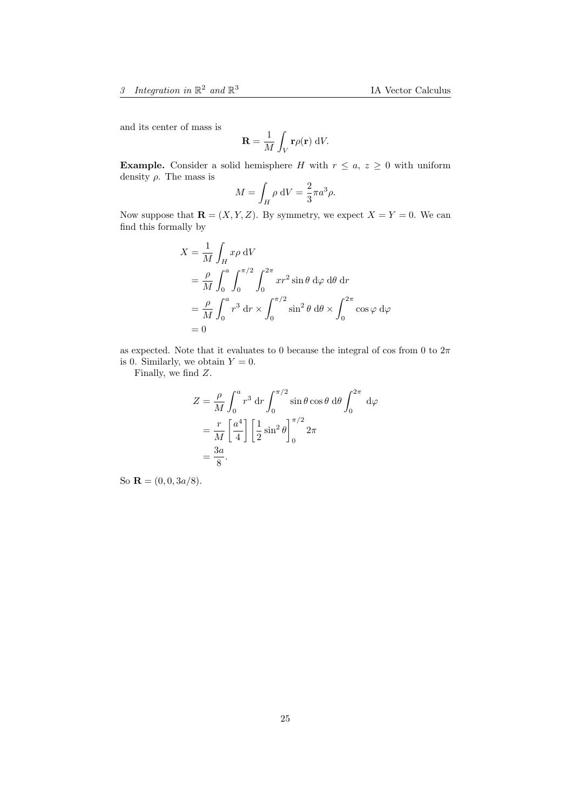and its center of mass is

$$
\mathbf{R} = \frac{1}{M} \int_{V} \mathbf{r} \rho(\mathbf{r}) \, \mathrm{d}V.
$$

**Example.** Consider a solid hemisphere H with  $r \leq a, z \geq 0$  with uniform density  $\rho$ . The mass is

$$
M = \int_H \rho \, \mathrm{d}V = \frac{2}{3}\pi a^3 \rho.
$$

Now suppose that  $\mathbf{R} = (X, Y, Z)$ . By symmetry, we expect  $X = Y = 0$ . We can find this formally by

$$
X = \frac{1}{M} \int_H x\rho \,dV
$$
  
=  $\frac{\rho}{M} \int_0^a \int_0^{\pi/2} \int_0^{2\pi} xr^2 \sin \theta \,d\varphi \,d\theta \,dr$   
=  $\frac{\rho}{M} \int_0^a r^3 \,dr \times \int_0^{\pi/2} \sin^2 \theta \,d\theta \times \int_0^{2\pi} \cos \varphi \,d\varphi$   
= 0

as expected. Note that it evaluates to 0 because the integral of cos from 0 to  $2\pi$ is 0. Similarly, we obtain  $Y = 0$ .

Finally, we find Z.

$$
Z = \frac{\rho}{M} \int_0^a r^3 dr \int_0^{\pi/2} \sin \theta \cos \theta d\theta \int_0^{2\pi} d\varphi
$$
  
=  $\frac{r}{M} \left[ \frac{a^4}{4} \right] \left[ \frac{1}{2} \sin^2 \theta \right]_0^{\pi/2} 2\pi$   
=  $\frac{3a}{8}$ .

So  $\mathbf{R} = (0, 0, 3a/8).$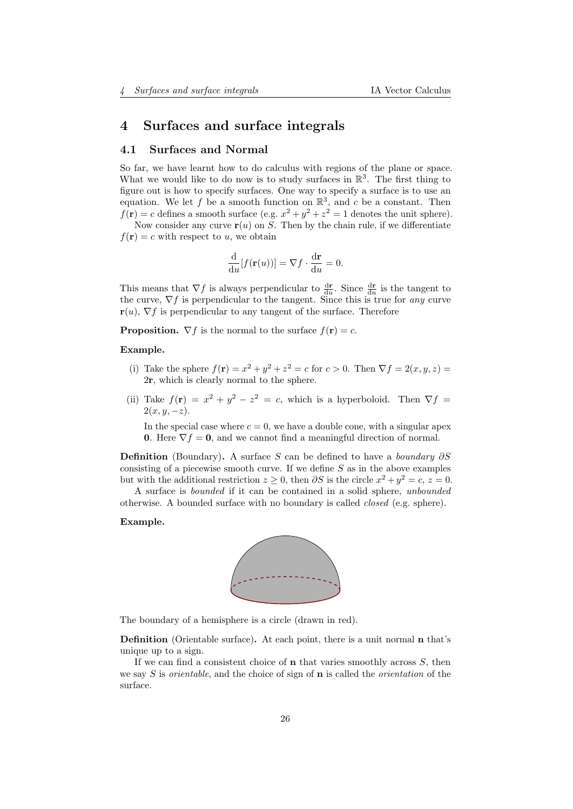## <span id="page-25-0"></span>4 Surfaces and surface integrals

### <span id="page-25-1"></span>4.1 Surfaces and Normal

So far, we have learnt how to do calculus with regions of the plane or space. What we would like to do now is to study surfaces in  $\mathbb{R}^3$ . The first thing to figure out is how to specify surfaces. One way to specify a surface is to use an equation. We let f be a smooth function on  $\mathbb{R}^3$ , and c be a constant. Then  $f(\mathbf{r}) = c$  defines a smooth surface (e.g.  $x^2 + y^2 + z^2 = 1$  denotes the unit sphere).

Now consider any curve  $r(u)$  on S. Then by the chain rule, if we differentiate  $f(\mathbf{r}) = c$  with respect to u, we obtain

$$
\frac{\mathrm{d}}{\mathrm{d}u}[f(\mathbf{r}(u))] = \nabla f \cdot \frac{\mathrm{d}\mathbf{r}}{\mathrm{d}u} = 0.
$$

This means that  $\nabla f$  is always perpendicular to  $\frac{d\mathbf{r}}{du}$ . Since  $\frac{d\mathbf{r}}{du}$  is the tangent to the curve,  $\nabla f$  is perpendicular to the tangent. Since this is true for any curve  $\mathbf{r}(u)$ ,  $\nabla f$  is perpendicular to any tangent of the surface. Therefore

**Proposition.**  $\nabla f$  is the normal to the surface  $f(\mathbf{r}) = c$ .

#### Example.

- (i) Take the sphere  $f(\mathbf{r}) = x^2 + y^2 + z^2 = c$  for  $c > 0$ . Then  $\nabla f = 2(x, y, z) =$ 2r, which is clearly normal to the sphere.
- (ii) Take  $f(\mathbf{r}) = x^2 + y^2 z^2 = c$ , which is a hyperboloid. Then  $\nabla f =$  $2(x, y, -z)$ .

In the special case where  $c = 0$ , we have a double cone, with a singular apex 0. Here  $\nabla f = 0$ , and we cannot find a meaningful direction of normal.

**Definition** (Boundary). A surface S can be defined to have a *boundary*  $\partial S$ consisting of a piecewise smooth curve. If we define  $S$  as in the above examples but with the additional restriction  $z \geq 0$ , then  $\partial S$  is the circle  $x^2 + y^2 = c$ ,  $z = 0$ .

A surface is bounded if it can be contained in a solid sphere, unbounded otherwise. A bounded surface with no boundary is called closed (e.g. sphere).

#### Example.



The boundary of a hemisphere is a circle (drawn in red).

Definition (Orientable surface). At each point, there is a unit normal n that's unique up to a sign.

If we can find a consistent choice of  $n$  that varies smoothly across  $S$ , then we say  $S$  is *orientable*, and the choice of sign of **n** is called the *orientation* of the surface.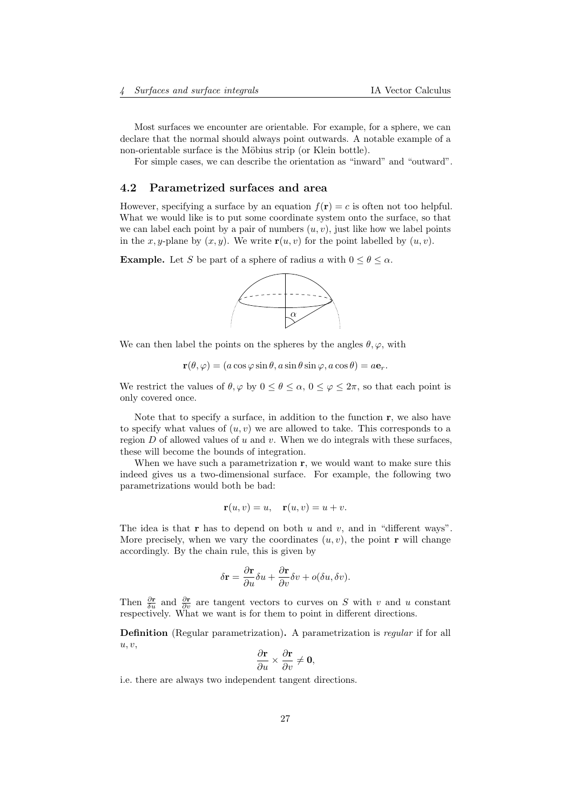Most surfaces we encounter are orientable. For example, for a sphere, we can declare that the normal should always point outwards. A notable example of a non-orientable surface is the Möbius strip (or Klein bottle).

For simple cases, we can describe the orientation as "inward" and "outward".

### <span id="page-26-0"></span>4.2 Parametrized surfaces and area

However, specifying a surface by an equation  $f(\mathbf{r}) = c$  is often not too helpful. What we would like is to put some coordinate system onto the surface, so that we can label each point by a pair of numbers  $(u, v)$ , just like how we label points in the x, y-plane by  $(x, y)$ . We write  $\mathbf{r}(u, v)$  for the point labelled by  $(u, v)$ .

**Example.** Let S be part of a sphere of radius a with  $0 \le \theta \le \alpha$ .



We can then label the points on the spheres by the angles  $\theta$ ,  $\varphi$ , with

 $\mathbf{r}(\theta, \varphi) = (a \cos \varphi \sin \theta, a \sin \theta \sin \varphi, a \cos \theta) = a\mathbf{e}_r.$ 

We restrict the values of  $\theta, \varphi$  by  $0 \le \theta \le \alpha, 0 \le \varphi \le 2\pi$ , so that each point is only covered once.

Note that to specify a surface, in addition to the function  $\mathbf{r}$ , we also have to specify what values of  $(u, v)$  we are allowed to take. This corresponds to a region  $D$  of allowed values of  $u$  and  $v$ . When we do integrals with these surfaces, these will become the bounds of integration.

When we have such a parametrization  $r$ , we would want to make sure this indeed gives us a two-dimensional surface. For example, the following two parametrizations would both be bad:

$$
\mathbf{r}(u,v) = u, \quad \mathbf{r}(u,v) = u + v.
$$

The idea is that **r** has to depend on both u and v, and in "different ways". More precisely, when we vary the coordinates  $(u, v)$ , the point **r** will change accordingly. By the chain rule, this is given by

$$
\delta \mathbf{r} = \frac{\partial \mathbf{r}}{\partial u} \delta u + \frac{\partial \mathbf{r}}{\partial v} \delta v + o(\delta u, \delta v).
$$

Then  $\frac{\partial \mathbf{r}}{\partial u}$  and  $\frac{\partial \mathbf{r}}{\partial v}$  are tangent vectors to curves on S with v and u constant respectively. What we want is for them to point in different directions.

Definition (Regular parametrization). A parametrization is regular if for all  $u, v,$ 

$$
\frac{\partial \mathbf{r}}{\partial u} \times \frac{\partial \mathbf{r}}{\partial v} \neq \mathbf{0},
$$

i.e. there are always two independent tangent directions.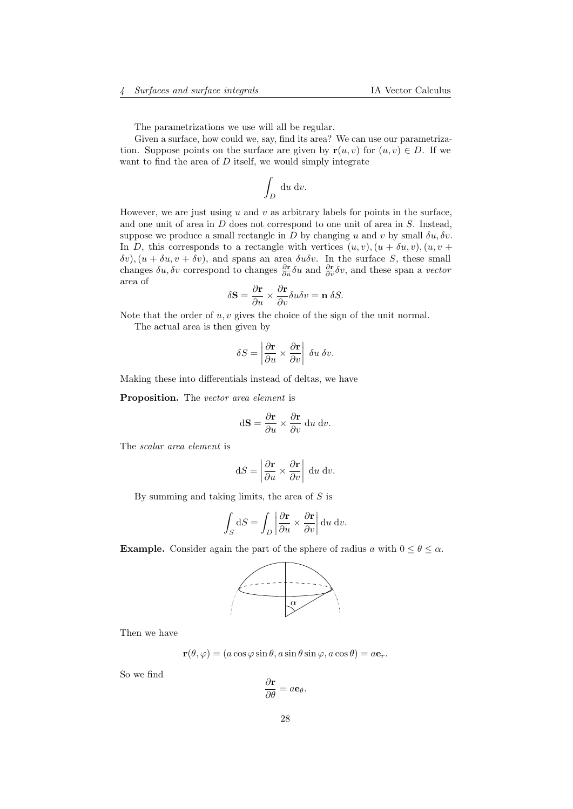The parametrizations we use will all be regular.

Given a surface, how could we, say, find its area? We can use our parametrization. Suppose points on the surface are given by  $\mathbf{r}(u, v)$  for  $(u, v) \in D$ . If we want to find the area of  $D$  itself, we would simply integrate

$$
\int_D \, \mathrm{d} u \, \mathrm{d} v.
$$

However, we are just using u and v as arbitrary labels for points in the surface, and one unit of area in D does not correspond to one unit of area in S. Instead, suppose we produce a small rectangle in D by changing u and v by small  $\delta u, \delta v$ . In D, this corresponds to a rectangle with vertices  $(u, v), (u + \delta u, v), (u, v + \delta u, \delta u, \delta u)$  $\delta v$ ,  $(u + \delta u, v + \delta v)$ , and spans an area  $\delta u \delta v$ . In the surface S, these small changes  $\delta u, \delta v$  correspond to changes  $\frac{\partial \mathbf{r}}{\partial u} \delta u$  and  $\frac{\partial \mathbf{r}}{\partial v} \delta v$ , and these span a *vector* area of

$$
\delta \mathbf{S} = \frac{\partial \mathbf{r}}{\partial u} \times \frac{\partial \mathbf{r}}{\partial v} \delta u \delta v = \mathbf{n} \delta S.
$$

Note that the order of  $u, v$  gives the choice of the sign of the unit normal.

The actual area is then given by

$$
\delta S = \left| \frac{\partial \mathbf{r}}{\partial u} \times \frac{\partial \mathbf{r}}{\partial v} \right| \, \delta u \, \delta v.
$$

Making these into differentials instead of deltas, we have

Proposition. The vector area element is

$$
d\mathbf{S} = \frac{\partial \mathbf{r}}{\partial u} \times \frac{\partial \mathbf{r}}{\partial v} du dv.
$$

The scalar area element is

$$
dS = \left| \frac{\partial \mathbf{r}}{\partial u} \times \frac{\partial \mathbf{r}}{\partial v} \right| du dv.
$$

By summing and taking limits, the area of  $S$  is

$$
\int_{S} dS = \int_{D} \left| \frac{\partial \mathbf{r}}{\partial u} \times \frac{\partial \mathbf{r}}{\partial v} \right| du dv.
$$

**Example.** Consider again the part of the sphere of radius a with  $0 \le \theta \le \alpha$ .



Then we have

$$
\mathbf{r}(\theta,\varphi) = (a\cos\varphi\sin\theta, a\sin\theta\sin\varphi, a\cos\theta) = a\mathbf{e}_r.
$$

So we find

$$
\frac{\partial \mathbf{r}}{\partial \theta} = a \mathbf{e}_{\theta}.
$$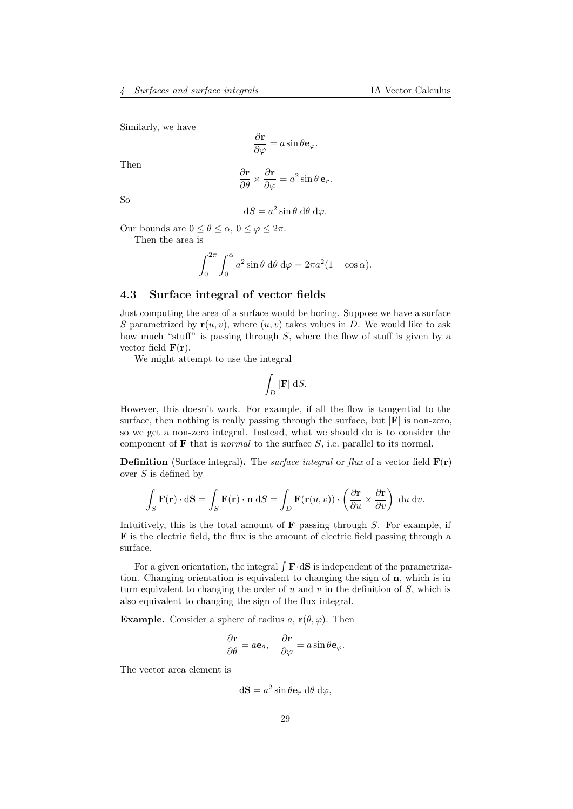Similarly, we have

$$
\frac{\partial \mathbf{r}}{\partial \varphi} = a \sin \theta \mathbf{e}_{\varphi}.
$$

Then

$$
\frac{\partial \mathbf{r}}{\partial \theta} \times \frac{\partial \mathbf{r}}{\partial \varphi} = a^2 \sin \theta \,\mathbf{e}_r.
$$

So

$$
dS = a^2 \sin \theta \, d\theta \, d\varphi.
$$

Our bounds are  $0 \leq \theta \leq \alpha$ ,  $0 \leq \varphi \leq 2\pi$ .

Then the area is

$$
\int_0^{2\pi} \int_0^{\alpha} a^2 \sin \theta \, d\theta \, d\varphi = 2\pi a^2 (1 - \cos \alpha).
$$

### <span id="page-28-0"></span>4.3 Surface integral of vector fields

Just computing the area of a surface would be boring. Suppose we have a surface S parametrized by  $r(u, v)$ , where  $(u, v)$  takes values in D. We would like to ask how much "stuff" is passing through S, where the flow of stuff is given by a vector field  $\mathbf{F}(\mathbf{r})$ .

We might attempt to use the integral

$$
\int_D |\mathbf{F}| \, \mathrm{d}S.
$$

However, this doesn't work. For example, if all the flow is tangential to the surface, then nothing is really passing through the surface, but  $|F|$  is non-zero, so we get a non-zero integral. Instead, what we should do is to consider the component of  **that is** *normal* **to the surface**  $S$ **, i.e. parallel to its normal.** 

**Definition** (Surface integral). The *surface integral* or  $flux$  of a vector field  $\mathbf{F}(\mathbf{r})$ over  $S$  is defined by

$$
\int_{S} \mathbf{F}(\mathbf{r}) \cdot d\mathbf{S} = \int_{S} \mathbf{F}(\mathbf{r}) \cdot \mathbf{n} dS = \int_{D} \mathbf{F}(\mathbf{r}(u, v)) \cdot \left( \frac{\partial \mathbf{r}}{\partial u} \times \frac{\partial \mathbf{r}}{\partial v} \right) du dv.
$$

Intuitively, this is the total amount of  $\bf{F}$  passing through S. For example, if F is the electric field, the flux is the amount of electric field passing through a surface.

For a given orientation, the integral  $\int \mathbf{F} \cdot d\mathbf{S}$  is independent of the parametrization. Changing orientation is equivalent to changing the sign of n, which is in turn equivalent to changing the order of u and v in the definition of  $S$ , which is also equivalent to changing the sign of the flux integral.

**Example.** Consider a sphere of radius a,  $\mathbf{r}(\theta, \varphi)$ . Then

$$
\frac{\partial \mathbf{r}}{\partial \theta} = a\mathbf{e}_{\theta}, \quad \frac{\partial \mathbf{r}}{\partial \varphi} = a\sin\theta \mathbf{e}_{\varphi}.
$$

The vector area element is

$$
d\mathbf{S} = a^2 \sin \theta \mathbf{e}_r d\theta d\varphi,
$$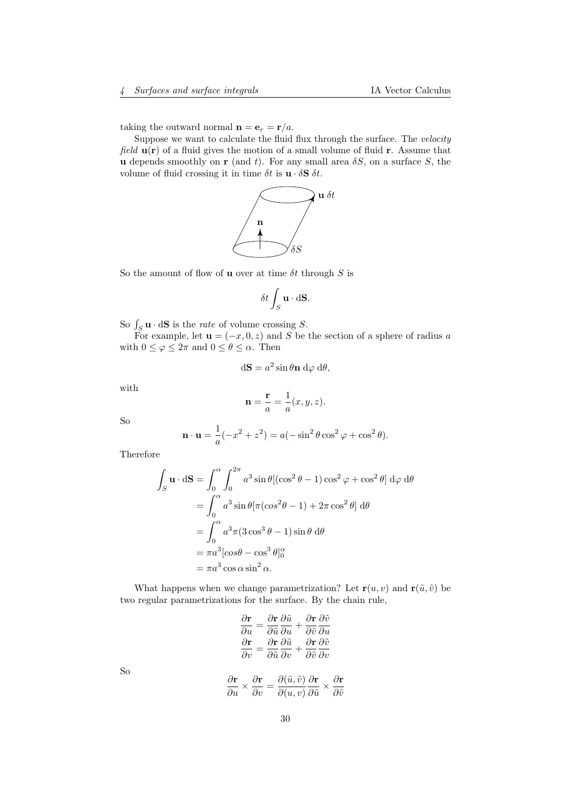taking the outward normal  $\mathbf{n} = \mathbf{e}_r = \mathbf{r}/a$ .

Suppose we want to calculate the fluid flux through the surface. The velocity field  $\mathbf{u}(\mathbf{r})$  of a fluid gives the motion of a small volume of fluid **r**. Assume that u depends smoothly on r (and t). For any small area  $\delta S$ , on a surface S, the volume of fluid crossing it in time  $\delta t$  is  $\mathbf{u} \cdot \delta \mathbf{S} \delta t$ .



So the amount of flow of **u** over at time  $\delta t$  through  $S$  is

$$
\delta t \int_S \mathbf{u} \cdot d\mathbf{S}.
$$

So  $\int_S \mathbf{u} \cdot d\mathbf{S}$  is the *rate* of volume crossing S.

 $S_S$  and  $S$  is the *rate* of volume erossing  $S$ .<br>For example, let  $\mathbf{u} = (-x, 0, z)$  and S be the section of a sphere of radius a with  $0 \leq \varphi \leq 2\pi$  and  $0 \leq \theta \leq \alpha$ . Then

$$
d\mathbf{S} = a^2 \sin \theta \mathbf{n} d\varphi d\theta,
$$

with

$$
\mathbf{n} = \frac{\mathbf{r}}{a} = \frac{1}{a}(x, y, z).
$$

So

$$
\mathbf{n} \cdot \mathbf{u} = \frac{1}{a}(-x^2 + z^2) = a(-\sin^2\theta\cos^2\varphi + \cos^2\theta).
$$

Therefore

$$
\int_{S} \mathbf{u} \cdot d\mathbf{S} = \int_{0}^{\alpha} \int_{0}^{2\pi} a^{3} \sin \theta [(\cos^{2} \theta - 1) \cos^{2} \varphi + \cos^{2} \theta] d\varphi d\theta
$$
  
= 
$$
\int_{0}^{\alpha} a^{3} \sin \theta [\pi (\cos^{2} \theta - 1) + 2\pi \cos^{2} \theta] d\theta
$$
  
= 
$$
\int_{0}^{\alpha} a^{3} \pi (3 \cos^{3} \theta - 1) \sin \theta d\theta
$$
  
= 
$$
\pi a^{3} [\cos \theta - \cos^{3} \theta]_{0}^{\alpha}
$$
  
= 
$$
\pi a^{3} \cos \alpha \sin^{2} \alpha.
$$

What happens when we change parametrization? Let  $\mathbf{r}(u, v)$  and  $\mathbf{r}(\tilde{u}, \tilde{v})$  be two regular parametrizations for the surface. By the chain rule,

$$
\frac{\partial \mathbf{r}}{\partial u} = \frac{\partial \mathbf{r}}{\partial \tilde{u}} \frac{\partial \tilde{u}}{\partial u} + \frac{\partial \mathbf{r}}{\partial \tilde{v}} \frac{\partial \tilde{v}}{\partial u}
$$

$$
\frac{\partial \mathbf{r}}{\partial v} = \frac{\partial \mathbf{r}}{\partial \tilde{u}} \frac{\partial \tilde{u}}{\partial v} + \frac{\partial \mathbf{r}}{\partial \tilde{v}} \frac{\partial \tilde{v}}{\partial v}
$$

$$
\frac{\partial \mathbf{r}}{\partial u} \times \frac{\partial \mathbf{r}}{\partial v} = \frac{\partial (\tilde{u}, \tilde{v})}{\partial (u, v)} \frac{\partial \mathbf{r}}{\partial \tilde{u}} \times \frac{\partial \mathbf{r}}{\partial \tilde{v}}
$$

So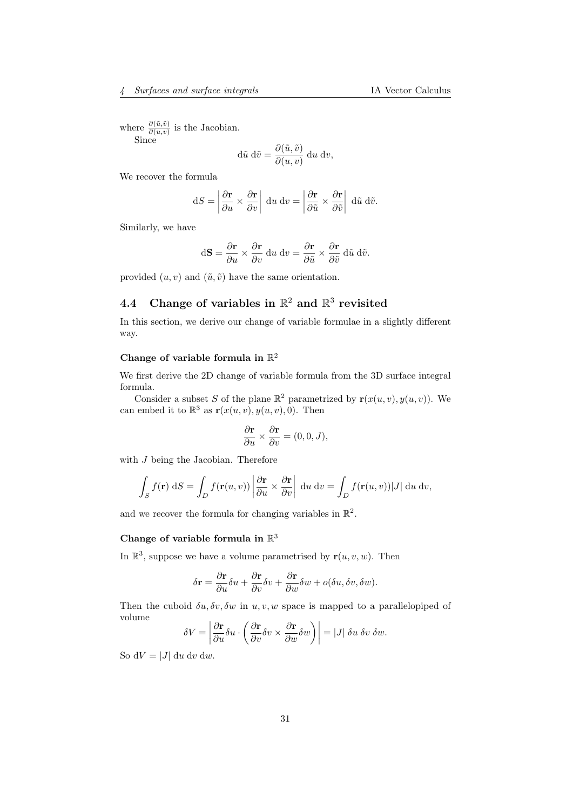where  $\frac{\partial(\tilde{u},\tilde{v})}{\partial(u,v)}$  is the Jacobian. Since

$$
d\tilde{u} d\tilde{v} = \frac{\partial(\tilde{u}, \tilde{v})}{\partial(u, v)} du dv,
$$

We recover the formula

$$
dS = \left| \frac{\partial \mathbf{r}}{\partial u} \times \frac{\partial \mathbf{r}}{\partial v} \right| du dv = \left| \frac{\partial \mathbf{r}}{\partial \tilde{u}} \times \frac{\partial \mathbf{r}}{\partial \tilde{v}} \right| d\tilde{u} d\tilde{v}.
$$

Similarly, we have

$$
d\mathbf{S} = \frac{\partial \mathbf{r}}{\partial u} \times \frac{\partial \mathbf{r}}{\partial v} du dv = \frac{\partial \mathbf{r}}{\partial \tilde{u}} \times \frac{\partial \mathbf{r}}{\partial \tilde{v}} d\tilde{u} d\tilde{v}.
$$

provided  $(u, v)$  and  $(\tilde{u}, \tilde{v})$  have the same orientation.

# <span id="page-30-0"></span>4.4 Change of variables in  $\mathbb{R}^2$  and  $\mathbb{R}^3$  revisited

In this section, we derive our change of variable formulae in a slightly different way.

## Change of variable formula in  $\mathbb{R}^2$

We first derive the 2D change of variable formula from the 3D surface integral formula.

Consider a subset S of the plane  $\mathbb{R}^2$  parametrized by  $\mathbf{r}(x(u, v), y(u, v))$ . We can embed it to  $\mathbb{R}^3$  as  $\mathbf{r}(x(u, v), y(u, v), 0)$ . Then

$$
\frac{\partial \mathbf{r}}{\partial u} \times \frac{\partial \mathbf{r}}{\partial v} = (0, 0, J),
$$

with *J* being the Jacobian. Therefore

$$
\int_{S} f(\mathbf{r}) dS = \int_{D} f(\mathbf{r}(u, v)) \left| \frac{\partial \mathbf{r}}{\partial u} \times \frac{\partial \mathbf{r}}{\partial v} \right| du dv = \int_{D} f(\mathbf{r}(u, v)) |J| du dv,
$$

and we recover the formula for changing variables in  $\mathbb{R}^2$ .

## Change of variable formula in  $\mathbb{R}^3$

In  $\mathbb{R}^3$ , suppose we have a volume parametrised by  $\mathbf{r}(u, v, w)$ . Then

$$
\delta \mathbf{r} = \frac{\partial \mathbf{r}}{\partial u} \delta u + \frac{\partial \mathbf{r}}{\partial v} \delta v + \frac{\partial \mathbf{r}}{\partial w} \delta w + o(\delta u, \delta v, \delta w).
$$

Then the cuboid  $\delta u, \delta v, \delta w$  in  $u, v, w$  space is mapped to a parallelopiped of volume

$$
\delta V = \left| \frac{\partial \mathbf{r}}{\partial u} \delta u \cdot \left( \frac{\partial \mathbf{r}}{\partial v} \delta v \times \frac{\partial \mathbf{r}}{\partial w} \delta w \right) \right| = |J| \delta u \, \delta v \, \delta w.
$$

So  $dV = |J| du dv dw$ .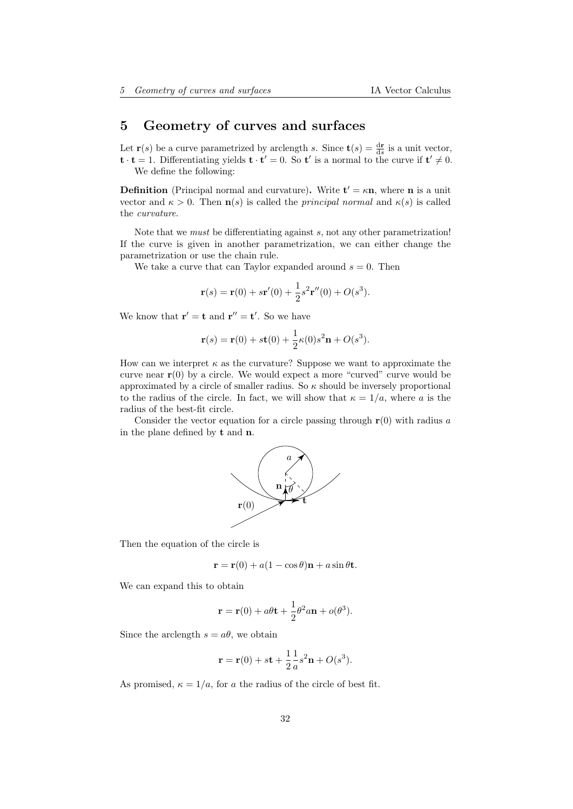# <span id="page-31-0"></span>5 Geometry of curves and surfaces

Let **r**(*s*) be a curve parametrized by arclength *s*. Since **t**(*s*) =  $\frac{d\mathbf{r}}{ds}$  is a unit vector,  $\mathbf{t} \cdot \mathbf{t} = 1$ . Differentiating yields  $\mathbf{t} \cdot \mathbf{t}' = 0$ . So  $\mathbf{t}'$  is a normal to the curve if  $\mathbf{t}' \neq 0$ . We define the following:

**Definition** (Principal normal and curvature). Write  $t' = \kappa n$ , where **n** is a unit vector and  $\kappa > 0$ . Then  $\mathbf{n}(s)$  is called the *principal normal* and  $\kappa(s)$  is called the curvature.

Note that we *must* be differentiating against s, not any other parametrization! If the curve is given in another parametrization, we can either change the parametrization or use the chain rule.

We take a curve that can Taylor expanded around  $s = 0$ . Then

$$
\mathbf{r}(s) = \mathbf{r}(0) + s\mathbf{r}'(0) + \frac{1}{2}s^{2}\mathbf{r}''(0) + O(s^{3}).
$$

We know that  $\mathbf{r}' = \mathbf{t}$  and  $\mathbf{r}'' = \mathbf{t}'$ . So we have

$$
\mathbf{r}(s) = \mathbf{r}(0) + s\mathbf{t}(0) + \frac{1}{2}\kappa(0)s^{2}\mathbf{n} + O(s^{3}).
$$

How can we interpret  $\kappa$  as the curvature? Suppose we want to approximate the curve near  $r(0)$  by a circle. We would expect a more "curved" curve would be approximated by a circle of smaller radius. So  $\kappa$  should be inversely proportional to the radius of the circle. In fact, we will show that  $\kappa = 1/a$ , where a is the radius of the best-fit circle.

Consider the vector equation for a circle passing through  $r(0)$  with radius a in the plane defined by t and n.



Then the equation of the circle is

$$
\mathbf{r} = \mathbf{r}(0) + a(1 - \cos \theta)\mathbf{n} + a\sin \theta \mathbf{t}.
$$

We can expand this to obtain

$$
\mathbf{r} = \mathbf{r}(0) + a\theta \mathbf{t} + \frac{1}{2}\theta^2 a \mathbf{n} + o(\theta^3).
$$

Since the arclength  $s = a\theta$ , we obtain

$$
\mathbf{r} = \mathbf{r}(0) + s\mathbf{t} + \frac{1}{2} \frac{1}{a} s^2 \mathbf{n} + O(s^3).
$$

As promised,  $\kappa = 1/a$ , for a the radius of the circle of best fit.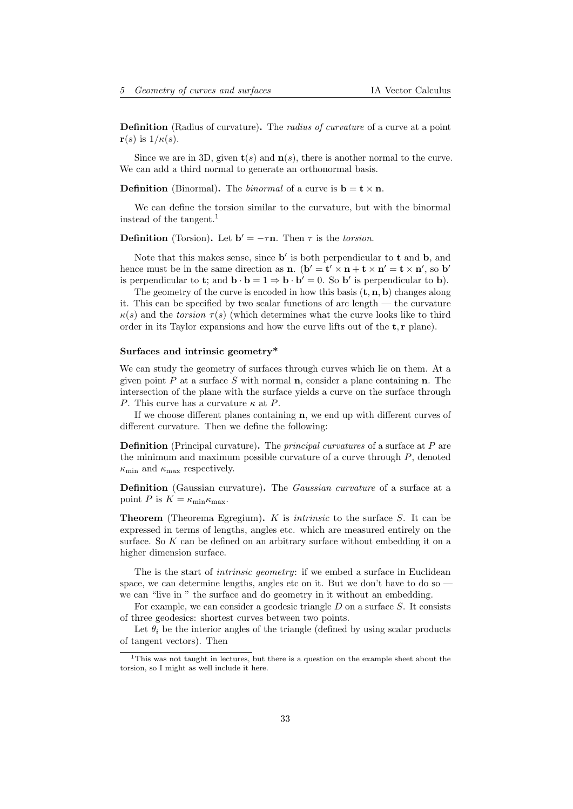Definition (Radius of curvature). The radius of curvature of a curve at a point  $\mathbf{r}(s)$  is  $1/\kappa(s)$ .

Since we are in 3D, given  $\mathbf{t}(s)$  and  $\mathbf{n}(s)$ , there is another normal to the curve. We can add a third normal to generate an orthonormal basis.

**Definition** (Binormal). The *binormal* of a curve is  $\mathbf{b} = \mathbf{t} \times \mathbf{n}$ .

We can define the torsion similar to the curvature, but with the binormal instead of the tangent.[1](#page-32-0)

**Definition** (Torsion). Let  $\mathbf{b}' = -\tau \mathbf{n}$ . Then  $\tau$  is the torsion.

Note that this makes sense, since  $\mathbf{b}'$  is both perpendicular to  $\mathbf{t}$  and  $\mathbf{b}$ , and hence must be in the same direction as **n**.  $(b' = t' \times n + t \times n' = t \times n'$ , so b' is perpendicular to **t**; and  $\mathbf{b} \cdot \mathbf{b} = 1 \Rightarrow \mathbf{b} \cdot \mathbf{b}' = 0$ . So **b**' is perpendicular to **b**).

The geometry of the curve is encoded in how this basis  $(\mathbf{t}, \mathbf{n}, \mathbf{b})$  changes along it. This can be specified by two scalar functions of arc length — the curvature  $\kappa(s)$  and the torsion  $\tau(s)$  (which determines what the curve looks like to third order in its Taylor expansions and how the curve lifts out of the  $t, r$  plane).

#### Surfaces and intrinsic geometry\*

We can study the geometry of surfaces through curves which lie on them. At a given point  $P$  at a surface  $S$  with normal **n**, consider a plane containing **n**. The intersection of the plane with the surface yields a curve on the surface through P. This curve has a curvature  $\kappa$  at P.

If we choose different planes containing n, we end up with different curves of different curvature. Then we define the following:

**Definition** (Principal curvature). The *principal curvatures* of a surface at  $P$  are the minimum and maximum possible curvature of a curve through  $P$ , denoted  $\kappa_{\min}$  and  $\kappa_{\max}$  respectively.

Definition (Gaussian curvature). The *Gaussian curvature* of a surface at a point P is  $K = \kappa_{\min} \kappa_{\max}$ .

**Theorem** (Theorema Egregium).  $K$  is *intrinsic* to the surface  $S$ . It can be expressed in terms of lengths, angles etc. which are measured entirely on the surface. So  $K$  can be defined on an arbitrary surface without embedding it on a higher dimension surface.

The is the start of *intrinsic geometry*: if we embed a surface in Euclidean space, we can determine lengths, angles etc on it. But we don't have to do so  $$ we can "live in " the surface and do geometry in it without an embedding.

For example, we can consider a geodesic triangle  $D$  on a surface  $S$ . It consists of three geodesics: shortest curves between two points.

Let  $\theta_i$  be the interior angles of the triangle (defined by using scalar products of tangent vectors). Then

<span id="page-32-0"></span><sup>1</sup>This was not taught in lectures, but there is a question on the example sheet about the torsion, so I might as well include it here.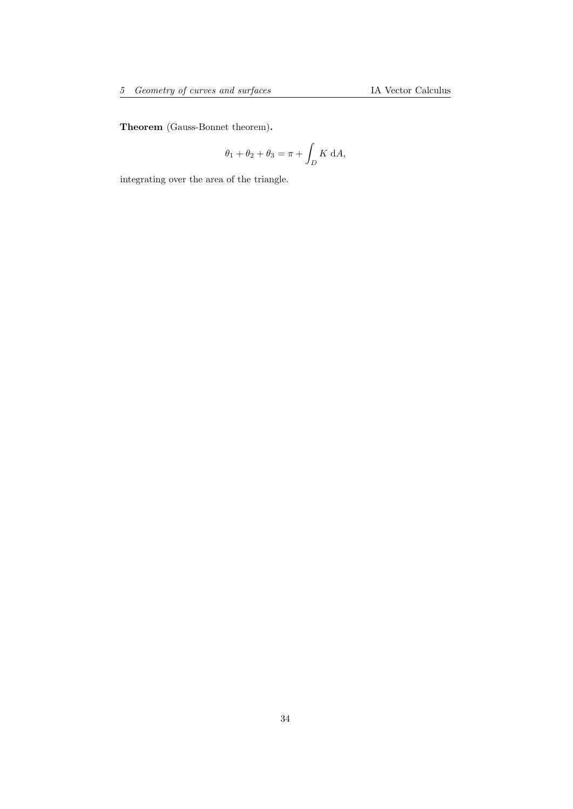Theorem (Gauss-Bonnet theorem).

$$
\theta_1 + \theta_2 + \theta_3 = \pi + \int_D K \, dA,
$$

integrating over the area of the triangle.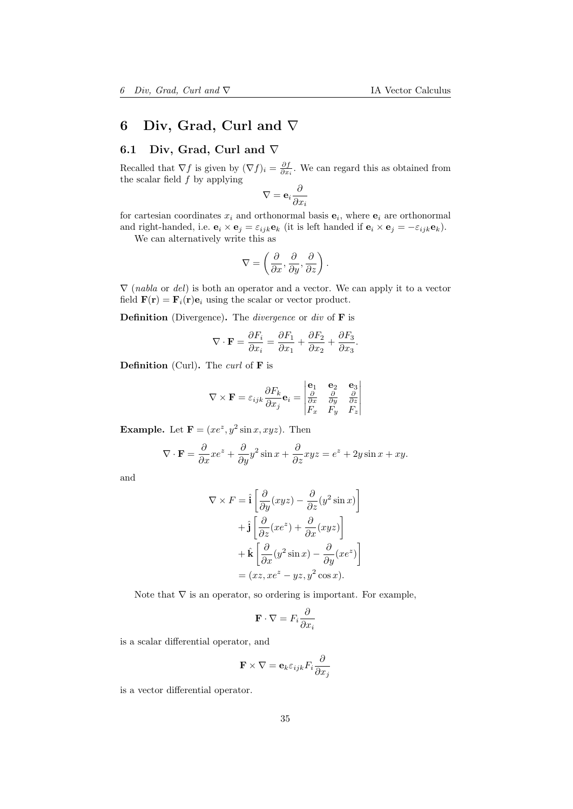# <span id="page-34-0"></span>6 Div, Grad, Curl and ∇

## <span id="page-34-1"></span>6.1 Div, Grad, Curl and ∇

Recalled that  $\nabla f$  is given by  $(\nabla f)_i = \frac{\partial f}{\partial x_i}$ . We can regard this as obtained from the scalar field  $\ddot{f}$  by applying

$$
\nabla = \mathbf{e}_i \frac{\partial}{\partial x_i}
$$

for cartesian coordinates  $x_i$  and orthonormal basis  $e_i$ , where  $e_i$  are orthonormal and right-handed, i.e.  $\mathbf{e}_i \times \mathbf{e}_j = \varepsilon_{ijk} \mathbf{e}_k$  (it is left handed if  $\mathbf{e}_i \times \mathbf{e}_j = -\varepsilon_{ijk} \mathbf{e}_k$ ).

We can alternatively write this as

$$
\nabla = \left(\frac{\partial}{\partial x}, \frac{\partial}{\partial y}, \frac{\partial}{\partial z}\right).
$$

 $\nabla$  (*nabla* or *del*) is both an operator and a vector. We can apply it to a vector field  $\mathbf{F}(\mathbf{r}) = \mathbf{F}_i(\mathbf{r})\mathbf{e}_i$  using the scalar or vector product.

**Definition** (Divergence). The *divergence* or *div* of  $\bf{F}$  is

$$
\nabla \cdot \mathbf{F} = \frac{\partial F_i}{\partial x_i} = \frac{\partial F_1}{\partial x_1} + \frac{\partial F_2}{\partial x_2} + \frac{\partial F_3}{\partial x_3}.
$$

**Definition** (Curl). The *curl* of  $\bf{F}$  is

$$
\nabla \times \mathbf{F} = \varepsilon_{ijk} \frac{\partial F_k}{\partial x_j} \mathbf{e}_i = \begin{vmatrix} \mathbf{e}_1 & \mathbf{e}_2 & \mathbf{e}_3 \\ \frac{\partial}{\partial x} & \frac{\partial}{\partial y} & \frac{\partial}{\partial z} \\ F_x & F_y & F_z \end{vmatrix}
$$

**Example.** Let  $\mathbf{F} = (xe^z, y^2 \sin x, xyz)$ . Then

$$
\nabla \cdot \mathbf{F} = \frac{\partial}{\partial x} x e^z + \frac{\partial}{\partial y} y^2 \sin x + \frac{\partial}{\partial z} xyz = e^z + 2y \sin x + xy.
$$

and

$$
\nabla \times F = \hat{\mathbf{i}} \left[ \frac{\partial}{\partial y} (xyz) - \frac{\partial}{\partial z} (y^2 \sin x) \right]
$$

$$
+ \hat{\mathbf{j}} \left[ \frac{\partial}{\partial z} (xe^z) + \frac{\partial}{\partial x} (xyz) \right]
$$

$$
+ \hat{\mathbf{k}} \left[ \frac{\partial}{\partial x} (y^2 \sin x) - \frac{\partial}{\partial y} (xe^z) \right]
$$

$$
= (xz, xe^z - yz, y^2 \cos x).
$$

Note that  $\nabla$  is an operator, so ordering is important. For example,

$$
\mathbf{F} \cdot \nabla = F_i \frac{\partial}{\partial x_i}
$$

is a scalar differential operator, and

$$
\mathbf{F} \times \nabla = \mathbf{e}_k \varepsilon_{ijk} F_i \frac{\partial}{\partial x_j}
$$

is a vector differential operator.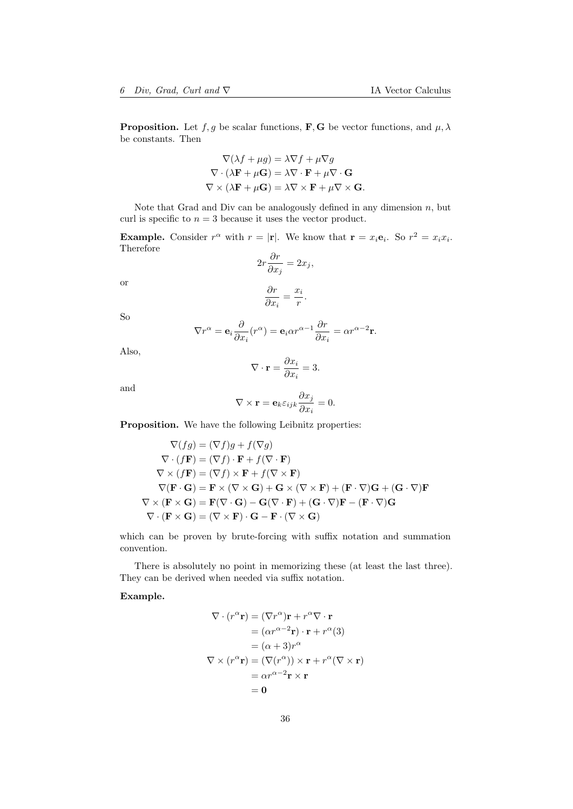**Proposition.** Let  $f, g$  be scalar functions, **F**, **G** be vector functions, and  $\mu, \lambda$ be constants. Then

$$
\nabla(\lambda f + \mu g) = \lambda \nabla f + \mu \nabla g
$$

$$
\nabla \cdot (\lambda \mathbf{F} + \mu \mathbf{G}) = \lambda \nabla \cdot \mathbf{F} + \mu \nabla \cdot \mathbf{G}
$$

$$
\nabla \times (\lambda \mathbf{F} + \mu \mathbf{G}) = \lambda \nabla \times \mathbf{F} + \mu \nabla \times \mathbf{G}.
$$

Note that Grad and Div can be analogously defined in any dimension  $n$ , but curl is specific to  $n = 3$  because it uses the vector product.

**Example.** Consider  $r^{\alpha}$  with  $r = |\mathbf{r}|$ . We know that  $\mathbf{r} = x_i \mathbf{e}_i$ . So  $r^2 = x_i x_i$ . Therefore ∂r

$$
2r\frac{\partial r}{\partial x_j} = 2x_j,
$$

or

$$
\frac{\partial r}{\partial x_i} = \frac{x_i}{r}.
$$

So

$$
\nabla r^{\alpha} = \mathbf{e}_i \frac{\partial}{\partial x_i} (r^{\alpha}) = \mathbf{e}_i \alpha r^{\alpha - 1} \frac{\partial r}{\partial x_i} = \alpha r^{\alpha - 2} \mathbf{r}.
$$

Also,

$$
\nabla \cdot \mathbf{r} = \frac{\partial x_i}{\partial x_i} = 3.
$$

and

$$
\nabla \times \mathbf{r} = \mathbf{e}_k \varepsilon_{ijk} \frac{\partial x_j}{\partial x_i} = 0.
$$

Proposition. We have the following Leibnitz properties:

$$
\nabla(fg) = (\nabla f)g + f(\nabla g)
$$
  
\n
$$
\nabla \cdot (f\mathbf{F}) = (\nabla f) \cdot \mathbf{F} + f(\nabla \cdot \mathbf{F})
$$
  
\n
$$
\nabla \times (f\mathbf{F}) = (\nabla f) \times \mathbf{F} + f(\nabla \times \mathbf{F})
$$
  
\n
$$
\nabla(\mathbf{F} \cdot \mathbf{G}) = \mathbf{F} \times (\nabla \times \mathbf{G}) + \mathbf{G} \times (\nabla \times \mathbf{F}) + (\mathbf{F} \cdot \nabla)\mathbf{G} + (\mathbf{G} \cdot \nabla)\mathbf{F}
$$
  
\n
$$
\nabla \times (\mathbf{F} \times \mathbf{G}) = \mathbf{F}(\nabla \cdot \mathbf{G}) - \mathbf{G}(\nabla \cdot \mathbf{F}) + (\mathbf{G} \cdot \nabla)\mathbf{F} - (\mathbf{F} \cdot \nabla)\mathbf{G}
$$
  
\n
$$
\nabla \cdot (\mathbf{F} \times \mathbf{G}) = (\nabla \times \mathbf{F}) \cdot \mathbf{G} - \mathbf{F} \cdot (\nabla \times \mathbf{G})
$$

which can be proven by brute-forcing with suffix notation and summation convention.

There is absolutely no point in memorizing these (at least the last three). They can be derived when needed via suffix notation.

Example.

$$
\nabla \cdot (r^{\alpha} \mathbf{r}) = (\nabla r^{\alpha}) \mathbf{r} + r^{\alpha} \nabla \cdot \mathbf{r}
$$
  
\n
$$
= (\alpha r^{\alpha - 2} \mathbf{r}) \cdot \mathbf{r} + r^{\alpha} (3)
$$
  
\n
$$
= (\alpha + 3) r^{\alpha}
$$
  
\n
$$
\nabla \times (r^{\alpha} \mathbf{r}) = (\nabla (r^{\alpha})) \times \mathbf{r} + r^{\alpha} (\nabla \times \mathbf{r})
$$
  
\n
$$
= \alpha r^{\alpha - 2} \mathbf{r} \times \mathbf{r}
$$
  
\n
$$
= 0
$$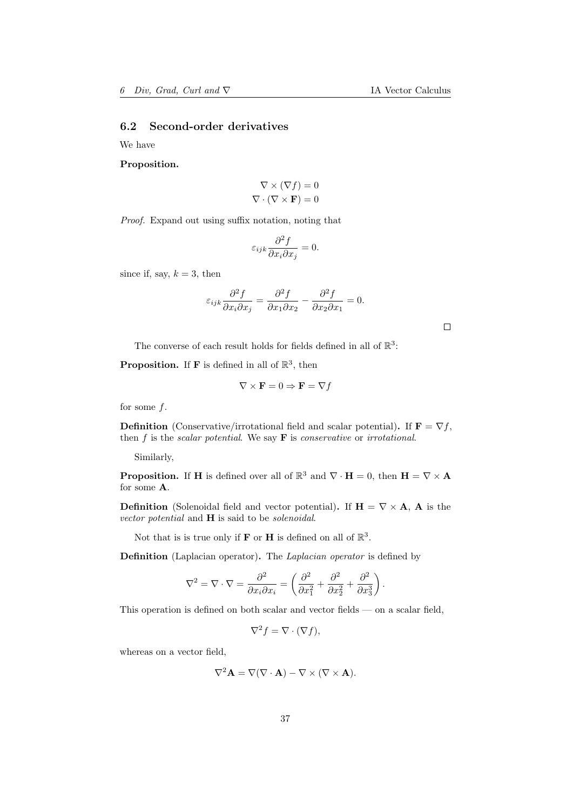# 6.2 Second-order derivatives

We have

Proposition.

$$
\nabla \times (\nabla f) = 0
$$

$$
\nabla \cdot (\nabla \times \mathbf{F}) = 0
$$

Proof. Expand out using suffix notation, noting that

$$
\varepsilon_{ijk} \frac{\partial^2 f}{\partial x_i \partial x_j} = 0.
$$

since if, say,  $k = 3$ , then

$$
\varepsilon_{ijk}\frac{\partial^2 f}{\partial x_i \partial x_j} = \frac{\partial^2 f}{\partial x_1 \partial x_2} - \frac{\partial^2 f}{\partial x_2 \partial x_1} = 0.
$$

 $\Box$ 

The converse of each result holds for fields defined in all of  $\mathbb{R}^3$ :

**Proposition.** If **F** is defined in all of  $\mathbb{R}^3$ , then

$$
\nabla \times \mathbf{F} = 0 \Rightarrow \mathbf{F} = \nabla f
$$

for some  $f$ .

**Definition** (Conservative/irrotational field and scalar potential). If  $\mathbf{F} = \nabla f$ , then  $f$  is the scalar potential. We say  $\bf{F}$  is conservative or irrotational.

Similarly,

**Proposition.** If **H** is defined over all of  $\mathbb{R}^3$  and  $\nabla \cdot \mathbf{H} = 0$ , then  $\mathbf{H} = \nabla \times \mathbf{A}$ for some A.

**Definition** (Solenoidal field and vector potential). If  $H = \nabla \times A$ , A is the vector potential and **H** is said to be solenoidal.

Not that is is true only if **F** or **H** is defined on all of  $\mathbb{R}^3$ .

Definition (Laplacian operator). The Laplacian operator is defined by

$$
\nabla^2 = \nabla \cdot \nabla = \frac{\partial^2}{\partial x_i \partial x_i} = \left( \frac{\partial^2}{\partial x_1^2} + \frac{\partial^2}{\partial x_2^2} + \frac{\partial^2}{\partial x_3^3} \right).
$$

This operation is defined on both scalar and vector fields — on a scalar field,

$$
\nabla^2 f = \nabla \cdot (\nabla f),
$$

whereas on a vector field,

$$
\nabla^2 \mathbf{A} = \nabla(\nabla \cdot \mathbf{A}) - \nabla \times (\nabla \times \mathbf{A}).
$$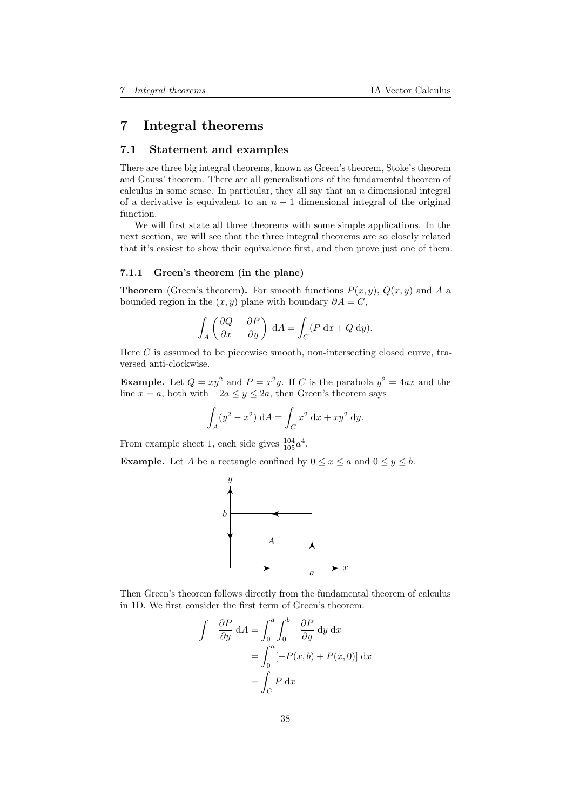# 7 Integral theorems

## 7.1 Statement and examples

There are three big integral theorems, known as Green's theorem, Stoke's theorem and Gauss' theorem. There are all generalizations of the fundamental theorem of calculus in some sense. In particular, they all say that an  $n$  dimensional integral of a derivative is equivalent to an  $n-1$  dimensional integral of the original function.

We will first state all three theorems with some simple applications. In the next section, we will see that the three integral theorems are so closely related that it's easiest to show their equivalence first, and then prove just one of them.

#### 7.1.1 Green's theorem (in the plane)

**Theorem** (Green's theorem). For smooth functions  $P(x, y)$ ,  $Q(x, y)$  and A a bounded region in the  $(x, y)$  plane with boundary  $\partial A = C$ ,

$$
\int_{A} \left( \frac{\partial Q}{\partial x} - \frac{\partial P}{\partial y} \right) dA = \int_{C} (P dx + Q dy).
$$

Here C is assumed to be piecewise smooth, non-intersecting closed curve, traversed anti-clockwise.

**Example.** Let  $Q = xy^2$  and  $P = x^2y$ . If C is the parabola  $y^2 = 4ax$  and the line  $x = a$ , both with  $-2a \le y \le 2a$ , then Green's theorem says

$$
\int_A (y^2 - x^2) \, dA = \int_C x^2 \, dx + xy^2 \, dy.
$$

From example sheet 1, each side gives  $\frac{104}{105}a^4$ .

**Example.** Let A be a rectangle confined by  $0 \le x \le a$  and  $0 \le y \le b$ .



Then Green's theorem follows directly from the fundamental theorem of calculus in 1D. We first consider the first term of Green's theorem:

$$
\int -\frac{\partial P}{\partial y} dA = \int_0^a \int_0^b -\frac{\partial P}{\partial y} dy dx
$$

$$
= \int_0^a [-P(x, b) + P(x, 0)] dx
$$

$$
= \int_C P dx
$$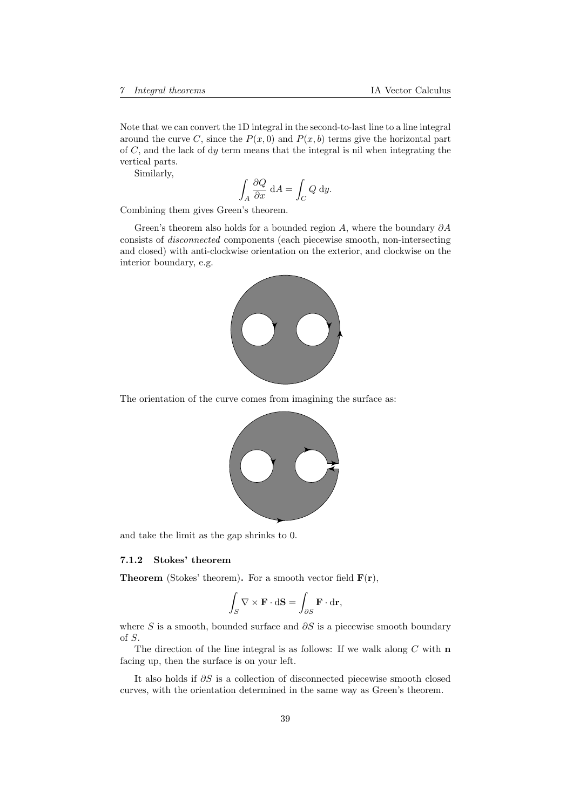Note that we can convert the 1D integral in the second-to-last line to a line integral around the curve C, since the  $P(x, 0)$  and  $P(x, b)$  terms give the horizontal part of  $C$ , and the lack of dy term means that the integral is nil when integrating the vertical parts.

Similarly,

$$
\int_A \frac{\partial Q}{\partial x} \, \mathrm{d}A = \int_C Q \, \mathrm{d}y.
$$

Combining them gives Green's theorem.

Green's theorem also holds for a bounded region A, where the boundary  $\partial A$ consists of disconnected components (each piecewise smooth, non-intersecting and closed) with anti-clockwise orientation on the exterior, and clockwise on the interior boundary, e.g.



The orientation of the curve comes from imagining the surface as:



and take the limit as the gap shrinks to 0.

#### 7.1.2 Stokes' theorem

**Theorem** (Stokes' theorem). For a smooth vector field  $F(r)$ ,

$$
\int_{S} \nabla \times \mathbf{F} \cdot d\mathbf{S} = \int_{\partial S} \mathbf{F} \cdot d\mathbf{r},
$$

where S is a smooth, bounded surface and  $\partial S$  is a piecewise smooth boundary of S.

The direction of the line integral is as follows: If we walk along  $C$  with  $n$ facing up, then the surface is on your left.

It also holds if ∂S is a collection of disconnected piecewise smooth closed curves, with the orientation determined in the same way as Green's theorem.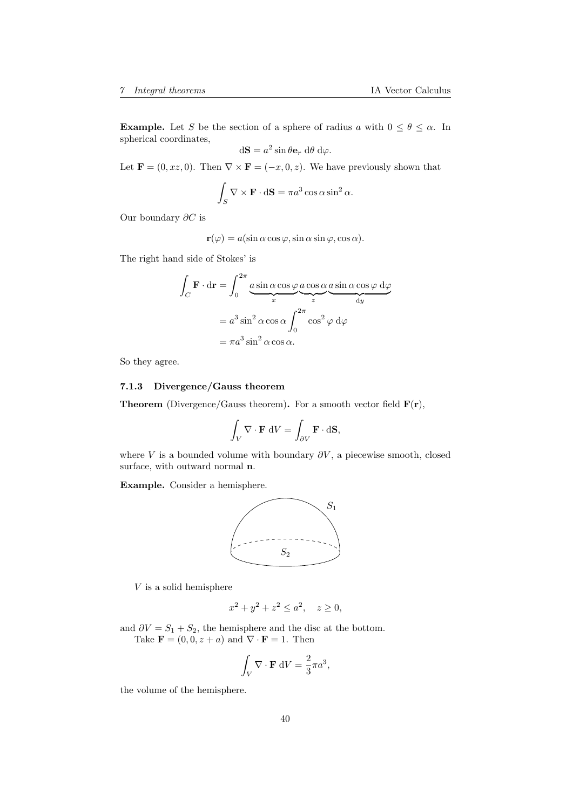**Example.** Let S be the section of a sphere of radius a with  $0 \le \theta \le \alpha$ . In spherical coordinates,

$$
d\mathbf{S} = a^2 \sin \theta \mathbf{e}_r d\theta d\varphi.
$$

Let  $\mathbf{F} = (0, xz, 0)$ . Then  $\nabla \times \mathbf{F} = (-x, 0, z)$ . We have previously shown that

$$
\int_{S} \nabla \times \mathbf{F} \cdot d\mathbf{S} = \pi a^3 \cos \alpha \sin^2 \alpha.
$$

Our boundary ∂C is

$$
\mathbf{r}(\varphi) = a(\sin \alpha \cos \varphi, \sin \alpha \sin \varphi, \cos \alpha).
$$

The right hand side of Stokes' is

$$
\int_C \mathbf{F} \cdot d\mathbf{r} = \int_0^{2\pi} a \sin \alpha \cos \varphi \underbrace{a \cos \alpha}_{x} \underbrace{a \sin \alpha \cos \varphi}_{\text{dy}} d\varphi
$$
\n
$$
= a^3 \sin^2 \alpha \cos \alpha \int_0^{2\pi} \cos^2 \varphi d\varphi
$$
\n
$$
= \pi a^3 \sin^2 \alpha \cos \alpha.
$$

So they agree.

#### 7.1.3 Divergence/Gauss theorem

**Theorem** (Divergence/Gauss theorem). For a smooth vector field  $\mathbf{F}(\mathbf{r})$ ,

$$
\int_V \nabla \cdot \mathbf{F} \, dV = \int_{\partial V} \mathbf{F} \cdot d\mathbf{S},
$$

where V is a bounded volume with boundary  $\partial V$ , a piecewise smooth, closed surface, with outward normal n.

Example. Consider a hemisphere.



 $V$  is a solid hemisphere

$$
x^2 + y^2 + z^2 \le a^2, \quad z \ge 0,
$$

and  $\partial V = S_1 + S_2$ , the hemisphere and the disc at the bottom. Take  $\mathbf{F} = (0, 0, z + a)$  and  $\nabla \cdot \mathbf{F} = 1$ . Then

$$
\int_V \nabla \cdot \mathbf{F} \, dV = \frac{2}{3} \pi a^3,
$$

the volume of the hemisphere.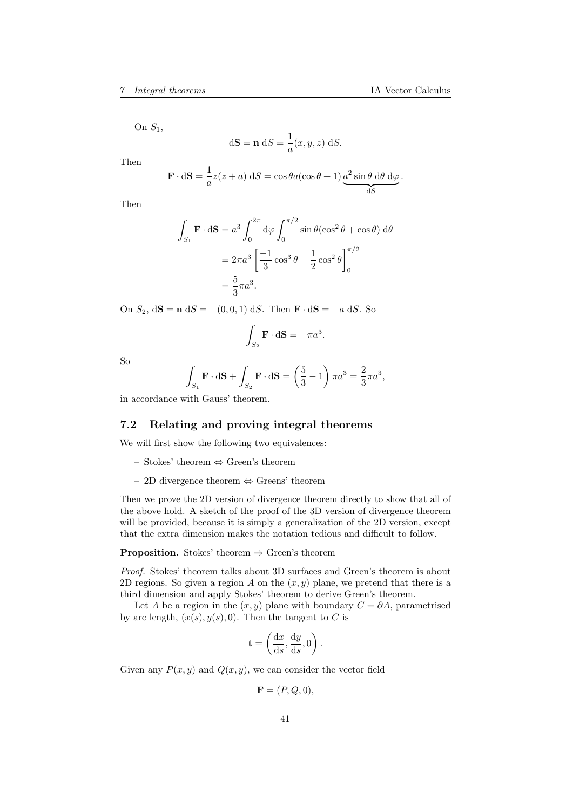On  $S_1$ ,

$$
d\mathbf{S} = \mathbf{n} \, dS = \frac{1}{a}(x, y, z) \, dS.
$$

Then

$$
\mathbf{F} \cdot d\mathbf{S} = \frac{1}{a} z(z+a) dS = \cos \theta a (\cos \theta + 1) \underbrace{a^2 \sin \theta d\theta d\varphi}_{dS}.
$$

Then

$$
\int_{S_1} \mathbf{F} \cdot d\mathbf{S} = a^3 \int_0^{2\pi} d\varphi \int_0^{\pi/2} \sin \theta (\cos^2 \theta + \cos \theta) d\theta
$$

$$
= 2\pi a^3 \left[ \frac{-1}{3} \cos^3 \theta - \frac{1}{2} \cos^2 \theta \right]_0^{\pi/2}
$$

$$
= \frac{5}{3} \pi a^3.
$$

On  $S_2$ ,  $d\mathbf{S} = \mathbf{n} dS = -(0, 0, 1) dS$ . Then  $\mathbf{F} \cdot d\mathbf{S} = -a dS$ . So

$$
\int_{S_2} \mathbf{F} \cdot d\mathbf{S} = -\pi a^3.
$$

So

$$
\int_{S_1} \mathbf{F} \cdot d\mathbf{S} + \int_{S_2} \mathbf{F} \cdot d\mathbf{S} = \left(\frac{5}{3} - 1\right) \pi a^3 = \frac{2}{3} \pi a^3,
$$

in accordance with Gauss' theorem.

## 7.2 Relating and proving integral theorems

We will first show the following two equivalences:

- Stokes' theorem ⇔ Green's theorem
- 2D divergence theorem ⇔ Greens' theorem

Then we prove the 2D version of divergence theorem directly to show that all of the above hold. A sketch of the proof of the 3D version of divergence theorem will be provided, because it is simply a generalization of the 2D version, except that the extra dimension makes the notation tedious and difficult to follow.

**Proposition.** Stokes' theorem  $\Rightarrow$  Green's theorem

Proof. Stokes' theorem talks about 3D surfaces and Green's theorem is about 2D regions. So given a region A on the  $(x, y)$  plane, we pretend that there is a third dimension and apply Stokes' theorem to derive Green's theorem.

Let A be a region in the  $(x, y)$  plane with boundary  $C = \partial A$ , parametrised by arc length,  $(x(s), y(s), 0)$ . Then the tangent to C is

$$
\mathbf{t} = \left(\frac{\mathrm{d}x}{\mathrm{d}s}, \frac{\mathrm{d}y}{\mathrm{d}s}, 0\right).
$$

Given any  $P(x, y)$  and  $Q(x, y)$ , we can consider the vector field

$$
\mathbf{F} = (P, Q, 0),
$$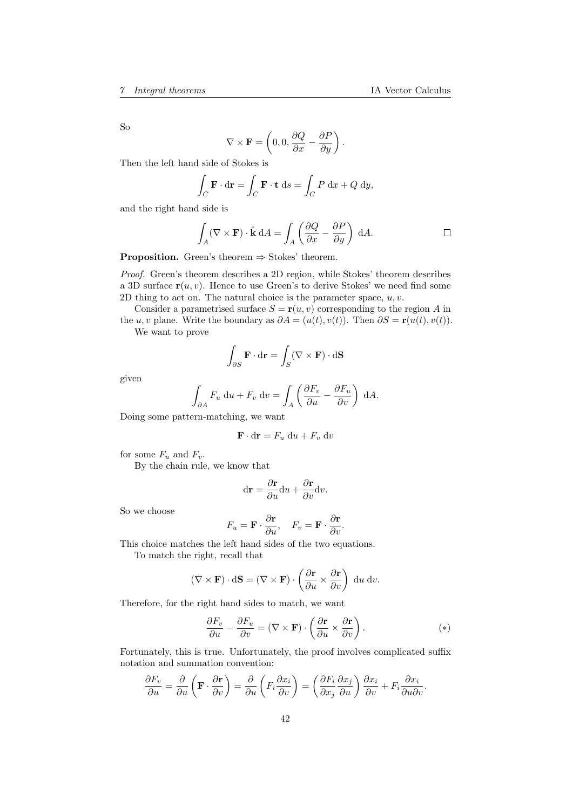So

$$
\nabla \times \mathbf{F} = \left(0, 0, \frac{\partial Q}{\partial x} - \frac{\partial P}{\partial y}\right).
$$

Then the left hand side of Stokes is

$$
\int_C \mathbf{F} \cdot d\mathbf{r} = \int_C \mathbf{F} \cdot \mathbf{t} \, ds = \int_C P \, dx + Q \, dy,
$$

and the right hand side is

$$
\int_{A} (\nabla \times \mathbf{F}) \cdot \hat{\mathbf{k}} \, dA = \int_{A} \left( \frac{\partial Q}{\partial x} - \frac{\partial P}{\partial y} \right) \, dA. \qquad \qquad \Box
$$

**Proposition.** Green's theorem  $\Rightarrow$  Stokes' theorem.

Proof. Green's theorem describes a 2D region, while Stokes' theorem describes a 3D surface  $r(u, v)$ . Hence to use Green's to derive Stokes' we need find some 2D thing to act on. The natural choice is the parameter space,  $u, v$ .

Consider a parametrised surface  $S = \mathbf{r}(u, v)$  corresponding to the region A in the u, v plane. Write the boundary as  $\partial A = (u(t), v(t))$ . Then  $\partial S = \mathbf{r}(u(t), v(t))$ .

We want to prove

$$
\int_{\partial S} \mathbf{F} \cdot d\mathbf{r} = \int_{S} (\nabla \times \mathbf{F}) \cdot d\mathbf{S}
$$

given

$$
\int_{\partial A} F_u \, \mathrm{d}u + F_v \, \mathrm{d}v = \int_A \left( \frac{\partial F_v}{\partial u} - \frac{\partial F_u}{\partial v} \right) \, \mathrm{d}A.
$$

Doing some pattern-matching, we want

$$
\mathbf{F} \cdot \mathbf{dr} = F_u \, \mathrm{d}u + F_v \, \mathrm{d}v
$$

for some  $F_u$  and  $F_v$ .

By the chain rule, we know that

$$
\mathrm{d}\mathbf{r} = \frac{\partial \mathbf{r}}{\partial u} \mathrm{d}u + \frac{\partial \mathbf{r}}{\partial v} \mathrm{d}v.
$$

So we choose

$$
F_u = \mathbf{F} \cdot \frac{\partial \mathbf{r}}{\partial u}, \quad F_v = \mathbf{F} \cdot \frac{\partial \mathbf{r}}{\partial v}.
$$

This choice matches the left hand sides of the two equations.

To match the right, recall that

$$
(\nabla \times \mathbf{F}) \cdot d\mathbf{S} = (\nabla \times \mathbf{F}) \cdot \left(\frac{\partial \mathbf{r}}{\partial u} \times \frac{\partial \mathbf{r}}{\partial v}\right) du dv.
$$

Therefore, for the right hand sides to match, we want

$$
\frac{\partial F_v}{\partial u} - \frac{\partial F_u}{\partial v} = (\nabla \times \mathbf{F}) \cdot \left( \frac{\partial \mathbf{r}}{\partial u} \times \frac{\partial \mathbf{r}}{\partial v} \right).
$$
 (\*)

Fortunately, this is true. Unfortunately, the proof involves complicated suffix notation and summation convention:

$$
\frac{\partial F_v}{\partial u} = \frac{\partial}{\partial u} \left( \mathbf{F} \cdot \frac{\partial \mathbf{r}}{\partial v} \right) = \frac{\partial}{\partial u} \left( F_i \frac{\partial x_i}{\partial v} \right) = \left( \frac{\partial F_i}{\partial x_j} \frac{\partial x_j}{\partial u} \right) \frac{\partial x_i}{\partial v} + F_i \frac{\partial x_i}{\partial u \partial v}.
$$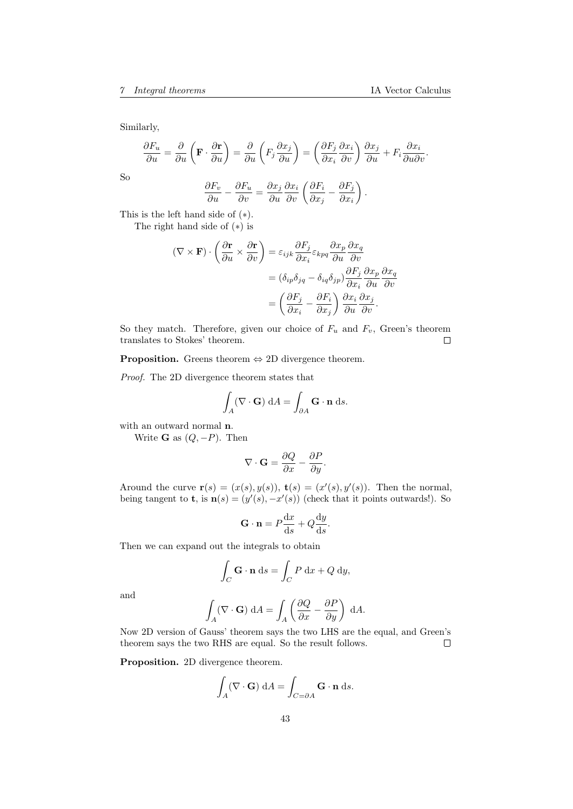Similarly,

$$
\frac{\partial F_u}{\partial u} = \frac{\partial}{\partial u} \left( \mathbf{F} \cdot \frac{\partial \mathbf{r}}{\partial u} \right) = \frac{\partial}{\partial u} \left( F_j \frac{\partial x_j}{\partial u} \right) = \left( \frac{\partial F_j}{\partial x_i} \frac{\partial x_i}{\partial v} \right) \frac{\partial x_j}{\partial u} + F_i \frac{\partial x_i}{\partial u \partial v}.
$$

So

$$
\frac{\partial F_v}{\partial u} - \frac{\partial F_u}{\partial v} = \frac{\partial x_j}{\partial u} \frac{\partial x_i}{\partial v} \left( \frac{\partial F_i}{\partial x_j} - \frac{\partial F_j}{\partial x_i} \right).
$$

This is the left hand side of (∗).

The right hand side of (∗) is

$$
(\nabla \times \mathbf{F}) \cdot \left(\frac{\partial \mathbf{r}}{\partial u} \times \frac{\partial \mathbf{r}}{\partial v}\right) = \varepsilon_{ijk} \frac{\partial F_j}{\partial x_i} \varepsilon_{kpq} \frac{\partial x_p}{\partial u} \frac{\partial x_q}{\partial v}
$$

$$
= (\delta_{ip}\delta_{jq} - \delta_{iq}\delta_{jp}) \frac{\partial F_j}{\partial x_i} \frac{\partial x_p}{\partial u} \frac{\partial x_q}{\partial v}
$$

$$
= \left(\frac{\partial F_j}{\partial x_i} - \frac{\partial F_i}{\partial x_j}\right) \frac{\partial x_i}{\partial u} \frac{\partial x_j}{\partial v}.
$$

So they match. Therefore, given our choice of  $F_u$  and  $F_v$ , Green's theorem translates to Stokes' theorem.  $\Box$ 

**Proposition.** Greens theorem  $\Leftrightarrow$  2D divergence theorem.

Proof. The 2D divergence theorem states that

$$
\int_{A} (\nabla \cdot \mathbf{G}) \, dA = \int_{\partial A} \mathbf{G} \cdot \mathbf{n} \, ds.
$$

with an outward normal n.

Write **G** as  $(Q, -P)$ . Then

$$
\nabla\cdot\mathbf{G}=\frac{\partial Q}{\partial x}-\frac{\partial P}{\partial y}.
$$

Around the curve  $\mathbf{r}(s) = (x(s), y(s)), \mathbf{t}(s) = (x'(s), y'(s)).$  Then the normal, being tangent to **t**, is  $\mathbf{n}(s) = (y'(s), -x'(s))$  (check that it points outwards!). So

$$
\mathbf{G} \cdot \mathbf{n} = P \frac{\mathrm{d}x}{\mathrm{d}s} + Q \frac{\mathrm{d}y}{\mathrm{d}s}.
$$

Then we can expand out the integrals to obtain

$$
\int_C \mathbf{G} \cdot \mathbf{n} \, ds = \int_C P \, dx + Q \, dy,
$$

and

$$
\int_A (\nabla \cdot \mathbf{G}) \, dA = \int_A \left( \frac{\partial Q}{\partial x} - \frac{\partial P}{\partial y} \right) \, dA.
$$

Now 2D version of Gauss' theorem says the two LHS are the equal, and Green's theorem says the two RHS are equal. So the result follows.  $\Box$ 

Proposition. 2D divergence theorem.

$$
\int_{A} (\nabla \cdot \mathbf{G}) \, dA = \int_{C = \partial A} \mathbf{G} \cdot \mathbf{n} \, ds.
$$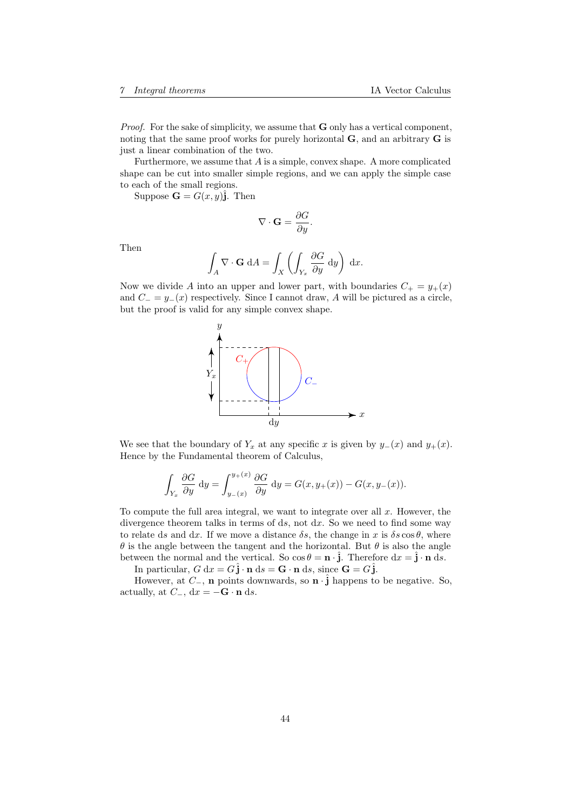*Proof.* For the sake of simplicity, we assume that  $G$  only has a vertical component, noting that the same proof works for purely horizontal **, and an arbitrary**  $**G**$  **is** just a linear combination of the two.

Furthermore, we assume that  $A$  is a simple, convex shape. A more complicated shape can be cut into smaller simple regions, and we can apply the simple case to each of the small regions.

Suppose  $\mathbf{G} = G(x, y)\hat{\mathbf{j}}$ . Then

$$
\nabla \cdot \mathbf{G} = \frac{\partial G}{\partial y}.
$$

Then

$$
\int_A \nabla \cdot \mathbf{G} \, dA = \int_X \left( \int_{Y_x} \frac{\partial G}{\partial y} \, dy \right) \, dx.
$$

Now we divide A into an upper and lower part, with boundaries  $C_+ = y_+(x)$ and  $C_ = y_-(x)$  respectively. Since I cannot draw, A will be pictured as a circle, but the proof is valid for any simple convex shape.



We see that the boundary of  $Y_x$  at any specific x is given by  $y_-(x)$  and  $y_+(x)$ . Hence by the Fundamental theorem of Calculus,

$$
\int_{Y_x} \frac{\partial G}{\partial y} dy = \int_{y_-(x)}^{y_+(x)} \frac{\partial G}{\partial y} dy = G(x, y_+(x)) - G(x, y_-(x)).
$$

To compute the full area integral, we want to integrate over all  $x$ . However, the divergence theorem talks in terms of ds, not  $dx$ . So we need to find some way to relate ds and dx. If we move a distance  $\delta s$ , the change in x is  $\delta s \cos \theta$ , where  $\theta$  is the angle between the tangent and the horizontal. But  $\theta$  is also the angle between the normal and the vertical. So  $\cos \theta = \mathbf{n} \cdot \hat{\mathbf{j}}$ . Therefore  $dx = \hat{\mathbf{j}} \cdot \mathbf{n} ds$ .

In particular,  $G dx = G\hat{j} \cdot \mathbf{n} ds = \mathbf{G} \cdot \mathbf{n} ds$ , since  $\mathbf{G} = G\hat{j}$ .

However, at  $C_$ , n points downwards, so n  $\cdot \hat{j}$  happens to be negative. So, actually, at  $C_$ , dx = −G · n ds.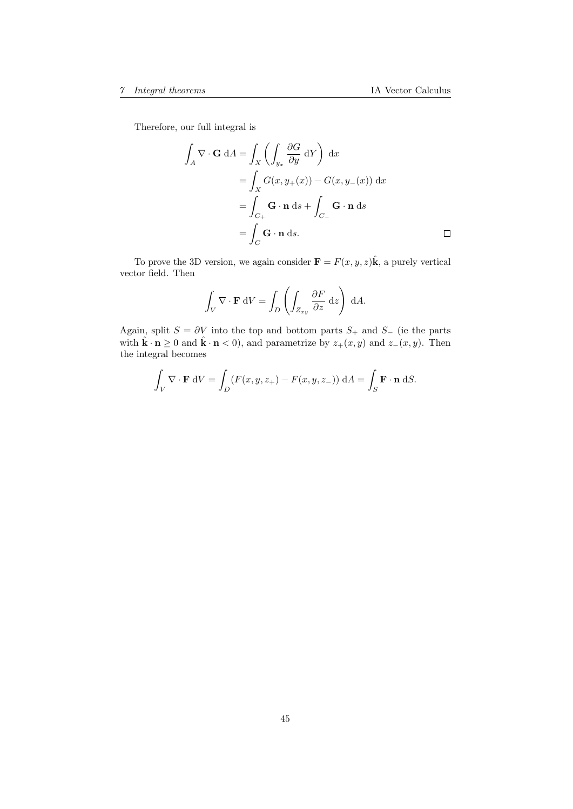Therefore, our full integral is

$$
\int_{A} \nabla \cdot \mathbf{G} dA = \int_{X} \left( \int_{y_{x}} \frac{\partial G}{\partial y} dY \right) dx
$$
  
= 
$$
\int_{X} G(x, y_{+}(x)) - G(x, y_{-}(x)) dx
$$
  
= 
$$
\int_{C_{+}} \mathbf{G} \cdot \mathbf{n} ds + \int_{C_{-}} \mathbf{G} \cdot \mathbf{n} ds
$$
  
= 
$$
\int_{C} \mathbf{G} \cdot \mathbf{n} ds.
$$

To prove the 3D version, we again consider  $\mathbf{F} = F(x, y, z)\hat{\mathbf{k}}$ , a purely vertical vector field. Then

$$
\int_V \nabla \cdot \mathbf{F} \, dV = \int_D \left( \int_{Z_{xy}} \frac{\partial F}{\partial z} \, dz \right) \, dA.
$$

Again, split  $S = \partial V$  into the top and bottom parts  $S_+$  and  $S_-$  (ie the parts with  $\hat{\mathbf{k}} \cdot \mathbf{n} \ge 0$  and  $\hat{\mathbf{k}} \cdot \mathbf{n} < 0$ , and parametrize by  $z_+(x, y)$  and  $z_-(x, y)$ . Then the integral becomes

$$
\int_{V} \nabla \cdot \mathbf{F} \, dV = \int_{D} (F(x, y, z_{+}) - F(x, y, z_{-})) \, dA = \int_{S} \mathbf{F} \cdot \mathbf{n} \, dS.
$$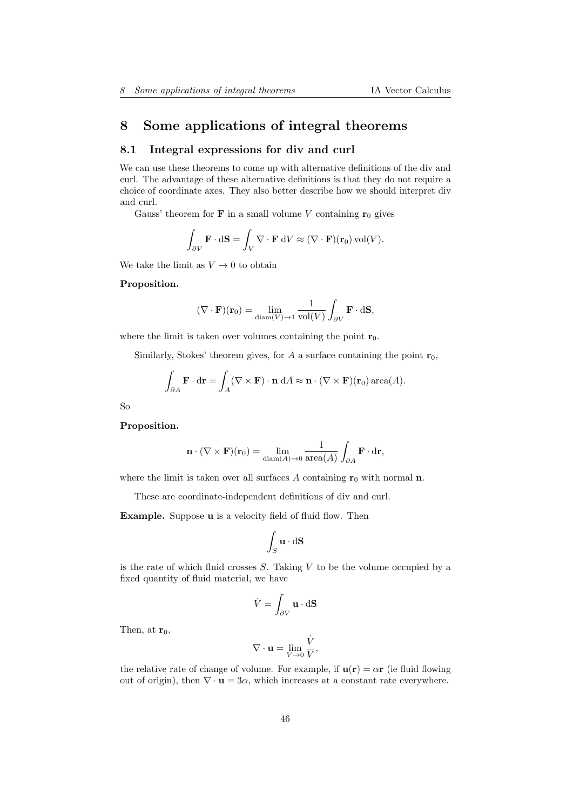# 8 Some applications of integral theorems

## 8.1 Integral expressions for div and curl

We can use these theorems to come up with alternative definitions of the div and curl. The advantage of these alternative definitions is that they do not require a choice of coordinate axes. They also better describe how we should interpret div and curl.

Gauss' theorem for **F** in a small volume V containing  $\mathbf{r}_0$  gives

$$
\int_{\partial V} \mathbf{F} \cdot d\mathbf{S} = \int_{V} \nabla \cdot \mathbf{F} \, dV \approx (\nabla \cdot \mathbf{F})(\mathbf{r}_0) \operatorname{vol}(V).
$$

We take the limit as  $V \to 0$  to obtain

#### Proposition.

$$
(\nabla \cdot \mathbf{F})(\mathbf{r}_0) = \lim_{\text{diam}(V) \to 1} \frac{1}{\text{vol}(V)} \int_{\partial V} \mathbf{F} \cdot d\mathbf{S},
$$

where the limit is taken over volumes containing the point  $r_0$ .

Similarly, Stokes' theorem gives, for A a surface containing the point  $r_0$ ,

$$
\int_{\partial A} \mathbf{F} \cdot d\mathbf{r} = \int_A (\nabla \times \mathbf{F}) \cdot \mathbf{n} \, dA \approx \mathbf{n} \cdot (\nabla \times \mathbf{F})(\mathbf{r}_0) \operatorname{area}(A).
$$

So

#### Proposition.

$$
\mathbf{n} \cdot (\nabla \times \mathbf{F})(\mathbf{r}_0) = \lim_{\text{diam}(A) \to 0} \frac{1}{\text{area}(A)} \int_{\partial A} \mathbf{F} \cdot d\mathbf{r},
$$

where the limit is taken over all surfaces A containing  $r_0$  with normal n.

These are coordinate-independent definitions of div and curl.

Example. Suppose **u** is a velocity field of fluid flow. Then

$$
\int_S \mathbf{u} \cdot d\mathbf{S}
$$

is the rate of which fluid crosses  $S$ . Taking  $V$  to be the volume occupied by a fixed quantity of fluid material, we have

$$
\dot{V} = \int_{\partial V} \mathbf{u} \cdot d\mathbf{S}
$$

Then, at  $r_0$ ,

$$
\nabla \cdot \mathbf{u} = \lim_{V \to 0} \frac{\dot{V}}{V},
$$

the relative rate of change of volume. For example, if  $\mathbf{u}(\mathbf{r}) = \alpha \mathbf{r}$  (ie fluid flowing out of origin), then  $\nabla \cdot \mathbf{u} = 3\alpha$ , which increases at a constant rate everywhere.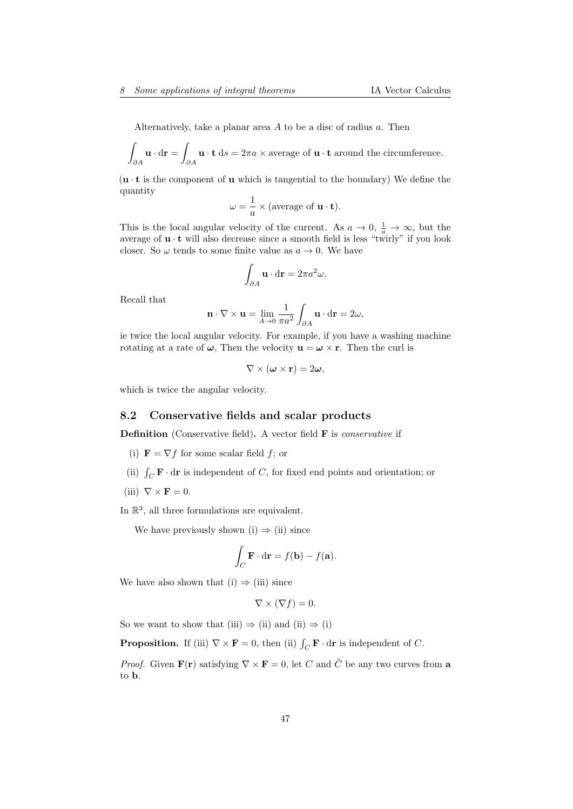Alternatively, take a planar area A to be a disc of radius a. Then

$$
\int_{\partial A} \mathbf{u} \cdot d\mathbf{r} = \int_{\partial A} \mathbf{u} \cdot \mathbf{t} \, ds = 2\pi a \times \text{average of } \mathbf{u} \cdot \mathbf{t} \text{ around the circumference.}
$$

 $(\mathbf{u} \cdot \mathbf{t})$  is the component of **u** which is tangential to the boundary) We define the quantity

$$
\omega = \frac{1}{a} \times (\text{average of } \mathbf{u} \cdot \mathbf{t}).
$$

This is the local angular velocity of the current. As  $a \to 0$ ,  $\frac{1}{a} \to \infty$ , but the average of  $\mathbf{u} \cdot \mathbf{t}$  will also decrease since a smooth field is less "twirly" if you look closer. So  $\omega$  tends to some finite value as  $a \to 0$ . We have

$$
\int_{\partial A} \mathbf{u} \cdot d\mathbf{r} = 2\pi a^2 \omega.
$$

Recall that

$$
\mathbf{n} \cdot \nabla \times \mathbf{u} = \lim_{A \to 0} \frac{1}{\pi a^2} \int_{\partial A} \mathbf{u} \cdot d\mathbf{r} = 2\omega,
$$

ie twice the local angular velocity. For example, if you have a washing machine rotating at a rate of  $\omega$ , Then the velocity  $\mathbf{u} = \boldsymbol{\omega} \times \mathbf{r}$ . Then the curl is

$$
\nabla \times (\boldsymbol{\omega} \times \mathbf{r}) = 2\boldsymbol{\omega},
$$

which is twice the angular velocity.

## 8.2 Conservative fields and scalar products

**Definition** (Conservative field). A vector field  $\bf{F}$  is *conservative* if

- (i)  $\mathbf{F} = \nabla f$  for some scalar field f; or
- (ii)  $\int_C \mathbf{F} \cdot d\mathbf{r}$  is independent of C, for fixed end points and orientation; or
- (iii)  $\nabla \times \mathbf{F} = 0$ .

In  $\mathbb{R}^3$ , all three formulations are equivalent.

We have previously shown (i)  $\Rightarrow$  (ii) since

$$
\int_C \mathbf{F} \cdot d\mathbf{r} = f(\mathbf{b}) - f(\mathbf{a}).
$$

We have also shown that (i)  $\Rightarrow$  (iii) since

$$
\nabla \times (\nabla f) = 0.
$$

So we want to show that (iii)  $\Rightarrow$  (ii) and (ii)  $\Rightarrow$  (i)

**Proposition.** If (iii)  $\nabla \times \mathbf{F} = 0$ , then (ii)  $\int_C \mathbf{F} \cdot d\mathbf{r}$  is independent of C.

*Proof.* Given  $\mathbf{F}(\mathbf{r})$  satisfying  $\nabla \times \mathbf{F} = 0$ , let C and  $\tilde{C}$  be any two curves from a to b.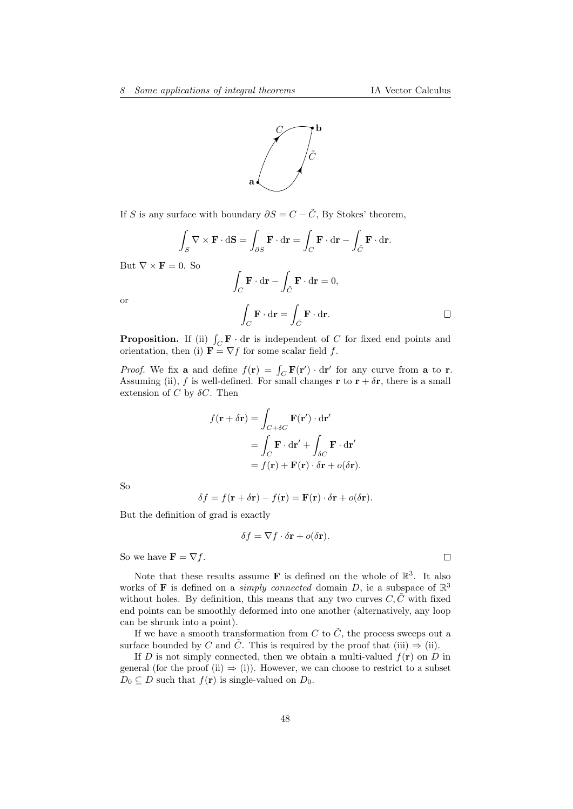

If S is any surface with boundary  $\partial S = C - \tilde{C}$ , By Stokes' theorem,

$$
\int_{S} \nabla \times \mathbf{F} \cdot d\mathbf{S} = \int_{\partial S} \mathbf{F} \cdot d\mathbf{r} = \int_{C} \mathbf{F} \cdot d\mathbf{r} - \int_{\tilde{C}} \mathbf{F} \cdot d\mathbf{r}.
$$

But  $\nabla \times \mathbf{F} = 0$ . So

$$
\int_C \mathbf{F} \cdot d\mathbf{r} - \int_{\tilde{C}} \mathbf{F} \cdot d\mathbf{r} = 0,
$$
\n
$$
\int_C \mathbf{F} \cdot d\mathbf{r} = \int_{\tilde{C}} \mathbf{F} \cdot d\mathbf{r}.
$$

or

**Proposition.** If (ii)  $\int_C \mathbf{F} \cdot d\mathbf{r}$  is independent of C for fixed end points and orientation, then (i)  $\mathbf{F} = \nabla f$  for some scalar field f.

*Proof.* We fix **a** and define  $f(\mathbf{r}) = \int_C \mathbf{F}(\mathbf{r}') \cdot d\mathbf{r}'$  for any curve from **a** to **r**. Assuming (ii), f is well-defined. For small changes **r** to  $\mathbf{r} + \delta \mathbf{r}$ , there is a small extension of C by  $\delta C$ . Then

$$
f(\mathbf{r} + \delta \mathbf{r}) = \int_{C + \delta C} \mathbf{F}(\mathbf{r}') \cdot d\mathbf{r}'
$$
  
= 
$$
\int_{C} \mathbf{F} \cdot d\mathbf{r}' + \int_{\delta C} \mathbf{F} \cdot d\mathbf{r}'
$$
  
= 
$$
f(\mathbf{r}) + \mathbf{F}(\mathbf{r}) \cdot \delta \mathbf{r} + o(\delta \mathbf{r}).
$$

So

$$
\delta f = f(\mathbf{r} + \delta \mathbf{r}) - f(\mathbf{r}) = \mathbf{F}(\mathbf{r}) \cdot \delta \mathbf{r} + o(\delta \mathbf{r}).
$$

But the definition of grad is exactly

$$
\delta f = \nabla f \cdot \delta \mathbf{r} + o(\delta \mathbf{r}).
$$

So we have  $\mathbf{F} = \nabla f$ .

Note that these results assume **F** is defined on the whole of  $\mathbb{R}^3$ . It also works of **F** is defined on a *simply connected* domain D, ie a subspace of  $\mathbb{R}^3$ without holes. By definition, this means that any two curves  $C, \tilde{C}$  with fixed end points can be smoothly deformed into one another (alternatively, any loop can be shrunk into a point).

If we have a smooth transformation from C to  $\tilde{C}$ , the process sweeps out a surface bounded by C and  $\tilde{C}$ . This is required by the proof that (iii)  $\Rightarrow$  (ii).

If D is not simply connected, then we obtain a multi-valued  $f(\mathbf{r})$  on D in general (for the proof (ii)  $\Rightarrow$  (i)). However, we can choose to restrict to a subset  $D_0 \subseteq D$  such that  $f(\mathbf{r})$  is single-valued on  $D_0$ .

 $\Box$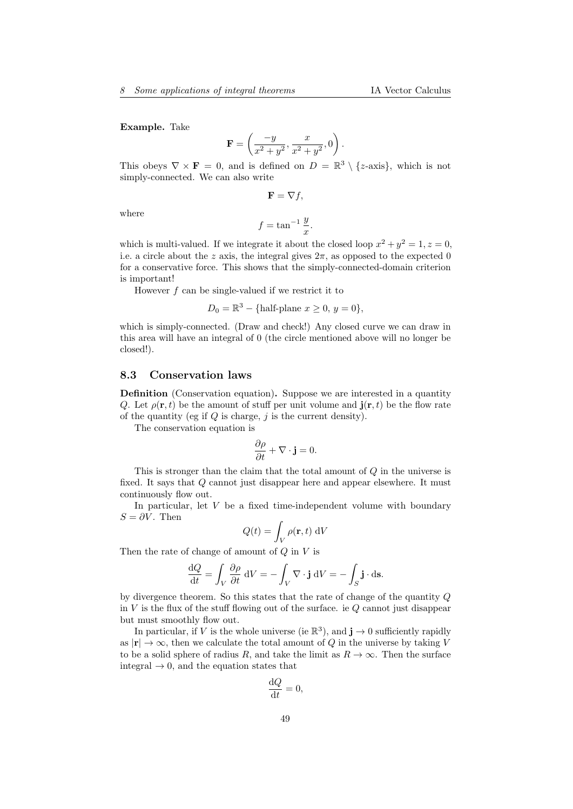Example. Take

$$
\mathbf{F} = \left(\frac{-y}{x^2 + y^2}, \frac{x}{x^2 + y^2}, 0\right).
$$

This obeys  $\nabla \times \mathbf{F} = 0$ , and is defined on  $D = \mathbb{R}^3 \setminus \{z\text{-axis}\}\,$ , which is not simply-connected. We can also write

 $\mathbf{F} = \nabla f,$ 

where

$$
f = \tan^{-1} \frac{y}{x}.
$$

which is multi-valued. If we integrate it about the closed loop  $x^2 + y^2 = 1, z = 0$ , i.e. a circle about the z axis, the integral gives  $2\pi$ , as opposed to the expected 0 for a conservative force. This shows that the simply-connected-domain criterion is important!

However f can be single-valued if we restrict it to

 $D_0 = \mathbb{R}^3 - {\text{half-plane}} \ x \ge 0, \ y = 0,$ 

which is simply-connected. (Draw and check!) Any closed curve we can draw in this area will have an integral of 0 (the circle mentioned above will no longer be closed!).

## 8.3 Conservation laws

Definition (Conservation equation). Suppose we are interested in a quantity Q. Let  $\rho(\mathbf{r},t)$  be the amount of stuff per unit volume and  $\mathbf{j}(\mathbf{r},t)$  be the flow rate of the quantity (eg if  $Q$  is charge,  $j$  is the current density).

The conservation equation is

$$
\frac{\partial \rho}{\partial t} + \nabla \cdot \mathbf{j} = 0.
$$

This is stronger than the claim that the total amount of Q in the universe is fixed. It says that Q cannot just disappear here and appear elsewhere. It must continuously flow out.

In particular, let  $V$  be a fixed time-independent volume with boundary  $S = \partial V$ . Then

$$
Q(t) = \int_{V} \rho(\mathbf{r}, t) \, \mathrm{d}V
$$

Then the rate of change of amount of  $Q$  in  $V$  is

$$
\frac{\mathrm{d}Q}{\mathrm{d}t} = \int_{V} \frac{\partial \rho}{\partial t} \, \mathrm{d}V = -\int_{V} \nabla \cdot \mathbf{j} \, \mathrm{d}V = -\int_{S} \mathbf{j} \cdot \mathrm{d}\mathbf{s}.
$$

by divergence theorem. So this states that the rate of change of the quantity Q in  $V$  is the flux of the stuff flowing out of the surface. ie  $Q$  cannot just disappear but must smoothly flow out.

In particular, if V is the whole universe (ie  $\mathbb{R}^3$ ), and  $\mathbf{j} \to 0$  sufficiently rapidly as  $|\mathbf{r}| \to \infty$ , then we calculate the total amount of Q in the universe by taking V to be a solid sphere of radius R, and take the limit as  $R \to \infty$ . Then the surface integral  $\rightarrow 0$ , and the equation states that

$$
\frac{\mathrm{d}Q}{\mathrm{d}t} = 0,
$$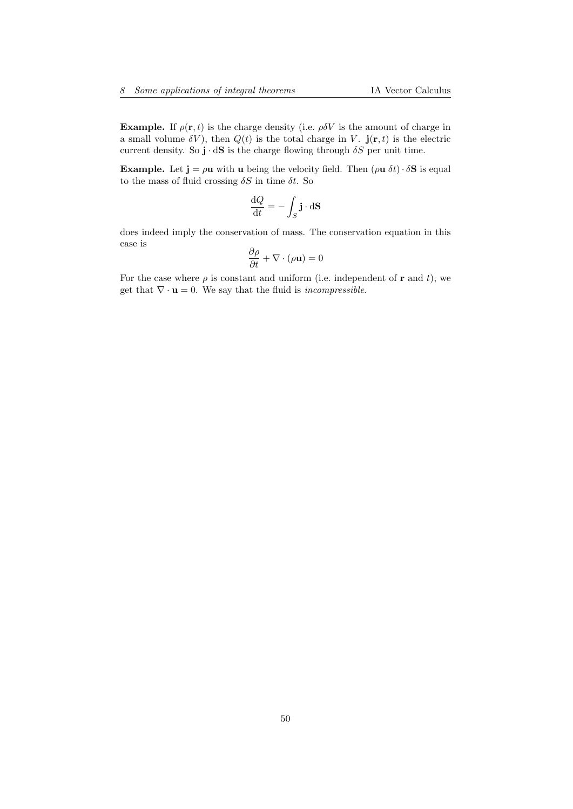**Example.** If  $\rho(\mathbf{r}, t)$  is the charge density (i.e.  $\rho \delta V$  is the amount of charge in a small volume  $\delta V$ ), then  $Q(t)$  is the total charge in V.  $\mathbf{j}(\mathbf{r},t)$  is the electric current density. So  $\mathbf{j} \cdot d\mathbf{S}$  is the charge flowing through  $\delta S$  per unit time.

**Example.** Let  $\mathbf{j} = \rho \mathbf{u}$  with  $\mathbf{u}$  being the velocity field. Then  $(\rho \mathbf{u} \delta t) \cdot \delta \mathbf{S}$  is equal to the mass of fluid crossing  $\delta S$  in time  $\delta t$ . So

$$
\frac{\mathrm{d}Q}{\mathrm{d}t} = -\int_{S} \mathbf{j} \cdot \mathrm{d} \mathbf{S}
$$

does indeed imply the conservation of mass. The conservation equation in this case is

$$
\frac{\partial \rho}{\partial t} + \nabla \cdot (\rho \mathbf{u}) = 0
$$

For the case where  $\rho$  is constant and uniform (i.e. independent of **r** and *t*), we get that  $\nabla \cdot \mathbf{u} = 0$ . We say that the fluid is *incompressible*.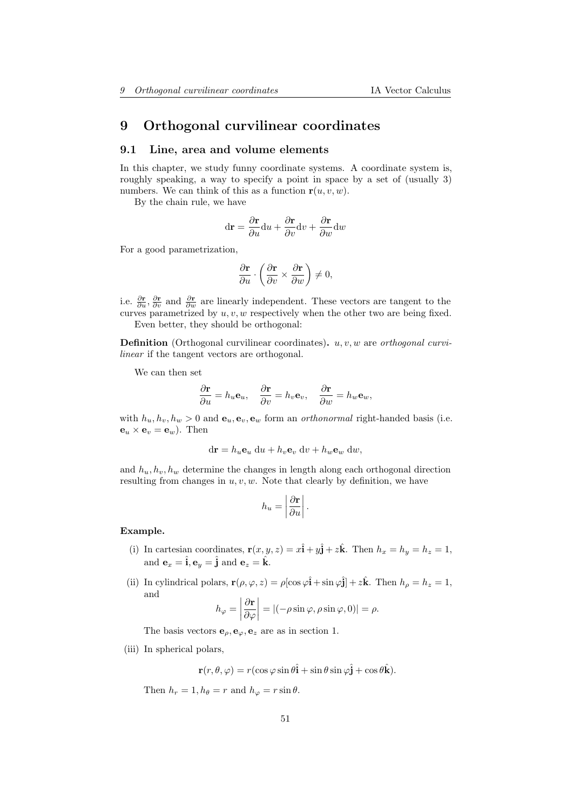# 9 Orthogonal curvilinear coordinates

#### 9.1 Line, area and volume elements

In this chapter, we study funny coordinate systems. A coordinate system is, roughly speaking, a way to specify a point in space by a set of (usually 3) numbers. We can think of this as a function  $r(u, v, w)$ .

By the chain rule, we have

$$
\mathrm{d}\mathbf{r} = \frac{\partial \mathbf{r}}{\partial u}\mathrm{d}u + \frac{\partial \mathbf{r}}{\partial v}\mathrm{d}v + \frac{\partial \mathbf{r}}{\partial w}\mathrm{d}w
$$

For a good parametrization,

$$
\frac{\partial \mathbf{r}}{\partial u} \cdot \left( \frac{\partial \mathbf{r}}{\partial v} \times \frac{\partial \mathbf{r}}{\partial w} \right) \neq 0,
$$

i.e.  $\frac{\partial \mathbf{r}}{\partial u}$ ,  $\frac{\partial \mathbf{r}}{\partial v}$  and  $\frac{\partial \mathbf{r}}{\partial w}$  are linearly independent. These vectors are tangent to the curves parametrized by  $u, v, w$  respectively when the other two are being fixed. Even better, they should be orthogonal:

**Definition** (Orthogonal curvilinear coordinates).  $u, v, w$  are *orthogonal curvi*linear if the tangent vectors are orthogonal.

We can then set

$$
\frac{\partial \mathbf{r}}{\partial u} = h_u \mathbf{e}_u, \quad \frac{\partial \mathbf{r}}{\partial v} = h_v \mathbf{e}_v, \quad \frac{\partial \mathbf{r}}{\partial w} = h_w \mathbf{e}_w,
$$

with  $h_u, h_v, h_w > 0$  and  $\mathbf{e}_u, \mathbf{e}_v, \mathbf{e}_w$  form an *orthonormal* right-handed basis (i.e.  $\mathbf{e}_u \times \mathbf{e}_v = \mathbf{e}_w$ . Then

$$
d\mathbf{r} = h_u \mathbf{e}_u \ du + h_v \mathbf{e}_v \ dv + h_w \mathbf{e}_w \ dw,
$$

and  $h_u, h_v, h_w$  determine the changes in length along each orthogonal direction resulting from changes in  $u, v, w$ . Note that clearly by definition, we have

$$
h_u = \left| \frac{\partial \mathbf{r}}{\partial u} \right|.
$$

#### Example.

- (i) In cartesian coordinates,  $\mathbf{r}(x, y, z) = x\hat{\mathbf{i}} + y\hat{\mathbf{j}} + z\hat{\mathbf{k}}$ . Then  $h_x = h_y = h_z = 1$ , and  $\mathbf{e}_x = \hat{\mathbf{i}}, \mathbf{e}_y = \hat{\mathbf{j}}$  and  $\mathbf{e}_z = \hat{\mathbf{k}}$ .
- (ii) In cylindrical polars,  $\mathbf{r}(\rho, \varphi, z) = \rho[\cos \varphi \hat{\mathbf{i}} + \sin \varphi \hat{\mathbf{j}}] + z\hat{\mathbf{k}}$ . Then  $h_{\rho} = h_z = 1$ , and

$$
h_{\varphi} = \left| \frac{\partial \mathbf{r}}{\partial \varphi} \right| = \left| (-\rho \sin \varphi, \rho \sin \varphi, 0) \right| = \rho.
$$

The basis vectors  $\mathbf{e}_{\rho}, \mathbf{e}_{\varphi}, \mathbf{e}_z$  are as in section 1.

(iii) In spherical polars,

 $\mathbf{r}(r,\theta,\varphi) = r(\cos\varphi\sin\theta\hat{\mathbf{i}} + \sin\theta\sin\varphi\hat{\mathbf{j}} + \cos\theta\hat{\mathbf{k}}).$ 

Then  $h_r = 1$ ,  $h_\theta = r$  and  $h_\varphi = r \sin \theta$ .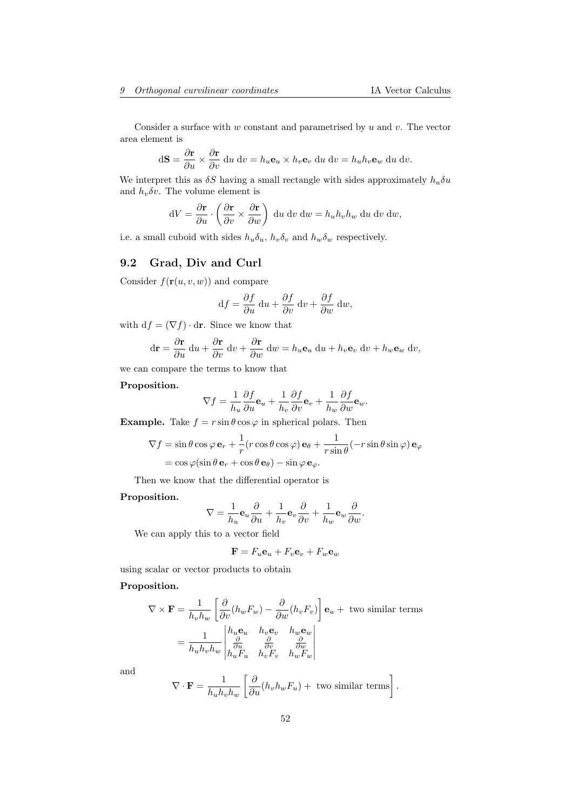Consider a surface with  $w$  constant and parametrised by  $u$  and  $v$ . The vector area element is

$$
d\mathbf{S} = \frac{\partial \mathbf{r}}{\partial u} \times \frac{\partial \mathbf{r}}{\partial v} \, du \, dv = h_u \mathbf{e}_u \times h_v \mathbf{e}_v \, du \, dv = h_u h_v \mathbf{e}_w \, du \, dv.
$$

We interpret this as  $\delta S$  having a small rectangle with sides approximately  $h_u \delta u$ and  $h_v \delta v$ . The volume element is

$$
dV = \frac{\partial \mathbf{r}}{\partial u} \cdot \left( \frac{\partial \mathbf{r}}{\partial v} \times \frac{\partial \mathbf{r}}{\partial w} \right) du dv dw = h_u h_v h_w du dv dw,
$$

i.e. a small cuboid with sides  $h_u \delta_u$ ,  $h_v \delta_v$  and  $h_w \delta_w$  respectively.

# 9.2 Grad, Div and Curl

Consider  $f(\mathbf{r}(u, v, w))$  and compare

$$
df = \frac{\partial f}{\partial u} du + \frac{\partial f}{\partial v} dv + \frac{\partial f}{\partial w} dw,
$$

with  $df = (\nabla f) \cdot dr$ . Since we know that

$$
d\mathbf{r} = \frac{\partial \mathbf{r}}{\partial u} du + \frac{\partial \mathbf{r}}{\partial v} dv + \frac{\partial \mathbf{r}}{\partial w} dw = h_u \mathbf{e}_u du + h_v \mathbf{e}_v dv + h_w \mathbf{e}_w dv,
$$

we can compare the terms to know that

### Proposition.

$$
\nabla f = \frac{1}{h_u} \frac{\partial f}{\partial u} \mathbf{e}_u + \frac{1}{h_v} \frac{\partial f}{\partial v} \mathbf{e}_v + \frac{1}{h_w} \frac{\partial f}{\partial w} \mathbf{e}_w.
$$

**Example.** Take  $f = r \sin \theta \cos \varphi$  in spherical polars. Then

$$
\nabla f = \sin \theta \cos \varphi \mathbf{e}_r + \frac{1}{r} (r \cos \theta \cos \varphi) \mathbf{e}_\theta + \frac{1}{r \sin \theta} (-r \sin \theta \sin \varphi) \mathbf{e}_\varphi
$$
  
=  $\cos \varphi (\sin \theta \mathbf{e}_r + \cos \theta \mathbf{e}_\theta) - \sin \varphi \mathbf{e}_\varphi.$ 

Then we know that the differential operator is

#### Proposition.

$$
\nabla=\frac{1}{h_u}\mathbf{e}_u\frac{\partial}{\partial u}+\frac{1}{h_v}\mathbf{e}_v\frac{\partial}{\partial v}+\frac{1}{h_w}\mathbf{e}_w\frac{\partial}{\partial w}.
$$

We can apply this to a vector field

$$
\mathbf{F} = F_u \mathbf{e}_u + F_v \mathbf{e}_v + F_w \mathbf{e}_w
$$

using scalar or vector products to obtain

#### Proposition.

$$
\nabla \times \mathbf{F} = \frac{1}{h_v h_w} \left[ \frac{\partial}{\partial v} (h_w F_w) - \frac{\partial}{\partial w} (h_v F_v) \right] \mathbf{e}_u + \text{ two similar terms}
$$

$$
= \frac{1}{h_u h_v h_w} \begin{vmatrix} h_u \mathbf{e}_u & h_v \mathbf{e}_v & h_w \mathbf{e}_w \\ \frac{\partial}{\partial u} & \frac{\partial}{\partial v} & \frac{\partial}{\partial w} \\ h_u F_u & h_v F_v & h_w F_w \end{vmatrix}
$$

and

$$
\nabla \cdot \mathbf{F} = \frac{1}{h_u h_v h_w} \left[ \frac{\partial}{\partial u} (h_v h_w F_u) + \text{ two similar terms} \right].
$$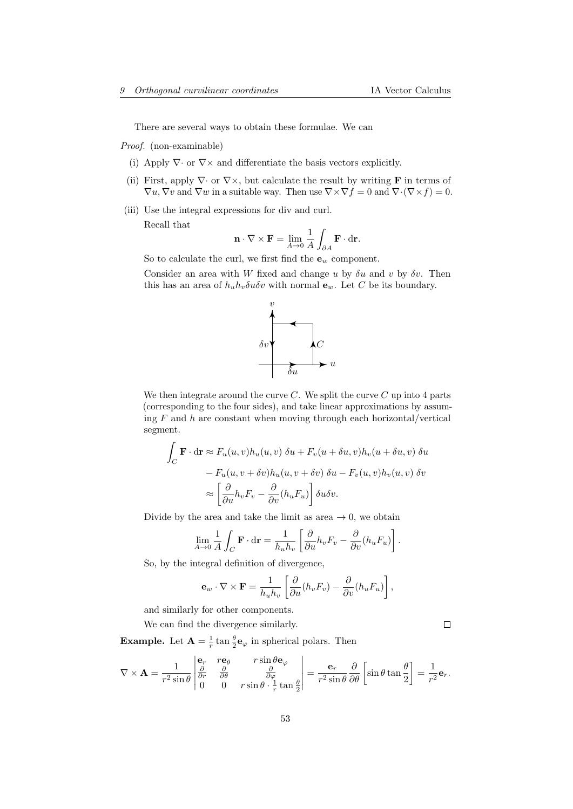There are several ways to obtain these formulae. We can

Proof. (non-examinable)

- (i) Apply  $\nabla \cdot$  or  $\nabla \times$  and differentiate the basis vectors explicitly.
- (ii) First, apply  $\nabla \cdot$  or  $\nabla \times$ , but calculate the result by writing **F** in terms of  $\nabla u, \nabla v$  and  $\nabla w$  in a suitable way. Then use  $\nabla \times \nabla f = 0$  and  $\nabla \cdot (\nabla \times f) = 0$ .
- (iii) Use the integral expressions for div and curl. Recall that

$$
\mathbf{n} \cdot \nabla \times \mathbf{F} = \lim_{A \to 0} \frac{1}{A} \int_{\partial A} \mathbf{F} \cdot d\mathbf{r}.
$$

So to calculate the curl, we first find the  $\mathbf{e}_w$  component.

Consider an area with W fixed and change u by  $\delta u$  and v by  $\delta v$ . Then this has an area of  $h_u h_v \delta u \delta v$  with normal  $\mathbf{e}_w$ . Let C be its boundary.



We then integrate around the curve  $C$ . We split the curve  $C$  up into 4 parts (corresponding to the four sides), and take linear approximations by assuming  $F$  and  $h$  are constant when moving through each horizontal/vertical segment.

$$
\int_C \mathbf{F} \cdot d\mathbf{r} \approx F_u(u, v) h_u(u, v) \, \delta u + F_v(u + \delta u, v) h_v(u + \delta u, v) \, \delta u
$$

$$
- F_u(u, v + \delta v) h_u(u, v + \delta v) \, \delta u - F_v(u, v) h_v(u, v) \, \delta v
$$

$$
\approx \left[ \frac{\partial}{\partial u} h_v F_v - \frac{\partial}{\partial v} (h_u F_u) \right] \delta u \delta v.
$$

Divide by the area and take the limit as area  $\rightarrow 0$ , we obtain

$$
\lim_{A \to 0} \frac{1}{A} \int_C \mathbf{F} \cdot d\mathbf{r} = \frac{1}{h_u h_v} \left[ \frac{\partial}{\partial u} h_v F_v - \frac{\partial}{\partial v} (h_u F_u) \right].
$$

So, by the integral definition of divergence,

$$
\mathbf{e}_w \cdot \nabla \times \mathbf{F} = \frac{1}{h_u h_v} \left[ \frac{\partial}{\partial u} (h_v F_v) - \frac{\partial}{\partial v} (h_u F_u) \right],
$$

and similarly for other components.

We can find the divergence similarly.

 $\Box$ 

**Example.** Let  $\mathbf{A} = \frac{1}{r} \tan \frac{\theta}{2} \mathbf{e}_{\varphi}$  in spherical polars. Then

$$
\nabla \times \mathbf{A} = \frac{1}{r^2 \sin \theta} \begin{vmatrix} \mathbf{e}_r & r\mathbf{e}_\theta & r \sin \theta \mathbf{e}_\varphi \\ \frac{\partial}{\partial r} & \frac{\partial}{\partial \theta} & \frac{\partial}{\partial \varphi} \\ 0 & 0 & r \sin \theta \cdot \frac{1}{r} \tan \frac{\theta}{2} \end{vmatrix} = \frac{\mathbf{e}_r}{r^2 \sin \theta} \frac{\partial}{\partial \theta} \left[ \sin \theta \tan \frac{\theta}{2} \right] = \frac{1}{r^2} \mathbf{e}_r.
$$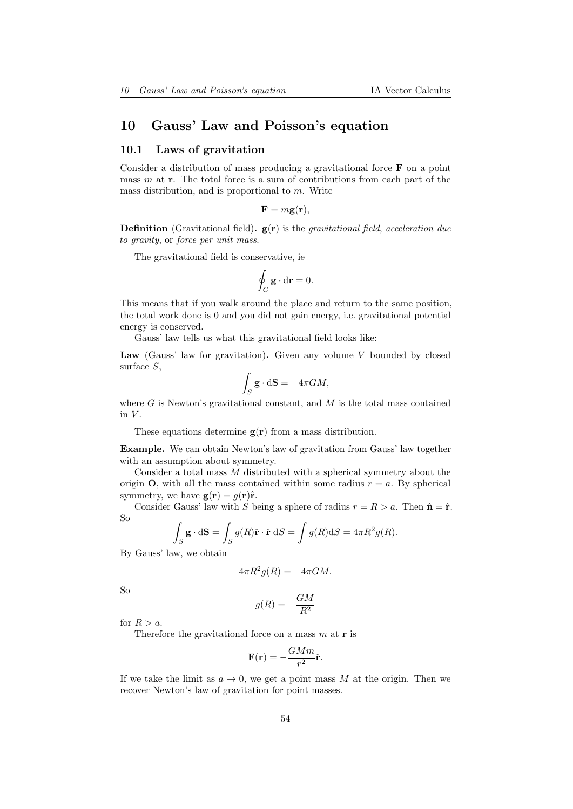# 10 Gauss' Law and Poisson's equation

## 10.1 Laws of gravitation

Consider a distribution of mass producing a gravitational force  $\bf{F}$  on a point mass  $m$  at  $r$ . The total force is a sum of contributions from each part of the mass distribution, and is proportional to m. Write

$$
\mathbf{F}=m\mathbf{g}(\mathbf{r}),
$$

**Definition** (Gravitational field).  $g(r)$  is the *gravitational field*, acceleration due to gravity, or force per unit mass.

The gravitational field is conservative, ie

$$
\oint_C \mathbf{g} \cdot d\mathbf{r} = 0.
$$

This means that if you walk around the place and return to the same position, the total work done is 0 and you did not gain energy, i.e. gravitational potential energy is conserved.

Gauss' law tells us what this gravitational field looks like:

Law (Gauss' law for gravitation). Given any volume  $V$  bounded by closed surface S,

$$
\int_{S} \mathbf{g} \cdot d\mathbf{S} = -4\pi GM,
$$

where  $G$  is Newton's gravitational constant, and  $M$  is the total mass contained in  $V$ .

These equations determine  $g(r)$  from a mass distribution.

Example. We can obtain Newton's law of gravitation from Gauss' law together with an assumption about symmetry.

Consider a total mass  $M$  distributed with a spherical symmetry about the origin **O**, with all the mass contained within some radius  $r = a$ . By spherical symmetry, we have  $\mathbf{g}(\mathbf{r}) = g(\mathbf{r})\hat{\mathbf{r}}$ .

Consider Gauss' law with S being a sphere of radius  $r = R > a$ . Then  $\hat{\mathbf{n}} = \hat{\mathbf{r}}$ . So Z

$$
\int_{S} \mathbf{g} \cdot d\mathbf{S} = \int_{S} g(R) \hat{\mathbf{r}} \cdot \hat{\mathbf{r}} dS = \int g(R) dS = 4\pi R^{2} g(R).
$$

By Gauss' law, we obtain

$$
4\pi R^2 g(R) = -4\pi GM.
$$

So

$$
g(R) = -\frac{GM}{R^2}
$$

for  $R > a$ .

Therefore the gravitational force on a mass  $m$  at **r** is

$$
\mathbf{F}(\mathbf{r}) = -\frac{GMm}{r^2}\hat{\mathbf{r}}.
$$

If we take the limit as  $a \to 0$ , we get a point mass M at the origin. Then we recover Newton's law of gravitation for point masses.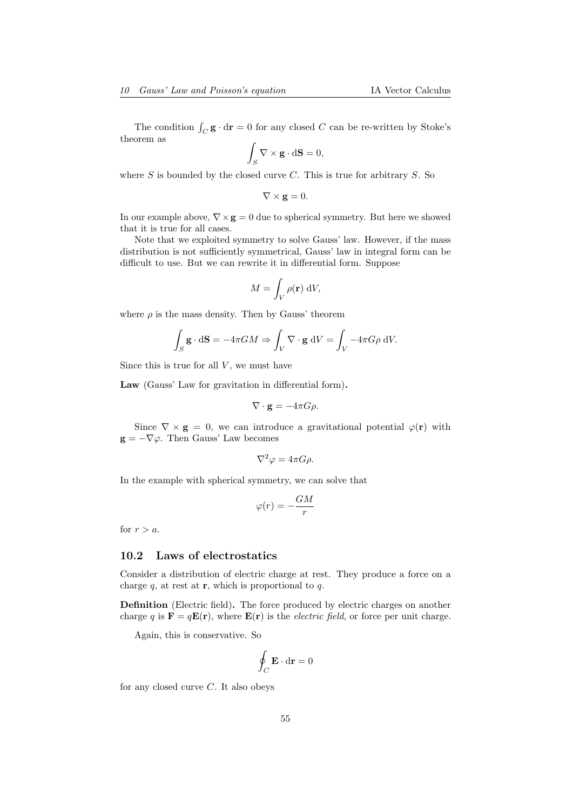The condition  $\int_C \mathbf{g} \cdot d\mathbf{r} = 0$  for any closed C can be re-written by Stoke's theorem as

$$
\int_{S} \nabla \times \mathbf{g} \cdot d\mathbf{S} = 0,
$$

where  $S$  is bounded by the closed curve  $C$ . This is true for arbitrary  $S$ . So

$$
\nabla \times \mathbf{g} = 0.
$$

In our example above,  $\nabla \times \mathbf{g} = 0$  due to spherical symmetry. But here we showed that it is true for all cases.

Note that we exploited symmetry to solve Gauss' law. However, if the mass distribution is not sufficiently symmetrical, Gauss' law in integral form can be difficult to use. But we can rewrite it in differential form. Suppose

$$
M = \int_{V} \rho(\mathbf{r}) \, \mathrm{d}V,
$$

where  $\rho$  is the mass density. Then by Gauss' theorem

$$
\int_{S} \mathbf{g} \cdot d\mathbf{S} = -4\pi GM \Rightarrow \int_{V} \nabla \cdot \mathbf{g} \ dV = \int_{V} -4\pi G \rho \ dV.
$$

Since this is true for all  $V$ , we must have

Law (Gauss' Law for gravitation in differential form).

$$
\nabla \cdot \mathbf{g} = -4\pi G \rho.
$$

Since  $\nabla \times \mathbf{g} = 0$ , we can introduce a gravitational potential  $\varphi(\mathbf{r})$  with  $\mathbf{g} = -\nabla \varphi$ . Then Gauss' Law becomes

$$
\nabla^2 \varphi = 4\pi G \rho.
$$

In the example with spherical symmetry, we can solve that

$$
\varphi(r) = -\frac{GM}{r}
$$

for  $r > a$ .

### 10.2 Laws of electrostatics

Consider a distribution of electric charge at rest. They produce a force on a charge  $q$ , at rest at  $r$ , which is proportional to  $q$ .

Definition (Electric field). The force produced by electric charges on another charge q is  $\mathbf{F} = q\mathbf{E}(\mathbf{r})$ , where  $\mathbf{E}(\mathbf{r})$  is the *electric field*, or force per unit charge.

Again, this is conservative. So

$$
\oint_C \mathbf{E} \cdot \mathbf{dr} = 0
$$

for any closed curve  $C$ . It also obeys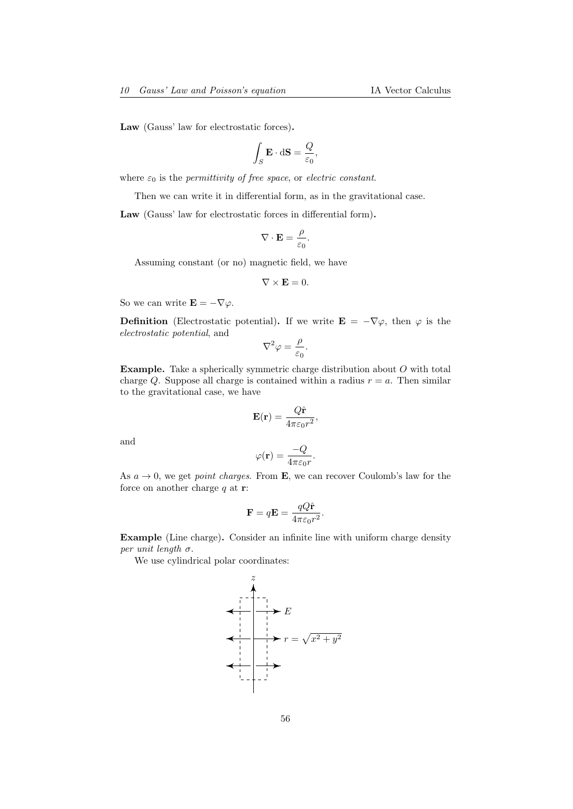Law (Gauss' law for electrostatic forces).

$$
\int_{S} \mathbf{E} \cdot d\mathbf{S} = \frac{Q}{\varepsilon_0},
$$

where  $\varepsilon_0$  is the *permittivity of free space*, or *electric constant*.

Then we can write it in differential form, as in the gravitational case.

Law (Gauss' law for electrostatic forces in differential form).

$$
\nabla \cdot \mathbf{E} = \frac{\rho}{\varepsilon_0}.
$$

Assuming constant (or no) magnetic field, we have

$$
\nabla\times\mathbf{E}=0.
$$

So we can write  $\mathbf{E} = -\nabla \varphi$ .

**Definition** (Electrostatic potential). If we write  $\mathbf{E} = -\nabla \varphi$ , then  $\varphi$  is the electrostatic potential, and

$$
\nabla^2 \varphi = \frac{\rho}{\varepsilon_0}.
$$

**Example.** Take a spherically symmetric charge distribution about  $O$  with total charge Q. Suppose all charge is contained within a radius  $r = a$ . Then similar to the gravitational case, we have

$$
\mathbf{E}(\mathbf{r}) = \frac{Q\hat{\mathbf{r}}}{4\pi\varepsilon_0 r^2},
$$

and

$$
\varphi(\mathbf{r}) = \frac{-Q}{4\pi\varepsilon_0 r}.
$$

As  $a \to 0$ , we get *point charges*. From **E**, we can recover Coulomb's law for the force on another charge  $q$  at  $r$ :

$$
\mathbf{F} = q\mathbf{E} = \frac{qQ\hat{\mathbf{r}}}{4\pi\varepsilon_0 r^2}.
$$

Example (Line charge). Consider an infinite line with uniform charge density per unit length  $\sigma$ .

We use cylindrical polar coordinates:

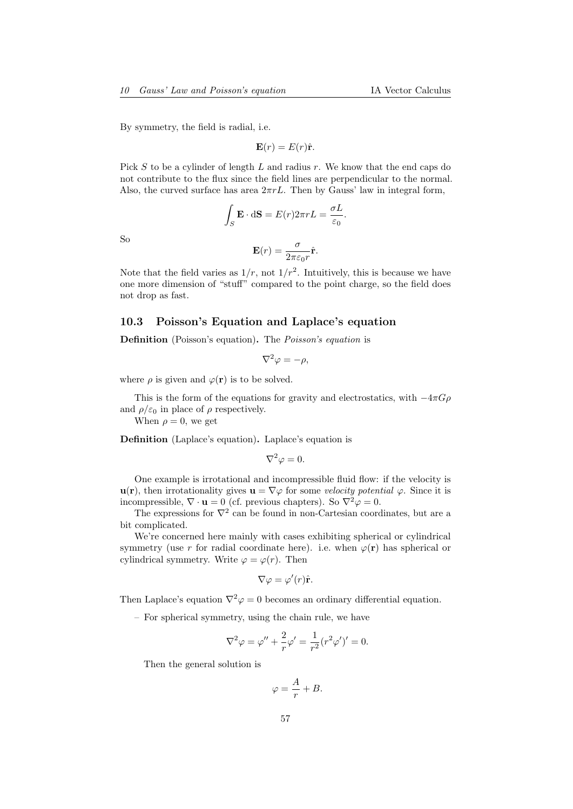By symmetry, the field is radial, i.e.

$$
\mathbf{E}(r) = E(r)\hat{\mathbf{r}}.
$$

Pick S to be a cylinder of length L and radius r. We know that the end caps do not contribute to the flux since the field lines are perpendicular to the normal. Also, the curved surface has area  $2\pi rL$ . Then by Gauss' law in integral form,

$$
\int_{S} \mathbf{E} \cdot d\mathbf{S} = E(r) 2\pi r L = \frac{\sigma L}{\varepsilon_0}.
$$

So

$$
\mathbf{E}(r) = \frac{\sigma}{2\pi\varepsilon_0 r} \hat{\mathbf{r}}.
$$

Note that the field varies as  $1/r$ , not  $1/r^2$ . Intuitively, this is because we have one more dimension of "stuff" compared to the point charge, so the field does not drop as fast.

## 10.3 Poisson's Equation and Laplace's equation

Definition (Poisson's equation). The Poisson's equation is

$$
\nabla^2 \varphi = -\rho,
$$

where  $\rho$  is given and  $\varphi(\mathbf{r})$  is to be solved.

This is the form of the equations for gravity and electrostatics, with  $-4\pi G\rho$ and  $\rho/\varepsilon_0$  in place of  $\rho$  respectively.

When  $\rho = 0$ , we get

Definition (Laplace's equation). Laplace's equation is

$$
\nabla^2 \varphi = 0.
$$

One example is irrotational and incompressible fluid flow: if the velocity is  $u(r)$ , then irrotationality gives  $u = \nabla \varphi$  for some velocity potential  $\varphi$ . Since it is incompressible,  $\nabla \cdot \mathbf{u} = 0$  (cf. previous chapters). So  $\nabla^2 \varphi = 0$ .

The expressions for  $\nabla^2$  can be found in non-Cartesian coordinates, but are a bit complicated.

We're concerned here mainly with cases exhibiting spherical or cylindrical symmetry (use r for radial coordinate here). i.e. when  $\varphi(\mathbf{r})$  has spherical or cylindrical symmetry. Write  $\varphi = \varphi(r)$ . Then

$$
\nabla \varphi = \varphi'(r)\hat{\mathbf{r}}.
$$

Then Laplace's equation  $\nabla^2 \varphi = 0$  becomes an ordinary differential equation.

– For spherical symmetry, using the chain rule, we have

$$
\nabla^2 \varphi = \varphi'' + \frac{2}{r} \varphi' = \frac{1}{r^2} (r^2 \varphi')' = 0.
$$

Then the general solution is

$$
\varphi = \frac{A}{r} + B.
$$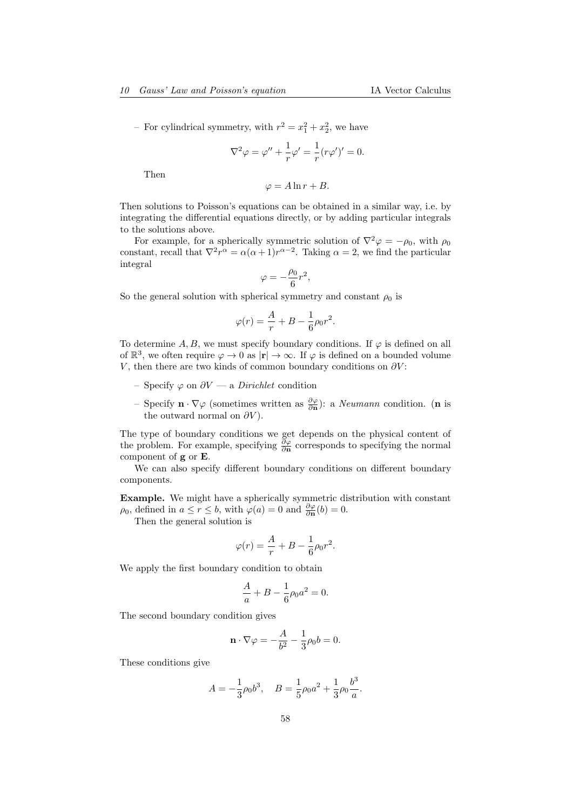- For cylindrical symmetry, with  $r^2 = x_1^2 + x_2^2$ , we have

$$
\nabla^2 \varphi = \varphi'' + \frac{1}{r} \varphi' = \frac{1}{r} (r\varphi')' = 0.
$$

Then

$$
\varphi = A \ln r + B.
$$

Then solutions to Poisson's equations can be obtained in a similar way, i.e. by integrating the differential equations directly, or by adding particular integrals to the solutions above.

For example, for a spherically symmetric solution of  $\nabla^2 \varphi = -\rho_0$ , with  $\rho_0$ constant, recall that  $\nabla^2 r^{\alpha} = \alpha(\alpha + 1)r^{\alpha - 2}$ . Taking  $\alpha = 2$ , we find the particular integral

$$
\varphi=-\frac{\rho_0}{6}r^2,
$$

So the general solution with spherical symmetry and constant  $\rho_0$  is

$$
\varphi(r) = \frac{A}{r} + B - \frac{1}{6}\rho_0 r^2.
$$

To determine A, B, we must specify boundary conditions. If  $\varphi$  is defined on all of  $\mathbb{R}^3$ , we often require  $\varphi \to 0$  as  $|\mathbf{r}| \to \infty$ . If  $\varphi$  is defined on a bounded volume V, then there are two kinds of common boundary conditions on  $\partial V$ :

- Specify  $\varphi$  on  $\partial V$  a *Dirichlet* condition
- Specify **n** ⋅  $\nabla$   $\varphi$  (sometimes written as  $\frac{\partial \varphi}{\partial \mathbf{n}}$ ): a *Neumann* condition. (**n** is the outward normal on  $\partial V$ ).

The type of boundary conditions we get depends on the physical content of the problem. For example, specifying  $\frac{\partial \varphi}{\partial n}$  corresponds to specifying the normal component of g or E.

We can also specify different boundary conditions on different boundary components.

Example. We might have a spherically symmetric distribution with constant  $\rho_0$ , defined in  $a \le r \le b$ , with  $\varphi(a) = 0$  and  $\frac{\partial \varphi}{\partial \mathbf{n}}(b) = 0$ .

Then the general solution is

$$
\varphi(r) = \frac{A}{r} + B - \frac{1}{6}\rho_0 r^2.
$$

We apply the first boundary condition to obtain

$$
\frac{A}{a} + B - \frac{1}{6}\rho_0 a^2 = 0.
$$

The second boundary condition gives

$$
\mathbf{n} \cdot \nabla \varphi = -\frac{A}{b^2} - \frac{1}{3}\rho_0 b = 0.
$$

These conditions give

$$
A = -\frac{1}{3}\rho_0 b^3, \quad B = \frac{1}{5}\rho_0 a^2 + \frac{1}{3}\rho_0 \frac{b^3}{a}.
$$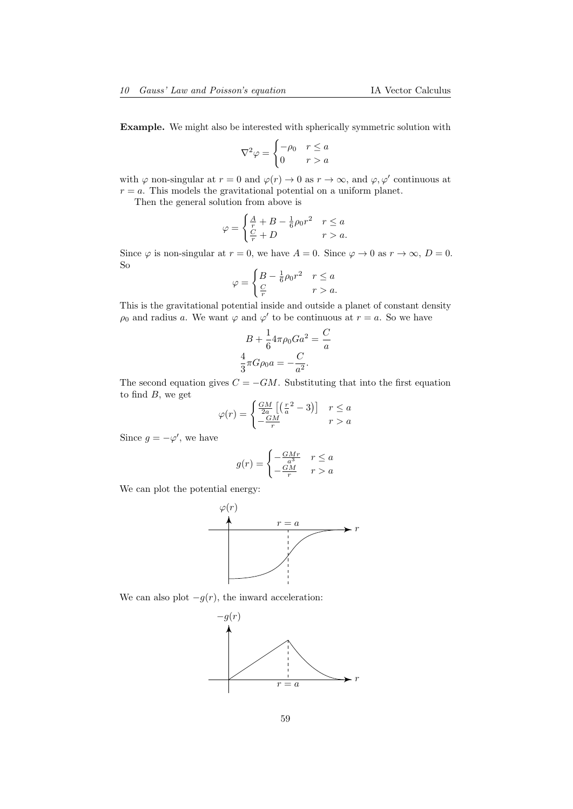Example. We might also be interested with spherically symmetric solution with

$$
\nabla^2 \varphi = \begin{cases} -\rho_0 & r \le a \\ 0 & r > a \end{cases}
$$

with  $\varphi$  non-singular at  $r = 0$  and  $\varphi(r) \to 0$  as  $r \to \infty$ , and  $\varphi, \varphi'$  continuous at  $r = a$ . This models the gravitational potential on a uniform planet.

Then the general solution from above is

$$
\varphi = \begin{cases} \frac{A}{r} + B - \frac{1}{6}\rho_0 r^2 & r \le a \\ \frac{C}{r} + D & r > a. \end{cases}
$$

Since  $\varphi$  is non-singular at  $r = 0$ , we have  $A = 0$ . Since  $\varphi \to 0$  as  $r \to \infty$ ,  $D = 0$ . So

$$
\varphi = \begin{cases} B - \frac{1}{6}\rho_0 r^2 & r \le a \\ \frac{C}{r} & r > a. \end{cases}
$$

This is the gravitational potential inside and outside a planet of constant density  $\rho_0$  and radius a. We want  $\varphi$  and  $\varphi'$  to be continuous at  $r = a$ . So we have

$$
B + \frac{1}{6}4\pi\rho_0 Ga^2 = \frac{C}{a}
$$

$$
\frac{4}{3}\pi G\rho_0 a = -\frac{C}{a^2}.
$$

The second equation gives  $C = -GM$ . Substituting that into the first equation to find  $B$ , we get

$$
\varphi(r) = \begin{cases} \frac{GM}{2a} \left[ \left( \frac{r^2}{a} - 3 \right) \right] & r \le a \\ -\frac{GM}{r} & r > a \end{cases}
$$

Since  $g = -\varphi'$ , we have

$$
g(r) = \begin{cases} -\frac{GMr}{a^3} & r \le a\\ -\frac{GM}{r} & r > a \end{cases}
$$

We can plot the potential energy:



We can also plot  $-g(r)$ , the inward acceleration:

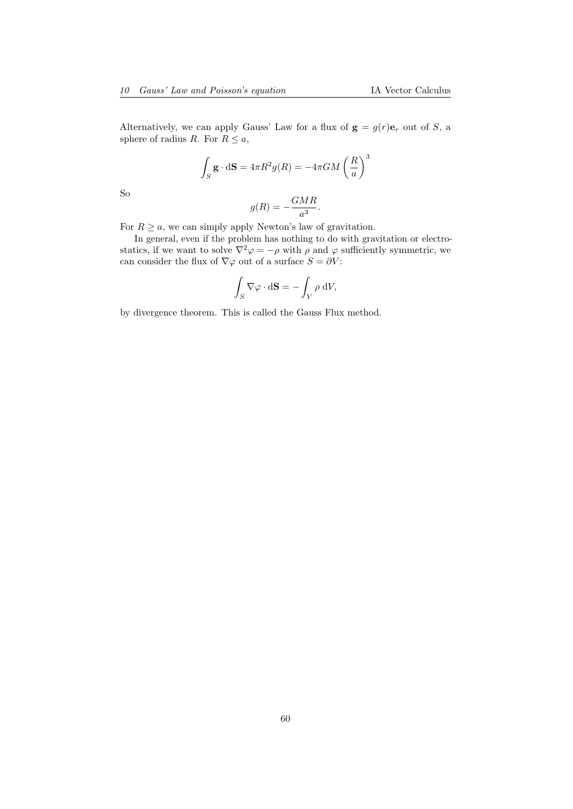Alternatively, we can apply Gauss' Law for a flux of  $g = g(r) e_r$  out of S, a sphere of radius R. For  $R \leq a$ ,

$$
\int_{S} \mathbf{g} \cdot d\mathbf{S} = 4\pi R^2 g(R) = -4\pi GM \left(\frac{R}{a}\right)^3
$$

So

$$
g(R) = -\frac{GMR}{a^3}.
$$

For  $R \ge a$ , we can simply apply Newton's law of gravitation.

In general, even if the problem has nothing to do with gravitation or electrostatics, if we want to solve  $\nabla^2 \varphi = -\rho$  with  $\rho$  and  $\varphi$  sufficiently symmetric, we can consider the flux of  $\nabla\varphi$  out of a surface  $S=\partial V\colon$ 

$$
\int_{S} \nabla \varphi \cdot d\mathbf{S} = -\int_{V} \rho \, dV,
$$

by divergence theorem. This is called the Gauss Flux method.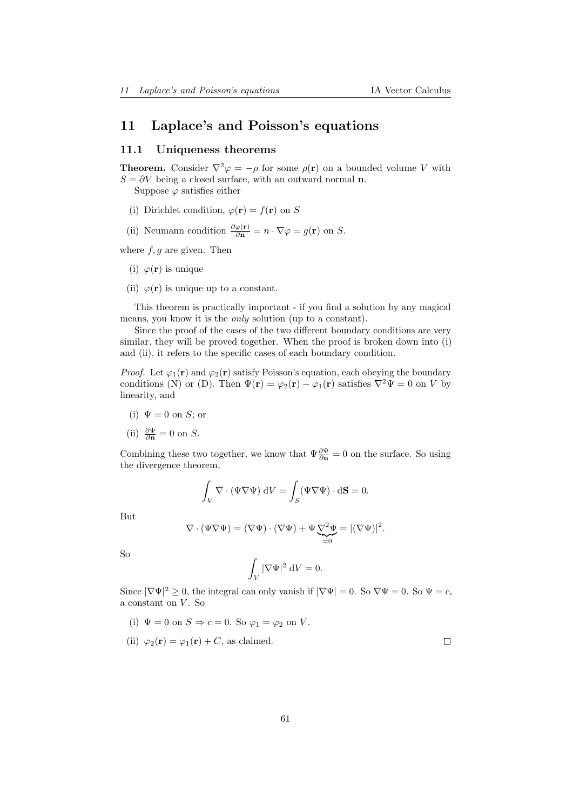# 11 Laplace's and Poisson's equations

### 11.1 Uniqueness theorems

**Theorem.** Consider  $\nabla^2 \varphi = -\rho$  for some  $\rho(\mathbf{r})$  on a bounded volume V with  $S = \partial V$  being a closed surface, with an outward normal **n**.

Suppose  $\varphi$  satisfies either

- (i) Dirichlet condition,  $\varphi(\mathbf{r}) = f(\mathbf{r})$  on S
- (ii) Neumann condition  $\frac{\partial \varphi(\mathbf{r})}{\partial \mathbf{n}} = n \cdot \nabla \varphi = g(\mathbf{r})$  on S.

where  $f, g$  are given. Then

- (i)  $\varphi(\mathbf{r})$  is unique
- (ii)  $\varphi(\mathbf{r})$  is unique up to a constant.

This theorem is practically important - if you find a solution by any magical means, you know it is the only solution (up to a constant).

Since the proof of the cases of the two different boundary conditions are very similar, they will be proved together. When the proof is broken down into (i) and (ii), it refers to the specific cases of each boundary condition.

*Proof.* Let  $\varphi_1(\mathbf{r})$  and  $\varphi_2(\mathbf{r})$  satisfy Poisson's equation, each obeying the boundary conditions (N) or (D). Then  $\Psi(\mathbf{r}) = \varphi_2(\mathbf{r}) - \varphi_1(\mathbf{r})$  satisfies  $\nabla^2 \Psi = 0$  on V by linearity, and

(i)  $\Psi = 0$  on S; or

(ii) 
$$
\frac{\partial \Psi}{\partial \mathbf{n}} = 0
$$
 on *S*.

Combining these two together, we know that  $\Psi \frac{\partial \Psi}{\partial n} = 0$  on the surface. So using the divergence theorem,

$$
\int_{V} \nabla \cdot (\Psi \nabla \Psi) \, \mathrm{d}V = \int_{S} (\Psi \nabla \Psi) \cdot \mathrm{d}S = 0.
$$

But

$$
\nabla \cdot (\Psi \nabla \Psi) = (\nabla \Psi) \cdot (\nabla \Psi) + \Psi \underbrace{\nabla^2 \Psi}_{=0} = |(\nabla \Psi)|^2.
$$

So

$$
\int_V |\nabla \Psi|^2 \, \mathrm{d}V = 0.
$$

Since  $|\nabla \Psi|^2 \ge 0$ , the integral can only vanish if  $|\nabla \Psi| = 0$ . So  $\nabla \Psi = 0$ . So  $\Psi = c$ , a constant on V. So

(i)  $\Psi = 0$  on  $S \Rightarrow c = 0$ . So  $\varphi_1 = \varphi_2$  on V.

(ii) 
$$
\varphi_2(\mathbf{r}) = \varphi_1(\mathbf{r}) + C
$$
, as claimed.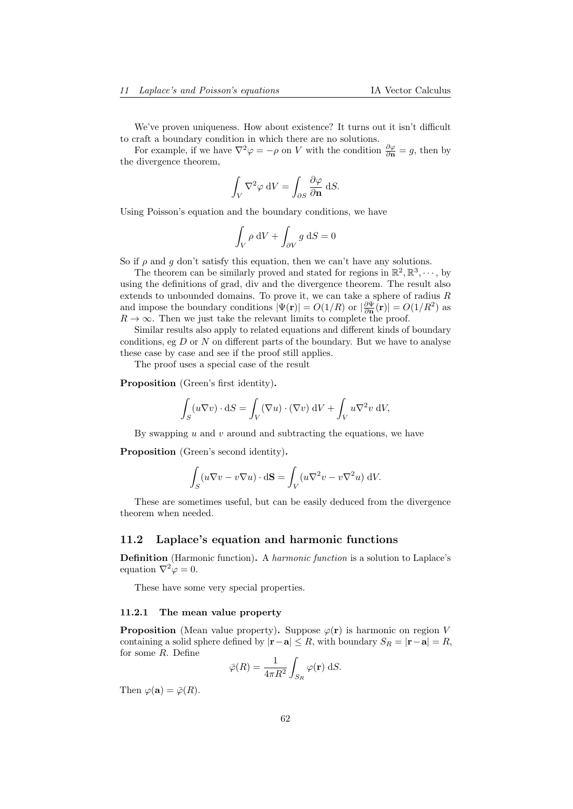We've proven uniqueness. How about existence? It turns out it isn't difficult to craft a boundary condition in which there are no solutions.

For example, if we have  $\nabla^2 \varphi = -\rho$  on V with the condition  $\frac{\partial \varphi}{\partial \mathbf{n}} = g$ , then by the divergence theorem,

$$
\int_{V} \nabla^2 \varphi \, \mathrm{d}V = \int_{\partial S} \frac{\partial \varphi}{\partial \mathbf{n}} \, \mathrm{d}S.
$$

Using Poisson's equation and the boundary conditions, we have

$$
\int_{V} \rho \, \mathrm{d}V + \int_{\partial V} g \, \mathrm{d}S = 0
$$

So if  $\rho$  and  $q$  don't satisfy this equation, then we can't have any solutions.

The theorem can be similarly proved and stated for regions in  $\mathbb{R}^2$ ,  $\mathbb{R}^3$ ,  $\cdots$ , by using the definitions of grad, div and the divergence theorem. The result also extends to unbounded domains. To prove it, we can take a sphere of radius  $R$ and impose the boundary conditions  $|\Psi(\mathbf{r})| = O(1/R)$  or  $|\frac{\partial \Psi}{\partial \mathbf{n}}(\mathbf{r})| = O(1/R^2)$  as  $R \to \infty$ . Then we just take the relevant limits to complete the proof.

Similar results also apply to related equations and different kinds of boundary conditions, eg  $D$  or  $N$  on different parts of the boundary. But we have to analyse these case by case and see if the proof still applies.

The proof uses a special case of the result

Proposition (Green's first identity).

$$
\int_{S} (u \nabla v) \cdot dS = \int_{V} (\nabla u) \cdot (\nabla v) dV + \int_{V} u \nabla^{2} v dV,
$$

By swapping  $u$  and  $v$  around and subtracting the equations, we have

Proposition (Green's second identity).

$$
\int_{S} (u \nabla v - v \nabla u) \cdot d\mathbf{S} = \int_{V} (u \nabla^{2} v - v \nabla^{2} u) dV.
$$

These are sometimes useful, but can be easily deduced from the divergence theorem when needed.

### 11.2 Laplace's equation and harmonic functions

Definition (Harmonic function). A harmonic function is a solution to Laplace's equation  $\nabla^2 \varphi = 0$ .

These have some very special properties.

#### 11.2.1 The mean value property

**Proposition** (Mean value property). Suppose  $\varphi(\mathbf{r})$  is harmonic on region V containing a solid sphere defined by  $|\mathbf{r}-\mathbf{a}| \leq R$ , with boundary  $S_R = |\mathbf{r}-\mathbf{a}| = R$ , for some R. Define

$$
\bar{\varphi}(R) = \frac{1}{4\pi R^2} \int_{S_R} \varphi(\mathbf{r}) \, \mathrm{d}S.
$$

Then  $\varphi(\mathbf{a}) = \bar{\varphi}(R)$ .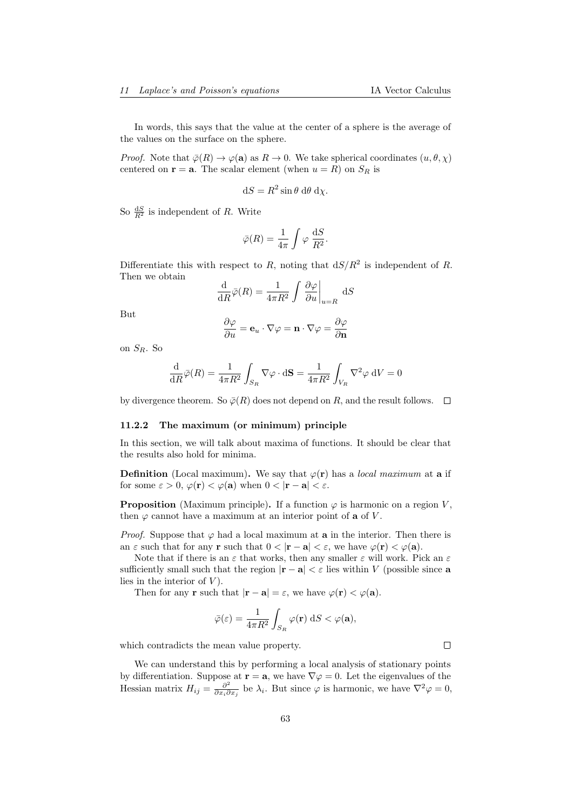In words, this says that the value at the center of a sphere is the average of the values on the surface on the sphere.

*Proof.* Note that  $\bar{\varphi}(R) \to \varphi(\mathbf{a})$  as  $R \to 0$ . We take spherical coordinates  $(u, \theta, \chi)$ centered on  $\mathbf{r} = \mathbf{a}$ . The scalar element (when  $u = R$ ) on  $S_R$  is

$$
dS = R^2 \sin \theta \ d\theta \ d\chi.
$$

So  $\frac{dS}{R^2}$  is independent of R. Write

$$
\bar{\varphi}(R) = \frac{1}{4\pi} \int \varphi \, \frac{\mathrm{d}S}{R^2}.
$$

Differentiate this with respect to R, noting that  $dS/R^2$  is independent of R. Then we obtain

$$
\frac{\mathrm{d}}{\mathrm{d}R}\bar{\varphi}(R) = \frac{1}{4\pi R^2} \int \left. \frac{\partial \varphi}{\partial u} \right|_{u=R} \mathrm{d}S
$$

But

$$
\frac{\partial \varphi}{\partial u} = \mathbf{e}_u \cdot \nabla \varphi = \mathbf{n} \cdot \nabla \varphi = \frac{\partial \varphi}{\partial \mathbf{n}}
$$

on  $S_R$ . So

$$
\frac{\mathrm{d}}{\mathrm{d}R}\bar{\varphi}(R) = \frac{1}{4\pi R^2} \int_{S_R} \nabla \varphi \cdot \mathrm{d}S = \frac{1}{4\pi R^2} \int_{V_R} \nabla^2 \varphi \, \mathrm{d}V = 0
$$

by divergence theorem. So  $\overline{\varphi}(R)$  does not depend on R, and the result follows.  $\Box$ 

#### 11.2.2 The maximum (or minimum) principle

In this section, we will talk about maxima of functions. It should be clear that the results also hold for minima.

**Definition** (Local maximum). We say that  $\varphi(\mathbf{r})$  has a *local maximum* at **a** if for some  $\varepsilon > 0$ ,  $\varphi(\mathbf{r}) < \varphi(\mathbf{a})$  when  $0 < |\mathbf{r} - \mathbf{a}| < \varepsilon$ .

**Proposition** (Maximum principle). If a function  $\varphi$  is harmonic on a region V, then  $\varphi$  cannot have a maximum at an interior point of **a** of V.

*Proof.* Suppose that  $\varphi$  had a local maximum at **a** in the interior. Then there is an  $\varepsilon$  such that for any **r** such that  $0 < |\mathbf{r} - \mathbf{a}| < \varepsilon$ , we have  $\varphi(\mathbf{r}) < \varphi(\mathbf{a})$ .

Note that if there is an  $\varepsilon$  that works, then any smaller  $\varepsilon$  will work. Pick an  $\varepsilon$ sufficiently small such that the region  $|r - a| < \varepsilon$  lies within V (possible since a lies in the interior of  $V$ ).

Then for any **r** such that  $|\mathbf{r} - \mathbf{a}| = \varepsilon$ , we have  $\varphi(\mathbf{r}) < \varphi(\mathbf{a})$ .

$$
\bar{\varphi}(\varepsilon) = \frac{1}{4\pi R^2} \int_{S_R} \varphi(\mathbf{r}) \, \mathrm{d}S < \varphi(\mathbf{a}),
$$

which contradicts the mean value property.

We can understand this by performing a local analysis of stationary points by differentiation. Suppose at  $\mathbf{r} = \mathbf{a}$ , we have  $\nabla \varphi = 0$ . Let the eigenvalues of the Hessian matrix  $H_{ij} = \frac{\partial^2}{\partial x_i \partial y_j}$  $\frac{\partial^2}{\partial x_i \partial x_j}$  be  $\lambda_i$ . But since  $\varphi$  is harmonic, we have  $\nabla^2 \varphi = 0$ ,

 $\Box$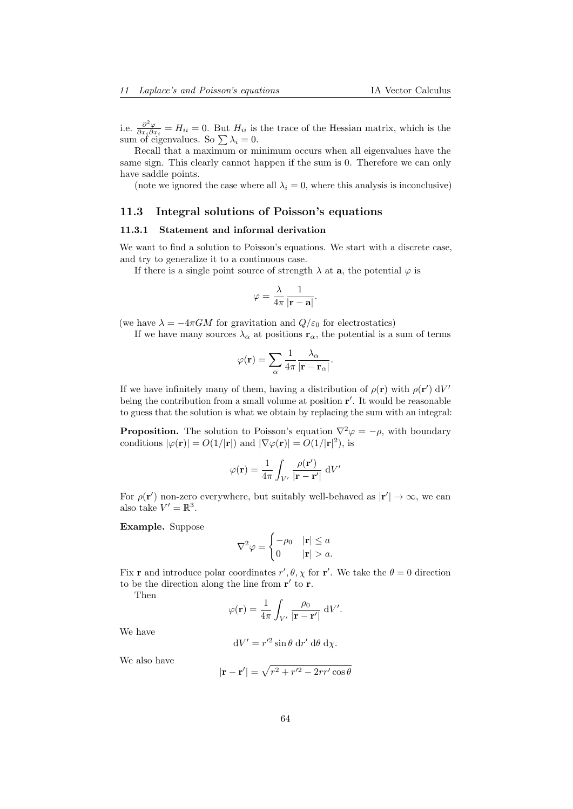i.e.  $\frac{\partial^2 \varphi}{\partial x \cdot \partial y}$  $\frac{\partial^2 \varphi}{\partial x_i \partial x_i} = H_{ii} = 0$ . But  $H_{ii}$  is the trace of the Hessian matrix, which is the sum of eigenvalues. So  $\sum \lambda_i = 0$ .

Recall that a maximum or minimum occurs when all eigenvalues have the same sign. This clearly cannot happen if the sum is 0. Therefore we can only have saddle points.

(note we ignored the case where all  $\lambda_i = 0$ , where this analysis is inconclusive)

# 11.3 Integral solutions of Poisson's equations

## 11.3.1 Statement and informal derivation

We want to find a solution to Poisson's equations. We start with a discrete case, and try to generalize it to a continuous case.

If there is a single point source of strength  $\lambda$  at  $a$ , the potential  $\varphi$  is

$$
\varphi=\frac{\lambda}{4\pi}\frac{1}{|\mathbf{r}-\mathbf{a}|}.
$$

(we have  $\lambda = -4\pi GM$  for gravitation and  $Q/\varepsilon_0$  for electrostatics)

If we have many sources  $\lambda_{\alpha}$  at positions  $\mathbf{r}_{\alpha}$ , the potential is a sum of terms

$$
\varphi(\mathbf{r}) = \sum_{\alpha} \frac{1}{4\pi} \frac{\lambda_{\alpha}}{|\mathbf{r} - \mathbf{r}_{\alpha}|}.
$$

If we have infinitely many of them, having a distribution of  $\rho(\mathbf{r})$  with  $\rho(\mathbf{r}') dV'$ being the contribution from a small volume at position  $r'$ . It would be reasonable to guess that the solution is what we obtain by replacing the sum with an integral:

**Proposition.** The solution to Poisson's equation  $\nabla^2 \varphi = -\rho$ , with boundary conditions  $|\varphi(\mathbf{r})| = O(1/|\mathbf{r}|)$  and  $|\nabla \varphi(\mathbf{r})| = O(1/|\mathbf{r}|^2)$ , is

$$
\varphi(\mathbf{r}) = \frac{1}{4\pi} \int_{V'} \frac{\rho(\mathbf{r}')}{|\mathbf{r} - \mathbf{r}'|} dV'
$$

For  $\rho(\mathbf{r}')$  non-zero everywhere, but suitably well-behaved as  $|\mathbf{r}'| \to \infty$ , we can also take  $V' = \mathbb{R}^3$ .

Example. Suppose

$$
\nabla^2 \varphi = \begin{cases}\n-\rho_0 & |\mathbf{r}| \le a \\
0 & |\mathbf{r}| > a.\n\end{cases}
$$

Fix **r** and introduce polar coordinates  $r', \theta, \chi$  for **r**'. We take the  $\theta = 0$  direction to be the direction along the line from  $\mathbf{r}'$  to  $\mathbf{r}$ .

Then

$$
\varphi(\mathbf{r}) = \frac{1}{4\pi} \int_{V'} \frac{\rho_0}{|\mathbf{r} - \mathbf{r}'|} dV'.
$$

We have

$$
dV' = r'^2 \sin \theta \, dr' \, d\theta \, d\chi.
$$

We also have

$$
|\mathbf{r} - \mathbf{r}'| = \sqrt{r^2 + r'^2 - 2rr'\cos\theta}
$$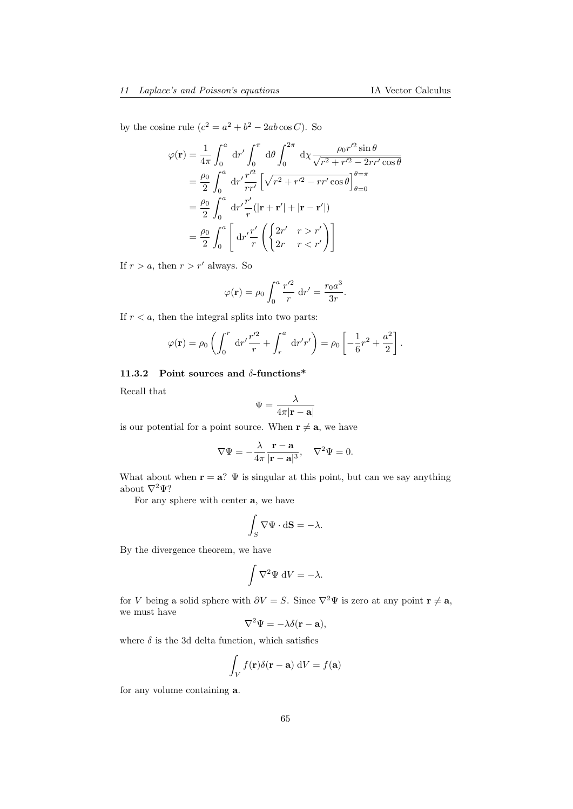by the cosine rule  $(c^2 = a^2 + b^2 - 2ab \cos C)$ . So

$$
\varphi(\mathbf{r}) = \frac{1}{4\pi} \int_0^a dr' \int_0^{\pi} d\theta \int_0^{2\pi} d\chi \frac{\rho_0 r'^2 \sin \theta}{\sqrt{r^2 + r'^2 - 2rr' \cos \theta}}
$$
  
\n
$$
= \frac{\rho_0}{2} \int_0^a dr' \frac{r'^2}{rr'} \left[ \sqrt{r^2 + r'^2 - rr' \cos \theta} \right]_{\theta=0}^{\theta=\pi}
$$
  
\n
$$
= \frac{\rho_0}{2} \int_0^a dr' \frac{r'}{r} (|\mathbf{r} + \mathbf{r}'| + |\mathbf{r} - \mathbf{r}'|)
$$
  
\n
$$
= \frac{\rho_0}{2} \int_0^a \left[ dr' \frac{r'}{r} \left( \begin{cases} 2r' & r > r' \\ 2r & r < r' \end{cases} \right) \right]
$$

If  $r > a$ , then  $r > r'$  always. So

$$
\varphi(\mathbf{r}) = \rho_0 \int_0^a \frac{r'^2}{r} dr' = \frac{r_0 a^3}{3r}.
$$

If  $r < a$ , then the integral splits into two parts:

$$
\varphi(\mathbf{r}) = \rho_0 \left( \int_0^r dr' \frac{r'^2}{r} + \int_r^a dr' r' \right) = \rho_0 \left[ -\frac{1}{6}r^2 + \frac{a^2}{2} \right].
$$

## 11.3.2 Point sources and  $\delta$ -functions\*

Recall that

$$
\Psi = \frac{\lambda}{4\pi|\mathbf{r} - \mathbf{a}|}
$$

is our potential for a point source. When  $\mathbf{r} \neq \mathbf{a}$ , we have

$$
\nabla \Psi = -\frac{\lambda}{4\pi} \frac{\mathbf{r} - \mathbf{a}}{|\mathbf{r} - \mathbf{a}|^3}, \quad \nabla^2 \Psi = 0.
$$

What about when  $\mathbf{r} = \mathbf{a}$ ?  $\Psi$  is singular at this point, but can we say anything about  $\nabla^2 \Psi$ ?

For any sphere with center a, we have

$$
\int_{S} \nabla \Psi \cdot \mathrm{d} \mathbf{S} = -\lambda.
$$

By the divergence theorem, we have

$$
\int \nabla^2 \Psi \, \mathrm{d}V = -\lambda.
$$

for V being a solid sphere with  $\partial V = S$ . Since  $\nabla^2 \Psi$  is zero at any point  $\mathbf{r} \neq \mathbf{a}$ , we must have

$$
\nabla^2 \Psi = -\lambda \delta(\mathbf{r} - \mathbf{a}),
$$

where  $\delta$  is the 3d delta function, which satisfies

$$
\int_{V} f(\mathbf{r}) \delta(\mathbf{r} - \mathbf{a}) \, dV = f(\mathbf{a})
$$

for any volume containing a.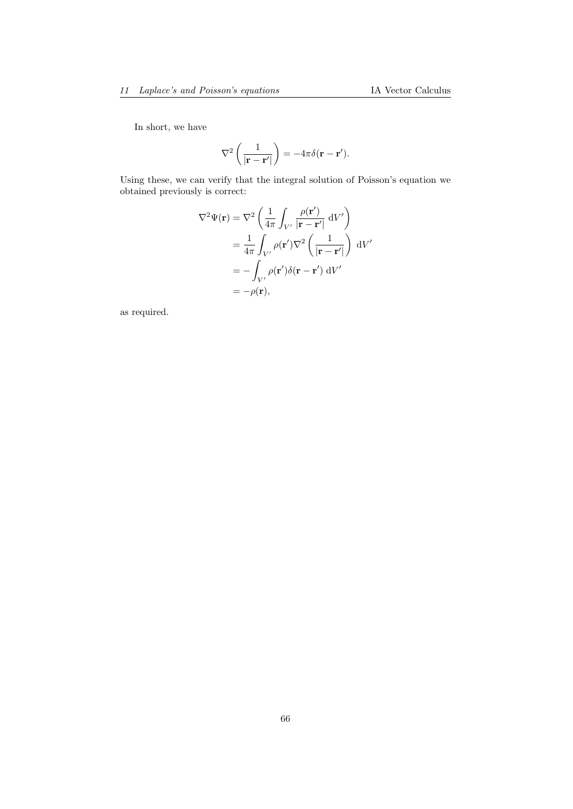In short, we have

$$
\nabla^2 \left( \frac{1}{|\mathbf{r} - \mathbf{r}'|} \right) = -4\pi \delta(\mathbf{r} - \mathbf{r}').
$$

Using these, we can verify that the integral solution of Poisson's equation we obtained previously is correct:

$$
\nabla^2 \Psi(\mathbf{r}) = \nabla^2 \left( \frac{1}{4\pi} \int_{V'} \frac{\rho(\mathbf{r}')}{|\mathbf{r} - \mathbf{r}'|} dV' \right)
$$
  
=  $\frac{1}{4\pi} \int_{V'} \rho(\mathbf{r}') \nabla^2 \left( \frac{1}{|\mathbf{r} - \mathbf{r}'|} \right) dV'$   
=  $-\int_{V'} \rho(\mathbf{r}') \delta(\mathbf{r} - \mathbf{r}') dV'$   
=  $-\rho(\mathbf{r}),$ 

as required.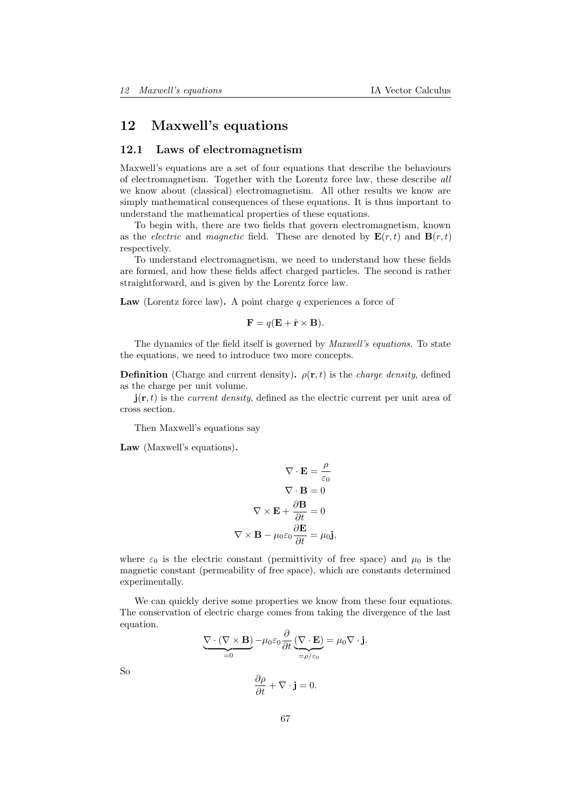# 12 Maxwell's equations

### 12.1 Laws of electromagnetism

Maxwell's equations are a set of four equations that describe the behaviours of electromagnetism. Together with the Lorentz force law, these describe all we know about (classical) electromagnetism. All other results we know are simply mathematical consequences of these equations. It is thus important to understand the mathematical properties of these equations.

To begin with, there are two fields that govern electromagnetism, known as the *electric* and *magnetic* field. These are denoted by  $\mathbf{E}(r, t)$  and  $\mathbf{B}(r, t)$ respectively.

To understand electromagnetism, we need to understand how these fields are formed, and how these fields affect charged particles. The second is rather straightforward, and is given by the Lorentz force law.

Law (Lorentz force law). A point charge q experiences a force of

$$
\mathbf{F} = q(\mathbf{E} + \dot{\mathbf{r}} \times \mathbf{B}).
$$

The dynamics of the field itself is governed by Maxwell's equations. To state the equations, we need to introduce two more concepts.

**Definition** (Charge and current density).  $\rho(\mathbf{r}, t)$  is the *charge density*, defined as the charge per unit volume.

 $\mathbf{j}(\mathbf{r},t)$  is the *current density*, defined as the electric current per unit area of cross section.

Then Maxwell's equations say

Law (Maxwell's equations).

$$
\nabla \cdot \mathbf{E} = \frac{\rho}{\varepsilon_0}
$$

$$
\nabla \cdot \mathbf{B} = 0
$$

$$
\nabla \times \mathbf{E} + \frac{\partial \mathbf{B}}{\partial t} = 0
$$

$$
\nabla \times \mathbf{B} - \mu_0 \varepsilon_0 \frac{\partial \mathbf{E}}{\partial t} = \mu_0 \mathbf{j},
$$

where  $\varepsilon_0$  is the electric constant (permittivity of free space) and  $\mu_0$  is the magnetic constant (permeability of free space), which are constants determined experimentally.

We can quickly derive some properties we know from these four equations. The conservation of electric charge comes from taking the divergence of the last equation.

$$
\underbrace{\nabla \cdot (\nabla \times \mathbf{B})}_{=0} - \mu_0 \varepsilon_0 \frac{\partial}{\partial t} \underbrace{(\nabla \cdot \mathbf{E})}_{= \rho/\varepsilon_0} = \mu_0 \nabla \cdot \mathbf{j}.
$$

So

$$
\frac{\partial \rho}{\partial t} + \nabla \cdot \mathbf{j} = 0.
$$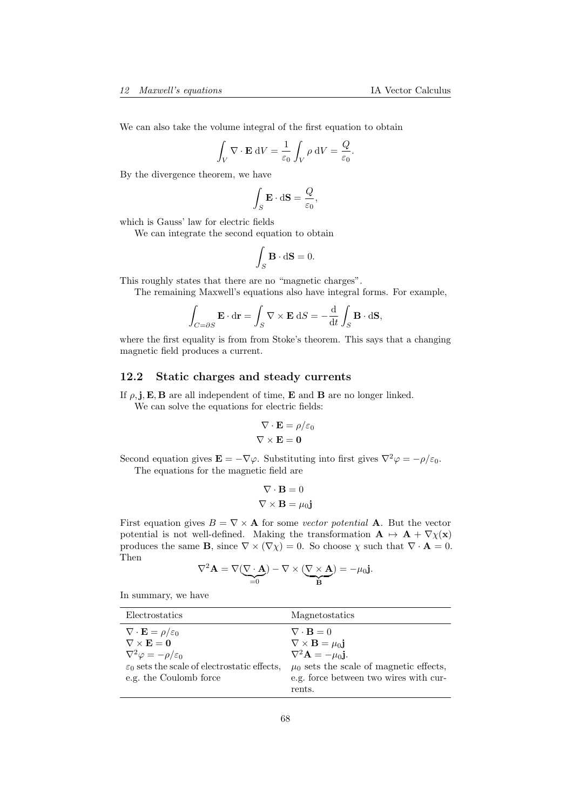We can also take the volume integral of the first equation to obtain

$$
\int_{V} \nabla \cdot \mathbf{E} \, dV = \frac{1}{\varepsilon_0} \int_{V} \rho \, dV = \frac{Q}{\varepsilon_0}.
$$

By the divergence theorem, we have

$$
\int_{S} \mathbf{E} \cdot d\mathbf{S} = \frac{Q}{\varepsilon_0},
$$

which is Gauss' law for electric fields

We can integrate the second equation to obtain

$$
\int_{S} \mathbf{B} \cdot d\mathbf{S} = 0.
$$

This roughly states that there are no "magnetic charges".

The remaining Maxwell's equations also have integral forms. For example,

$$
\int_{C=\partial S} \mathbf{E} \cdot d\mathbf{r} = \int_{S} \nabla \times \mathbf{E} \, dS = -\frac{d}{dt} \int_{S} \mathbf{B} \cdot d\mathbf{S},
$$

where the first equality is from from Stoke's theorem. This says that a changing magnetic field produces a current.

## 12.2 Static charges and steady currents

If  $\rho$ , j, E, B are all independent of time, E and B are no longer linked.

We can solve the equations for electric fields:

$$
\nabla \cdot \mathbf{E} = \rho/\varepsilon_0
$$

$$
\nabla \times \mathbf{E} = \mathbf{0}
$$

Second equation gives  $\mathbf{E} = -\nabla \varphi$ . Substituting into first gives  $\nabla^2 \varphi = -\rho/\varepsilon_0$ . The equations for the magnetic field are

$$
\nabla \cdot \mathbf{B} = 0
$$

$$
\nabla \times \mathbf{B} = \mu_0 \mathbf{j}
$$

First equation gives  $B = \nabla \times \mathbf{A}$  for some vector potential **A**. But the vector potential is not well-defined. Making the transformation  $\mathbf{A} \mapsto \mathbf{A} + \nabla \chi(\mathbf{x})$ produces the same **B**, since  $\nabla \times (\nabla \chi) = 0$ . So choose  $\chi$  such that  $\nabla \cdot \mathbf{A} = 0$ . Then

$$
\nabla^2 \mathbf{A} = \nabla (\underbrace{\nabla \cdot \mathbf{A}}_{=0}) - \nabla \times (\underbrace{\nabla \times \mathbf{A}}_{\mathbf{B}}) = -\mu_0 \mathbf{j}.
$$

In summary, we have

| Electrostatics                                                                                                                                                                                                        | Magnetostatics                                                                                                                                                                                                                   |
|-----------------------------------------------------------------------------------------------------------------------------------------------------------------------------------------------------------------------|----------------------------------------------------------------------------------------------------------------------------------------------------------------------------------------------------------------------------------|
| $\nabla \cdot \mathbf{E} = \rho/\varepsilon_0$<br>$\nabla \times {\bf E} = {\bf 0}$<br>$\nabla^2 \varphi = -\rho/\varepsilon_0$<br>$\varepsilon_0$ sets the scale of electrostatic effects,<br>e.g. the Coulomb force | $\nabla \cdot \mathbf{B} = 0$<br>$\nabla \times \mathbf{B} = \mu_0 \mathbf{j}$<br>$\nabla^2 \mathbf{A} = -\mu_0 \mathbf{j}$ .<br>$\mu_0$ sets the scale of magnetic effects,<br>e.g. force between two wires with cur-<br>rents. |
|                                                                                                                                                                                                                       |                                                                                                                                                                                                                                  |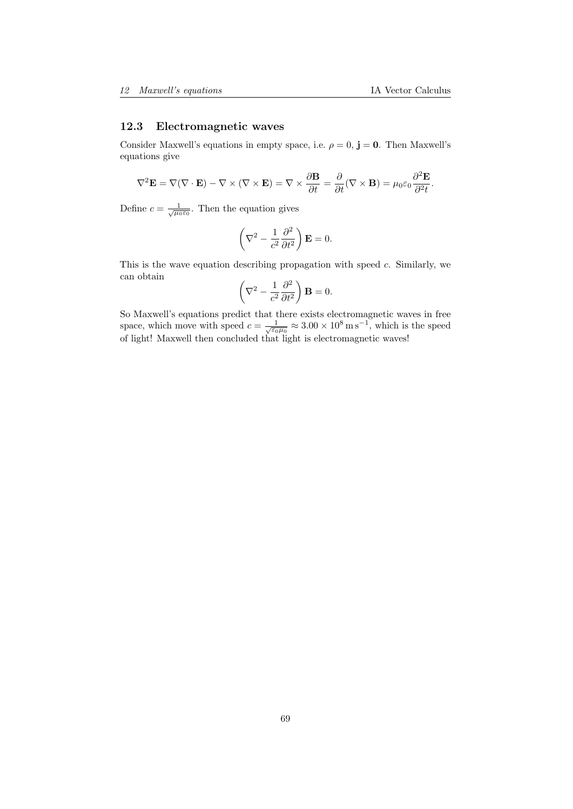## 12.3 Electromagnetic waves

Consider Maxwell's equations in empty space, i.e.  $\rho = 0$ ,  $\mathbf{j} = \mathbf{0}$ . Then Maxwell's equations give

$$
\nabla^2 \mathbf{E} = \nabla (\nabla \cdot \mathbf{E}) - \nabla \times (\nabla \times \mathbf{E}) = \nabla \times \frac{\partial \mathbf{B}}{\partial t} = \frac{\partial}{\partial t} (\nabla \times \mathbf{B}) = \mu_0 \varepsilon_0 \frac{\partial^2 \mathbf{E}}{\partial^2 t}.
$$

Define  $c = \frac{1}{\sqrt{\mu_0 \varepsilon_0}}$ . Then the equation gives

$$
\left(\nabla^2 - \frac{1}{c^2} \frac{\partial^2}{\partial t^2}\right) \mathbf{E} = 0.
$$

This is the wave equation describing propagation with speed c. Similarly, we can obtain

$$
\left(\nabla^2 - \frac{1}{c^2} \frac{\partial^2}{\partial t^2}\right) \mathbf{B} = 0.
$$

So Maxwell's equations predict that there exists electromagnetic waves in free space, which move with speed  $c = \frac{1}{\sqrt{\varepsilon_0 \mu_0}} \approx 3.00 \times 10^8 \,\mathrm{m\,s^{-1}}$ , which is the speed of light! Maxwell then concluded that light is electromagnetic waves!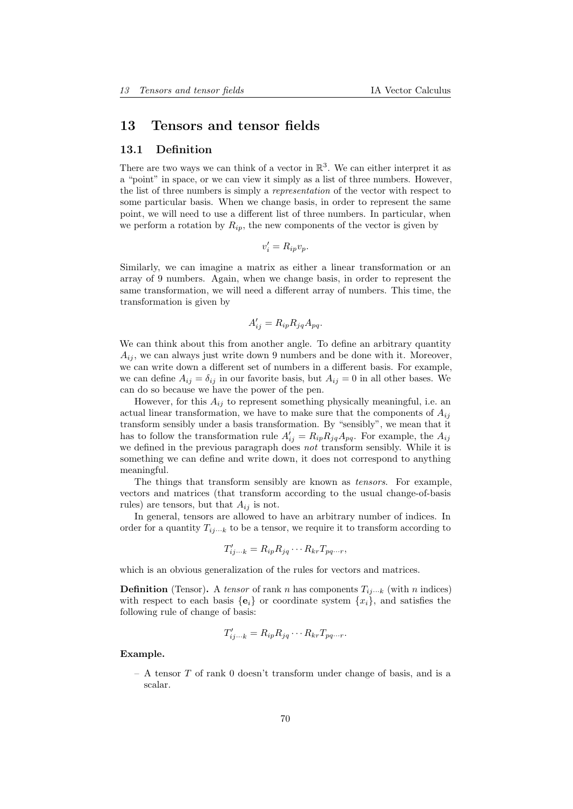# 13 Tensors and tensor fields

#### 13.1 Definition

There are two ways we can think of a vector in  $\mathbb{R}^3$ . We can either interpret it as a "point" in space, or we can view it simply as a list of three numbers. However, the list of three numbers is simply a representation of the vector with respect to some particular basis. When we change basis, in order to represent the same point, we will need to use a different list of three numbers. In particular, when we perform a rotation by  $R_{ip}$ , the new components of the vector is given by

$$
v_i' = R_{ip}v_p.
$$

Similarly, we can imagine a matrix as either a linear transformation or an array of 9 numbers. Again, when we change basis, in order to represent the same transformation, we will need a different array of numbers. This time, the transformation is given by

$$
A'_{ij} = R_{ip} R_{jq} A_{pq}.
$$

We can think about this from another angle. To define an arbitrary quantity  $A_{ij}$ , we can always just write down 9 numbers and be done with it. Moreover, we can write down a different set of numbers in a different basis. For example, we can define  $A_{ij} = \delta_{ij}$  in our favorite basis, but  $A_{ij} = 0$  in all other bases. We can do so because we have the power of the pen.

However, for this  $A_{ij}$  to represent something physically meaningful, i.e. an actual linear transformation, we have to make sure that the components of  $A_{ij}$ transform sensibly under a basis transformation. By "sensibly", we mean that it has to follow the transformation rule  $A'_{ij} = R_{ip}R_{jq}A_{pq}$ . For example, the  $A_{ij}$ we defined in the previous paragraph does not transform sensibly. While it is something we can define and write down, it does not correspond to anything meaningful.

The things that transform sensibly are known as tensors. For example, vectors and matrices (that transform according to the usual change-of-basis rules) are tensors, but that  $A_{ij}$  is not.

In general, tensors are allowed to have an arbitrary number of indices. In order for a quantity  $T_{ij\cdots k}$  to be a tensor, we require it to transform according to

$$
T'_{ij\cdots k} = R_{ip} R_{jq} \cdots R_{kr} T_{pq\cdots r},
$$

which is an obvious generalization of the rules for vectors and matrices.

**Definition** (Tensor). A tensor of rank n has components  $T_{ij\cdots k}$  (with n indices) with respect to each basis  $\{e_i\}$  or coordinate system  $\{x_i\}$ , and satisfies the following rule of change of basis:

$$
T'_{ij\cdots k} = R_{ip} R_{jq} \cdots R_{kr} T_{pq\cdots r}.
$$

Example.

 $-$  A tensor  $T$  of rank 0 doesn't transform under change of basis, and is a scalar.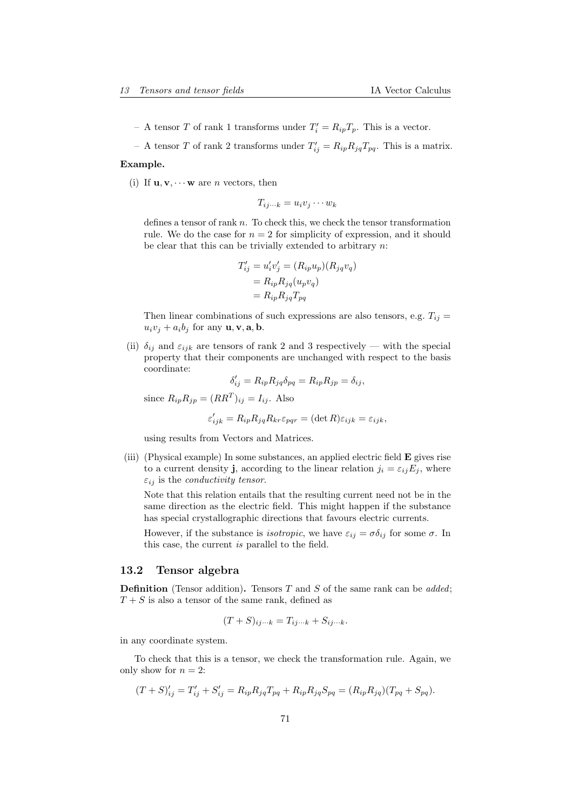- A tensor T of rank 1 transforms under  $T_i' = R_{ip}T_p$ . This is a vector.
- A tensor T of rank 2 transforms under  $T'_{ij} = R_{ip} R_{jq} T_{pq}$ . This is a matrix.

#### Example.

(i) If  $\mathbf{u}, \mathbf{v}, \cdots \mathbf{w}$  are *n* vectors, then

$$
T_{ij\cdots k} = u_i v_j \cdots w_k
$$

defines a tensor of rank  $n$ . To check this, we check the tensor transformation rule. We do the case for  $n = 2$  for simplicity of expression, and it should be clear that this can be trivially extended to arbitrary  $n$ :

$$
T'_{ij} = u'_i v'_j = (R_{ip} u_p)(R_{jq} v_q)
$$
  
=  $R_{ip} R_{jq}(u_p v_q)$   
=  $R_{ip} R_{jq} T_{pq}$ 

Then linear combinations of such expressions are also tensors, e.g.  $T_{ij}$  =  $u_i v_j + a_i b_j$  for any  $\mathbf{u}, \mathbf{v}, \mathbf{a}, \mathbf{b}$ .

(ii)  $\delta_{ij}$  and  $\varepsilon_{ijk}$  are tensors of rank 2 and 3 respectively — with the special property that their components are unchanged with respect to the basis coordinate:

$$
\delta'_{ij} = R_{ip} R_{jq} \delta_{pq} = R_{ip} R_{jp} = \delta_{ij},
$$

since  $R_{ip}R_{jp} = (RR^T)_{ij} = I_{ij}$ . Also

$$
\varepsilon'_{ijk} = R_{ip} R_{jq} R_{kr} \varepsilon_{pqr} = (\det R) \varepsilon_{ijk} = \varepsilon_{ijk},
$$

using results from Vectors and Matrices.

(iii) (Physical example) In some substances, an applied electric field E gives rise to a current density **j**, according to the linear relation  $j_i = \varepsilon_{ij} E_j$ , where  $\varepsilon_{ij}$  is the *conductivity tensor*.

Note that this relation entails that the resulting current need not be in the same direction as the electric field. This might happen if the substance has special crystallographic directions that favours electric currents.

However, if the substance is *isotropic*, we have  $\varepsilon_{ij} = \sigma \delta_{ij}$  for some  $\sigma$ . In this case, the current is parallel to the field.

#### 13.2 Tensor algebra

**Definition** (Tensor addition). Tensors  $T$  and  $S$  of the same rank can be *added*;  $T + S$  is also a tensor of the same rank, defined as

$$
(T + S)_{ij\cdots k} = T_{ij\cdots k} + S_{ij\cdots k}.
$$

in any coordinate system.

To check that this is a tensor, we check the transformation rule. Again, we only show for  $n = 2$ :

$$
(T + S)'_{ij} = T'_{ij} + S'_{ij} = R_{ip}R_{jq}T_{pq} + R_{ip}R_{jq}S_{pq} = (R_{ip}R_{jq})(T_{pq} + S_{pq}).
$$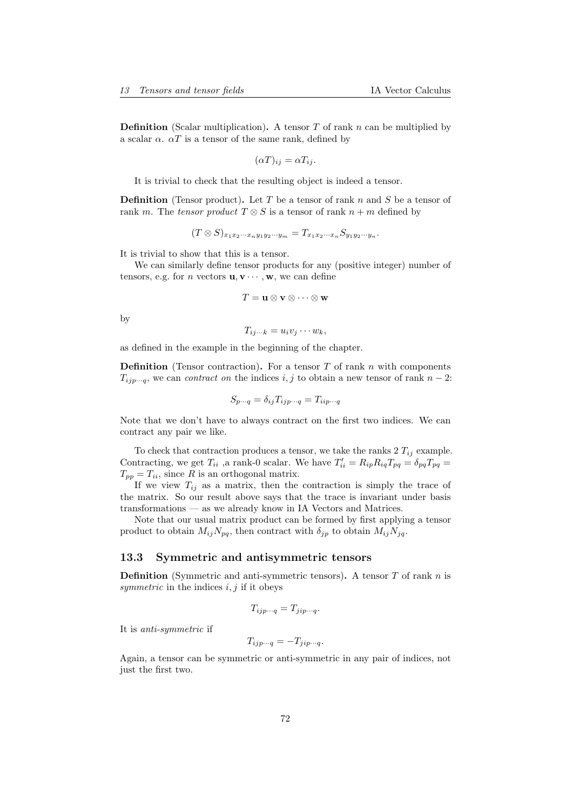**Definition** (Scalar multiplication). A tensor  $T$  of rank  $n$  can be multiplied by a scalar  $\alpha$ .  $\alpha T$  is a tensor of the same rank, defined by

$$
(\alpha T)_{ij} = \alpha T_{ij}.
$$

It is trivial to check that the resulting object is indeed a tensor.

**Definition** (Tensor product). Let T be a tensor of rank n and S be a tensor of rank m. The tensor product  $T \otimes S$  is a tensor of rank  $n + m$  defined by

$$
(T \otimes S)_{x_1x_2\cdots x_ny_1y_2\cdots y_m} = T_{x_1x_2\cdots x_n} S_{y_1y_2\cdots y_n}.
$$

It is trivial to show that this is a tensor.

We can similarly define tensor products for any (positive integer) number of tensors, e.g. for *n* vectors  $\mathbf{u}, \mathbf{v} \cdots, \mathbf{w}$ , we can define

$$
T = \mathbf{u} \otimes \mathbf{v} \otimes \cdots \otimes \mathbf{w}
$$

by

$$
T_{ij\cdots k}=u_iv_j\cdots w_k,
$$

as defined in the example in the beginning of the chapter.

**Definition** (Tensor contraction). For a tensor T of rank n with components  $T_{ijp\cdots q}$ , we can *contract on* the indices i, j to obtain a new tensor of rank  $n-2$ :

$$
S_{p\cdots q} = \delta_{ij} T_{ijp\cdots q} = T_{iip\cdots q}
$$

Note that we don't have to always contract on the first two indices. We can contract any pair we like.

To check that contraction produces a tensor, we take the ranks  $2 T_{ij}$  example. Contracting, we get  $T_{ii}$ , a rank-0 scalar. We have  $T'_{ii} = R_{ip}R_{iq}T_{pq} = \delta_{pq}T_{pq}$  $T_{pp} = T_{ii}$ , since R is an orthogonal matrix.

If we view  $T_{ij}$  as a matrix, then the contraction is simply the trace of the matrix. So our result above says that the trace is invariant under basis transformations — as we already know in IA Vectors and Matrices.

Note that our usual matrix product can be formed by first applying a tensor product to obtain  $M_{ij}N_{pq}$ , then contract with  $\delta_{jp}$  to obtain  $M_{ij}N_{jq}$ .

#### 13.3 Symmetric and antisymmetric tensors

**Definition** (Symmetric and anti-symmetric tensors). A tensor  $T$  of rank  $n$  is symmetric in the indices  $i, j$  if it obeys

$$
T_{ijp\cdots q} = T_{jip\cdots q}.
$$

It is anti-symmetric if

$$
T_{ijp\cdots q} = -T_{jip\cdots q}.
$$

Again, a tensor can be symmetric or anti-symmetric in any pair of indices, not just the first two.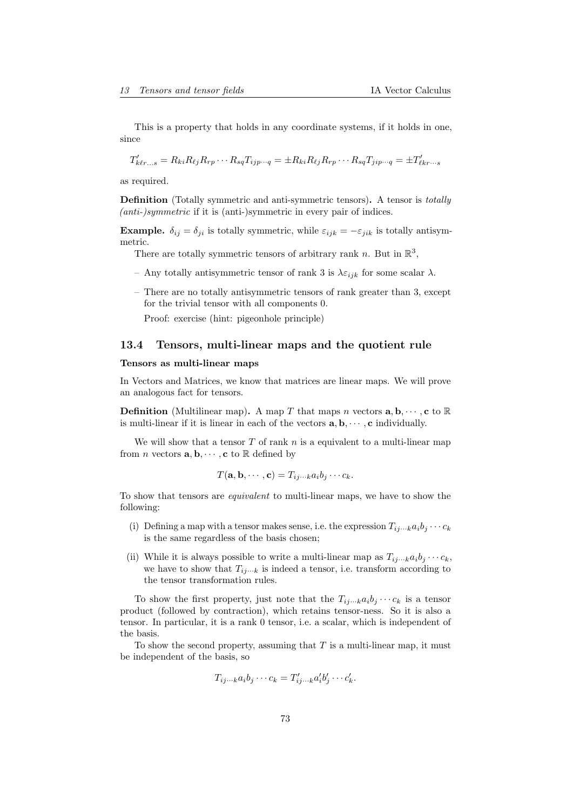This is a property that holds in any coordinate systems, if it holds in one, since

$$
T'_{k\ell r...s} = R_{ki}R_{\ell j}R_{rp}\cdots R_{sq}T_{ijp\cdots q} = \pm R_{ki}R_{\ell j}R_{rp}\cdots R_{sq}T_{jip\cdots q} = \pm T'_{\ell k r\cdots s}
$$

as required.

Definition (Totally symmetric and anti-symmetric tensors). A tensor is totally (anti-)symmetric if it is (anti-)symmetric in every pair of indices.

**Example.**  $\delta_{ij} = \delta_{ji}$  is totally symmetric, while  $\varepsilon_{ijk} = -\varepsilon_{jik}$  is totally antisymmetric.

There are totally symmetric tensors of arbitrary rank n. But in  $\mathbb{R}^3$ ,

- Any totally antisymmetric tensor of rank 3 is  $\lambda \varepsilon_{ijk}$  for some scalar  $\lambda$ .
- There are no totally antisymmetric tensors of rank greater than 3, except for the trivial tensor with all components 0.

Proof: exercise (hint: pigeonhole principle)

## 13.4 Tensors, multi-linear maps and the quotient rule

#### Tensors as multi-linear maps

In Vectors and Matrices, we know that matrices are linear maps. We will prove an analogous fact for tensors.

**Definition** (Multilinear map). A map T that maps n vectors  $a, b, \dots, c$  to R is multi-linear if it is linear in each of the vectors  $\mathbf{a}, \mathbf{b}, \cdots, \mathbf{c}$  individually.

We will show that a tensor  $T$  of rank  $n$  is a equivalent to a multi-linear map from *n* vectors  $\mathbf{a}, \mathbf{b}, \cdots, \mathbf{c}$  to  $\mathbb R$  defined by

$$
T(\mathbf{a},\mathbf{b},\cdots,\mathbf{c})=T_{ij\cdots k}a_ib_j\cdots c_k.
$$

To show that tensors are equivalent to multi-linear maps, we have to show the following:

- (i) Defining a map with a tensor makes sense, i.e. the expression  $T_{ij\cdots k}a_ib_j\cdots c_k$ is the same regardless of the basis chosen;
- (ii) While it is always possible to write a multi-linear map as  $T_{ij\cdots k}a_ib_j\cdots c_k$ , we have to show that  $T_{ij\cdots k}$  is indeed a tensor, i.e. transform according to the tensor transformation rules.

To show the first property, just note that the  $T_{ij\cdots k}a_ib_j\cdots c_k$  is a tensor product (followed by contraction), which retains tensor-ness. So it is also a tensor. In particular, it is a rank 0 tensor, i.e. a scalar, which is independent of the basis.

To show the second property, assuming that  $T$  is a multi-linear map, it must be independent of the basis, so

$$
T_{ij\cdots k}a_ib_j\cdots c_k=T'_{ij\cdots k}a'_ib'_j\cdots c'_k.
$$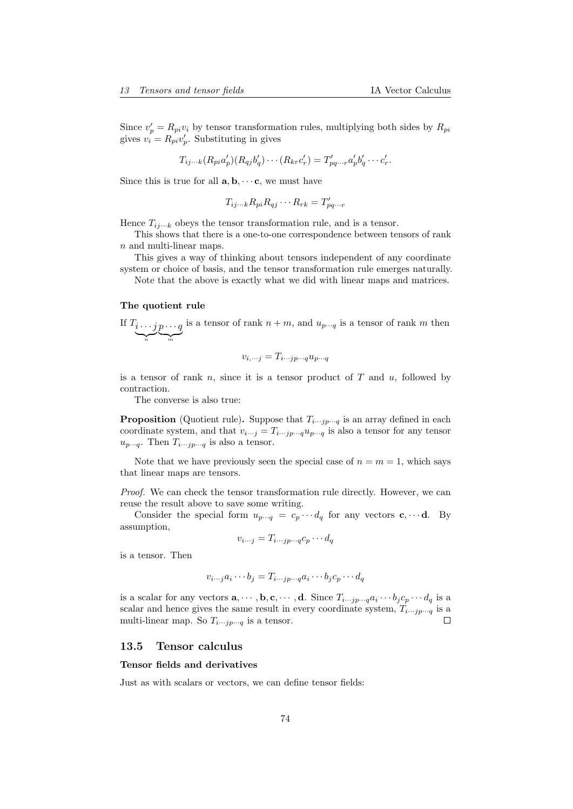Since  $v'_p = R_{pi}v_i$  by tensor transformation rules, multiplying both sides by  $R_{pi}$ gives  $v_i = R_{pi} v'_p$ . Substituting in gives

$$
T_{ij\cdots k}(R_{pi}a'_p)(R_{qj}b'_q)\cdots(R_{kr}c'_r)=T'_{pq\cdots r}a'_pb'_q\cdots c'_r.
$$

Since this is true for all  $\mathbf{a}, \mathbf{b}, \cdots$ **c**, we must have

$$
T_{ij\cdots k}R_{pi}R_{qj}\cdots R_{rk}=T'_{pq\cdots r}
$$

Hence  $T_{ij\cdots k}$  obeys the tensor transformation rule, and is a tensor.

This shows that there is a one-to-one correspondence between tensors of rank n and multi-linear maps.

This gives a way of thinking about tensors independent of any coordinate system or choice of basis, and the tensor transformation rule emerges naturally.

Note that the above is exactly what we did with linear maps and matrices.

#### The quotient rule

If 
$$
T_i \tildot j p \tildot q
$$
 is a tensor of rank  $n + m$ , and  $u_{p \cdots q}$  is a tensor of rank  $m$  then

$$
v_{i,\cdots j} = T_{i\cdots j p\cdots q} u_{p\cdots q}
$$

is a tensor of rank n, since it is a tensor product of  $T$  and  $u$ , followed by contraction.

The converse is also true:

**Proposition** (Quotient rule). Suppose that  $T_{i\cdots j p\cdots q}$  is an array defined in each coordinate system, and that  $v_{i\cdots j} = T_{i\cdots j}v_{j\cdots q}u_{p\cdots q}$  is also a tensor for any tensor  $u_{p\cdots q}$ . Then  $T_{i\cdots j p\cdots q}$  is also a tensor.

Note that we have previously seen the special case of  $n = m = 1$ , which says that linear maps are tensors.

Proof. We can check the tensor transformation rule directly. However, we can reuse the result above to save some writing.

Consider the special form  $u_{p\cdots q} = c_p \cdots d_q$  for any vectors  $c, \cdots d$ . By assumption,

$$
v_{i\cdots j} = T_{i\cdots j p\cdots q} c_p \cdots d_q
$$

is a tensor. Then

$$
v_{i\cdots j}a_i\cdots b_j = T_{i\cdots j p\cdots q}a_i\cdots b_j c_p\cdots d_q
$$

is a scalar for any vectors  $\mathbf{a}, \dots, \mathbf{b}, \mathbf{c}, \dots, \mathbf{d}$ . Since  $T_{i \dots j p \dots q} a_i \dots b_j c_p \dots d_q$  is a scalar and hence gives the same result in every coordinate system,  $T_{i\cdots j p\cdots q}$  is a multi-linear map. So  $T_{i\cdots j p\cdots q}$  is a tensor.

#### 13.5 Tensor calculus

#### Tensor fields and derivatives

Just as with scalars or vectors, we can define tensor fields: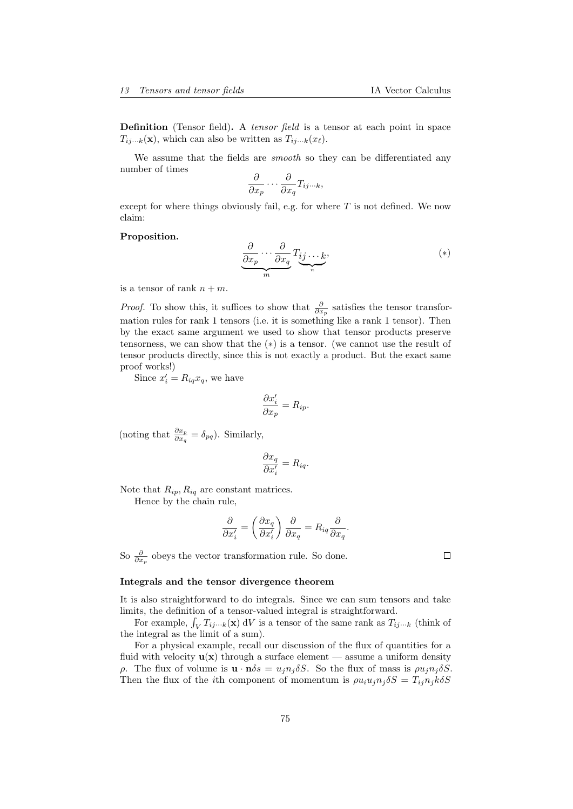Definition (Tensor field). A tensor field is a tensor at each point in space  $T_{ij\cdots k}(\mathbf{x})$ , which can also be written as  $T_{ij\cdots k}(x_\ell)$ .

We assume that the fields are *smooth* so they can be differentiated any number of times

$$
\frac{\partial}{\partial x_p} \cdots \frac{\partial}{\partial x_q} T_{ij\cdots k},
$$

except for where things obviously fail, e.g. for where  $T$  is not defined. We now claim:

#### Proposition.

$$
\underbrace{\frac{\partial}{\partial x_p} \cdots \frac{\partial}{\partial x_q}}_{m} T_{\underbrace{\mathbf{i} \mathbf{j} \cdots \mathbf{k}}_{n}}, \tag{*}
$$

is a tensor of rank  $n + m$ .

*Proof.* To show this, it suffices to show that  $\frac{\partial}{\partial x_p}$  satisfies the tensor transformation rules for rank 1 tensors (i.e. it is something like a rank 1 tensor). Then by the exact same argument we used to show that tensor products preserve tensorness, we can show that the (∗) is a tensor. (we cannot use the result of tensor products directly, since this is not exactly a product. But the exact same proof works!)

Since  $x'_i = R_{iq} x_q$ , we have

$$
\frac{\partial x_i'}{\partial x_p} = R_{ip}.
$$

(noting that  $\frac{\partial x_p}{\partial x_q} = \delta_{pq}$ ). Similarly,

$$
\frac{\partial x_q}{\partial x'_i} = R_{iq}.
$$

Note that  $R_{ip}, R_{iq}$  are constant matrices.

Hence by the chain rule,

$$
\frac{\partial}{\partial x'_i} = \left(\frac{\partial x_q}{\partial x'_i}\right) \frac{\partial}{\partial x_q} = R_{iq} \frac{\partial}{\partial x_q}.
$$

So  $\frac{\partial}{\partial x_p}$  obeys the vector transformation rule. So done.

#### Integrals and the tensor divergence theorem

It is also straightforward to do integrals. Since we can sum tensors and take limits, the definition of a tensor-valued integral is straightforward.

For example,  $\int_V T_{ij\cdots k}(\mathbf{x}) dV$  is a tensor of the same rank as  $T_{ij\cdots k}$  (think of the integral as the limit of a sum).

For a physical example, recall our discussion of the flux of quantities for a fluid with velocity  $\mathbf{u}(\mathbf{x})$  through a surface element — assume a uniform density ρ. The flux of volume is  $\mathbf{u} \cdot \mathbf{n} \delta s = u_j n_j \delta S$ . So the flux of mass is  $\rho u_j n_j \delta S$ . Then the flux of the *i*th component of momentum is  $\rho u_i u_j n_j \delta S = T_{ij} n_j k \delta S$ 

 $\Box$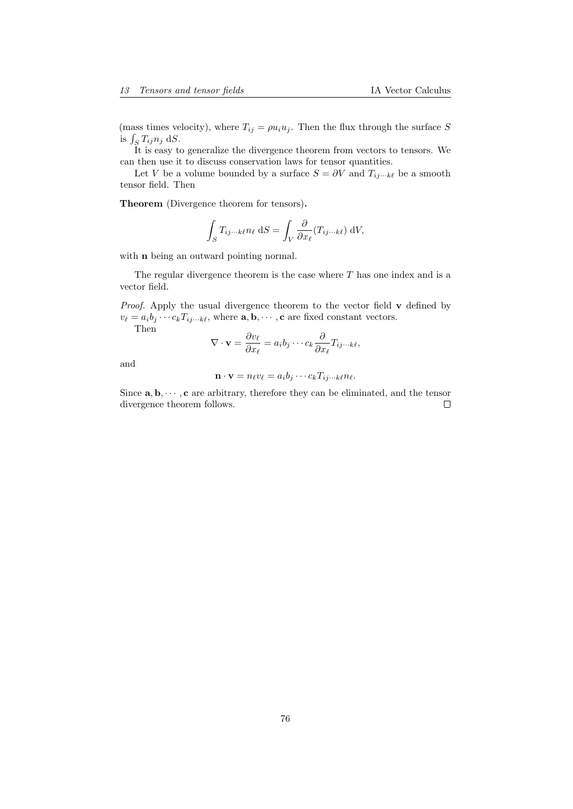(mass times velocity), where  $T_{ij} = \rho u_i u_j$ . Then the flux through the surface S is  $\int_S T_{ij} n_j \, \mathrm{d}S$ .

It is easy to generalize the divergence theorem from vectors to tensors. We can then use it to discuss conservation laws for tensor quantities.

Let V be a volume bounded by a surface  $S = \partial V$  and  $T_{ij\cdots k\ell}$  be a smooth tensor field. Then

Theorem (Divergence theorem for tensors).

$$
\int_{S} T_{ij\cdots k\ell} n_{\ell} \, \mathrm{d}S = \int_{V} \frac{\partial}{\partial x_{\ell}} (T_{ij\cdots k\ell}) \, \mathrm{d}V,
$$

with **n** being an outward pointing normal.

The regular divergence theorem is the case where  $T$  has one index and is a vector field.

Proof. Apply the usual divergence theorem to the vector field v defined by  $v_{\ell} = a_i b_j \cdots c_k T_{ij\cdots k\ell}$ , where  $\mathbf{a}, \mathbf{b}, \cdots, \mathbf{c}$  are fixed constant vectors. Then

$$
\nabla \cdot \mathbf{v} = \frac{\partial v_{\ell}}{\partial x_{\ell}} = a_{i}b_{j} \cdots c_{k} \frac{\partial}{\partial x_{\ell}} T_{ij \cdots k\ell},
$$

and

$$
\mathbf{n} \cdot \mathbf{v} = n_{\ell} v_{\ell} = a_i b_j \cdots c_k T_{ij \cdots k\ell} n_{\ell}.
$$

Since  $\mathbf{a}, \mathbf{b}, \cdots, \mathbf{c}$  are arbitrary, therefore they can be eliminated, and the tensor divergence theorem follows.  $\Box$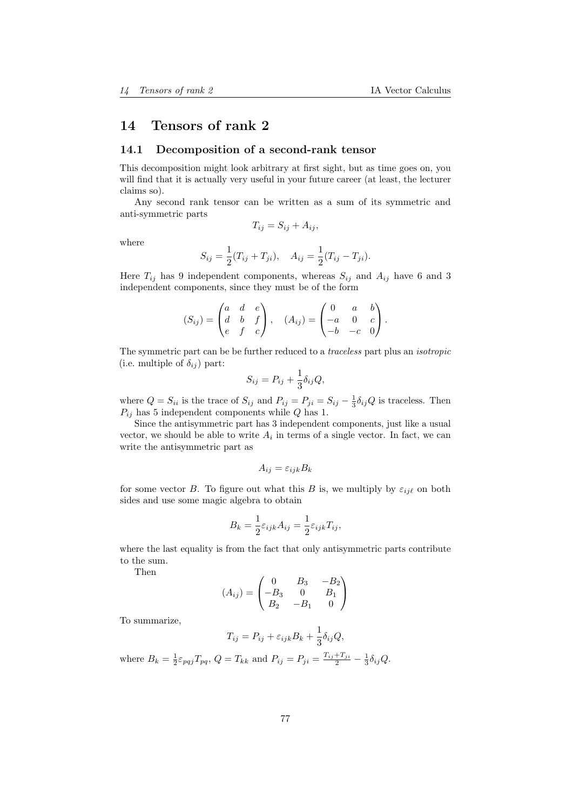# 14 Tensors of rank 2

## 14.1 Decomposition of a second-rank tensor

This decomposition might look arbitrary at first sight, but as time goes on, you will find that it is actually very useful in your future career (at least, the lecturer claims so).

Any second rank tensor can be written as a sum of its symmetric and anti-symmetric parts

$$
T_{ij} = S_{ij} + A_{ij},
$$

where

$$
S_{ij} = \frac{1}{2}(T_{ij} + T_{ji}), \quad A_{ij} = \frac{1}{2}(T_{ij} - T_{ji}).
$$

Here  $T_{ij}$  has 9 independent components, whereas  $S_{ij}$  and  $A_{ij}$  have 6 and 3 independent components, since they must be of the form

$$
(S_{ij}) = \begin{pmatrix} a & d & e \\ d & b & f \\ e & f & c \end{pmatrix}, \quad (A_{ij}) = \begin{pmatrix} 0 & a & b \\ -a & 0 & c \\ -b & -c & 0 \end{pmatrix}.
$$

The symmetric part can be be further reduced to a traceless part plus an isotropic (i.e. multiple of  $\delta_{ij}$ ) part:

$$
S_{ij} = P_{ij} + \frac{1}{3} \delta_{ij} Q,
$$

where  $Q = S_{ii}$  is the trace of  $S_{ij}$  and  $P_{ij} = P_{ji} = S_{ij} - \frac{1}{3} \delta_{ij} Q$  is traceless. Then  $P_{ij}$  has 5 independent components while Q has 1.

Since the antisymmetric part has 3 independent components, just like a usual vector, we should be able to write  $A_i$  in terms of a single vector. In fact, we can write the antisymmetric part as

$$
A_{ij} = \varepsilon_{ijk} B_k
$$

for some vector B. To figure out what this B is, we multiply by  $\varepsilon_{ii\ell}$  on both sides and use some magic algebra to obtain

$$
B_k = \frac{1}{2} \varepsilon_{ijk} A_{ij} = \frac{1}{2} \varepsilon_{ijk} T_{ij},
$$

where the last equality is from the fact that only antisymmetric parts contribute to the sum.

Then

$$
(A_{ij}) = \begin{pmatrix} 0 & B_3 & -B_2 \\ -B_3 & 0 & B_1 \\ B_2 & -B_1 & 0 \end{pmatrix}
$$

To summarize,

$$
T_{ij} = P_{ij} + \varepsilon_{ijk} B_k + \frac{1}{3} \delta_{ij} Q,
$$

where  $B_k = \frac{1}{2} \varepsilon_{pqj} T_{pq}, Q = T_{kk}$  and  $P_{ij} = P_{ji} = \frac{T_{ij} + T_{ji}}{2} - \frac{1}{3} \delta_{ij} Q$ .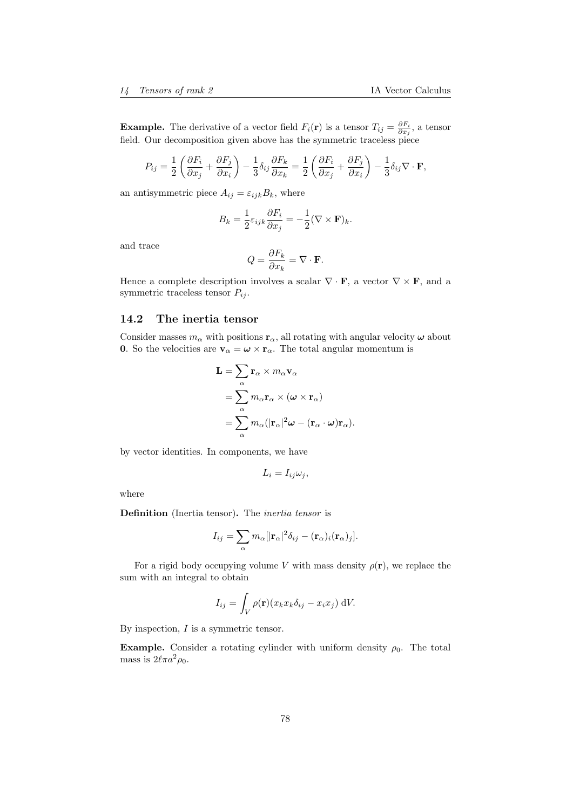**Example.** The derivative of a vector field  $F_i(\mathbf{r})$  is a tensor  $T_{ij} = \frac{\partial F_i}{\partial x_j}$ , a tensor field. Our decomposition given above has the symmetric traceless piece

$$
P_{ij} = \frac{1}{2} \left( \frac{\partial F_i}{\partial x_j} + \frac{\partial F_j}{\partial x_i} \right) - \frac{1}{3} \delta_{ij} \frac{\partial F_k}{\partial x_k} = \frac{1}{2} \left( \frac{\partial F_i}{\partial x_j} + \frac{\partial F_j}{\partial x_i} \right) - \frac{1}{3} \delta_{ij} \nabla \cdot \mathbf{F},
$$

an antisymmetric piece  $A_{ij} = \varepsilon_{ijk} B_k$ , where

$$
B_k = \frac{1}{2} \varepsilon_{ijk} \frac{\partial F_i}{\partial x_j} = -\frac{1}{2} (\nabla \times \mathbf{F})_k.
$$

and trace

$$
Q = \frac{\partial F_k}{\partial x_k} = \nabla \cdot \mathbf{F}.
$$

Hence a complete description involves a scalar  $\nabla \cdot \mathbf{F}$ , a vector  $\nabla \times \mathbf{F}$ , and a symmetric traceless tensor  $P_{ij}$ .

### 14.2 The inertia tensor

Consider masses  $m_\alpha$  with positions  $\mathbf{r}_\alpha$ , all rotating with angular velocity  $\boldsymbol{\omega}$  about **0.** So the velocities are  $\mathbf{v}_{\alpha} = \boldsymbol{\omega} \times \mathbf{r}_{\alpha}$ . The total angular momentum is

$$
\mathbf{L} = \sum_{\alpha} \mathbf{r}_{\alpha} \times m_{\alpha} \mathbf{v}_{\alpha}
$$
  
= 
$$
\sum_{\alpha} m_{\alpha} \mathbf{r}_{\alpha} \times (\boldsymbol{\omega} \times \mathbf{r}_{\alpha})
$$
  
= 
$$
\sum_{\alpha} m_{\alpha} (|\mathbf{r}_{\alpha}|^{2} \boldsymbol{\omega} - (\mathbf{r}_{\alpha} \cdot \boldsymbol{\omega}) \mathbf{r}_{\alpha}).
$$

by vector identities. In components, we have

$$
L_i = I_{ij}\omega_j,
$$

where

Definition (Inertia tensor). The inertia tensor is

$$
I_{ij} = \sum_{\alpha} m_{\alpha} [|\mathbf{r}_{\alpha}|^{2} \delta_{ij} - (\mathbf{r}_{\alpha})_{i} (\mathbf{r}_{\alpha})_{j}].
$$

For a rigid body occupying volume V with mass density  $\rho(\mathbf{r})$ , we replace the sum with an integral to obtain

$$
I_{ij} = \int_V \rho(\mathbf{r})(x_k x_k \delta_{ij} - x_i x_j) \, dV.
$$

By inspection,  $I$  is a symmetric tensor.

Example. Consider a rotating cylinder with uniform density  $\rho_0$ . The total mass is  $2\ell\pi a^2\rho_0$ .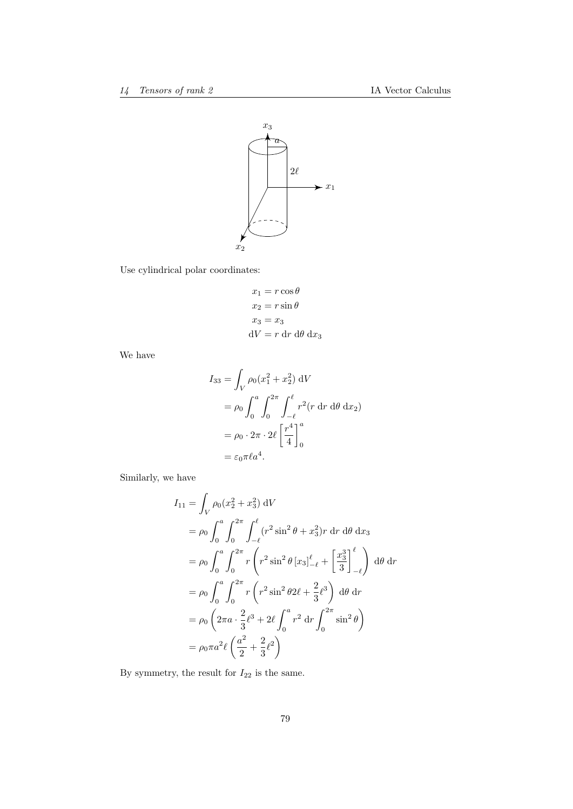

Use cylindrical polar coordinates:

$$
x_1 = r \cos \theta
$$
  
\n
$$
x_2 = r \sin \theta
$$
  
\n
$$
x_3 = x_3
$$
  
\n
$$
dV = r dr d\theta dx_3
$$

We have

$$
I_{33} = \int_V \rho_0 (x_1^2 + x_2^2) dV
$$
  
=  $\rho_0 \int_0^a \int_0^{2\pi} \int_{-\ell}^{\ell} r^2 (r dr d\theta dx_2)$   
=  $\rho_0 \cdot 2\pi \cdot 2\ell \left[\frac{r^4}{4}\right]_0^a$   
=  $\varepsilon_0 \pi \ell a^4$ .

Similarly, we have

$$
I_{11} = \int_{V} \rho_0(x_2^2 + x_3^2) dV
$$
  
\n
$$
= \rho_0 \int_0^a \int_0^{2\pi} \int_{-\ell}^{\ell} (r^2 \sin^2 \theta + x_3^2) r dr d\theta dx_3
$$
  
\n
$$
= \rho_0 \int_0^a \int_0^{2\pi} r \left( r^2 \sin^2 \theta [x_3]_{-\ell}^{\ell} + \left[ \frac{x_3^3}{3} \right]_{-\ell}^{\ell} \right) d\theta dr
$$
  
\n
$$
= \rho_0 \int_0^a \int_0^{2\pi} r \left( r^2 \sin^2 \theta 2\ell + \frac{2}{3} \ell^3 \right) d\theta dr
$$
  
\n
$$
= \rho_0 \left( 2\pi a \cdot \frac{2}{3} \ell^3 + 2\ell \int_0^a r^2 dr \int_0^{2\pi} \sin^2 \theta \right)
$$
  
\n
$$
= \rho_0 \pi a^2 \ell \left( \frac{a^2}{2} + \frac{2}{3} \ell^2 \right)
$$

By symmetry, the result for  ${\cal I}_{22}$  is the same.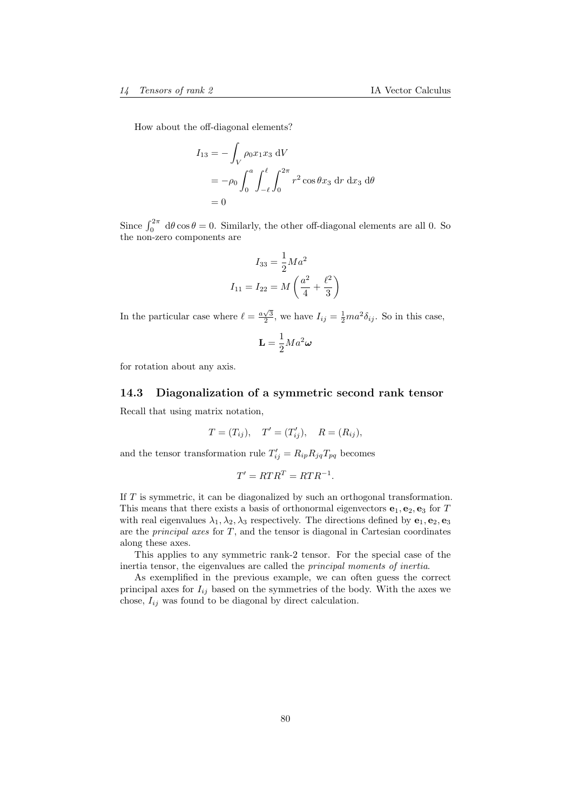How about the off-diagonal elements?

$$
I_{13} = -\int_{V} \rho_0 x_1 x_3 \, dV
$$
  
=  $-\rho_0 \int_0^a \int_{-\ell}^{\ell} \int_0^{2\pi} r^2 \cos \theta x_3 \, dr \, dx_3 \, d\theta$   
= 0

Since  $\int_0^{2\pi} d\theta \cos \theta = 0$ . Similarly, the other off-diagonal elements are all 0. So the non-zero components are

$$
I_{33} = \frac{1}{2} Ma^2
$$

$$
I_{11} = I_{22} = M\left(\frac{a^2}{4} + \frac{\ell^2}{3}\right)
$$

In the particular case where  $\ell = \frac{a\sqrt{3}}{2}$ , we have  $I_{ij} = \frac{1}{2}ma^2\delta_{ij}$ . So in this case,

$$
\mathbf{L} = \frac{1}{2} Ma^2 \boldsymbol{\omega}
$$

for rotation about any axis.

# 14.3 Diagonalization of a symmetric second rank tensor Recall that using matrix notation,

$$
T = (T_{ij}), \quad T' = (T'_{ij}), \quad R = (R_{ij}),
$$

and the tensor transformation rule  $T'_{ij} = R_{ip} R_{jq} T_{pq}$  becomes

$$
T' = RTR^T = RTR^{-1}.
$$

If T is symmetric, it can be diagonalized by such an orthogonal transformation. This means that there exists a basis of orthonormal eigenvectors  $e_1, e_2, e_3$  for T with real eigenvalues  $\lambda_1, \lambda_2, \lambda_3$  respectively. The directions defined by  $e_1, e_2, e_3$ are the *principal axes* for  $T$ , and the tensor is diagonal in Cartesian coordinates along these axes.

This applies to any symmetric rank-2 tensor. For the special case of the inertia tensor, the eigenvalues are called the principal moments of inertia.

As exemplified in the previous example, we can often guess the correct principal axes for  $I_{ij}$  based on the symmetries of the body. With the axes we chose,  $I_{ij}$  was found to be diagonal by direct calculation.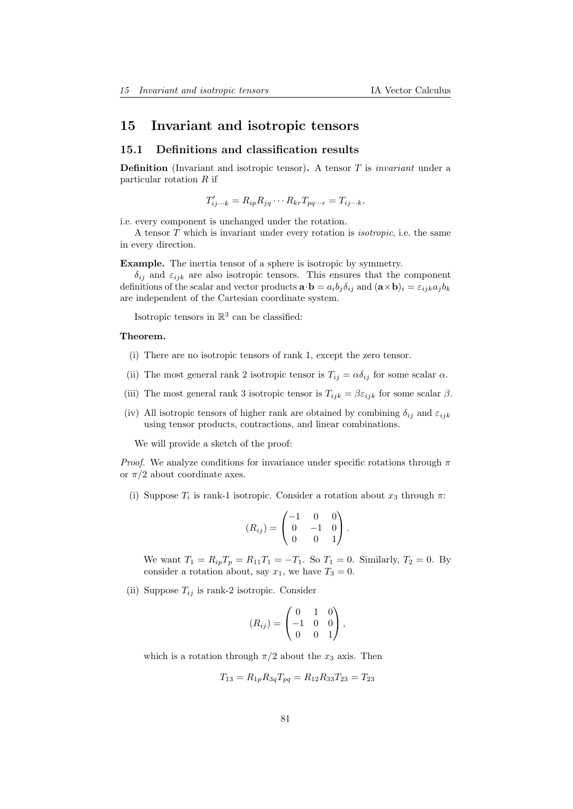## 15 Invariant and isotropic tensors

### 15.1 Definitions and classification results

**Definition** (Invariant and isotropic tensor). A tensor  $T$  is *invariant* under a particular rotation  $R$  if

 $T'_{ij\cdots k} = R_{ip} R_{jq} \cdots R_{kr} T_{pq\cdots r} = T_{ij\cdots k},$ 

i.e. every component is unchanged under the rotation.

A tensor T which is invariant under every rotation is isotropic, i.e. the same in every direction.

Example. The inertia tensor of a sphere is isotropic by symmetry.

 $\delta_{ij}$  and  $\varepsilon_{ijk}$  are also isotropic tensors. This ensures that the component definitions of the scalar and vector products  $\mathbf{a} \cdot \mathbf{b} = a_i b_j \delta_{ij}$  and  $(\mathbf{a} \times \mathbf{b})_i = \varepsilon_{ijk} a_j b_k$ are independent of the Cartesian coordinate system.

Isotropic tensors in  $\mathbb{R}^3$  can be classified:

#### Theorem.

- (i) There are no isotropic tensors of rank 1, except the zero tensor.
- (ii) The most general rank 2 isotropic tensor is  $T_{ij} = \alpha \delta_{ij}$  for some scalar  $\alpha$ .
- (iii) The most general rank 3 isotropic tensor is  $T_{ijk} = \beta \varepsilon_{ijk}$  for some scalar  $\beta$ .
- (iv) All isotropic tensors of higher rank are obtained by combining  $\delta_{ij}$  and  $\varepsilon_{ijk}$ using tensor products, contractions, and linear combinations.

We will provide a sketch of the proof:

*Proof.* We analyze conditions for invariance under specific rotations through  $\pi$ or  $\pi/2$  about coordinate axes.

(i) Suppose  $T_i$  is rank-1 isotropic. Consider a rotation about  $x_3$  through  $\pi$ :

$$
(R_{ij}) = \begin{pmatrix} -1 & 0 & 0 \\ 0 & -1 & 0 \\ 0 & 0 & 1 \end{pmatrix}.
$$

We want  $T_1 = R_{ip}T_p = R_{11}T_1 = -T_1$ . So  $T_1 = 0$ . Similarly,  $T_2 = 0$ . By consider a rotation about, say  $x_1$ , we have  $T_3 = 0$ .

(ii) Suppose  $T_{ij}$  is rank-2 isotropic. Consider

$$
(R_{ij}) = \begin{pmatrix} 0 & 1 & 0 \\ -1 & 0 & 0 \\ 0 & 0 & 1 \end{pmatrix},
$$

which is a rotation through  $\pi/2$  about the  $x_3$  axis. Then

$$
T_{13} = R_{1p} R_{3q} T_{pq} = R_{12} R_{33} T_{23} = T_{23}
$$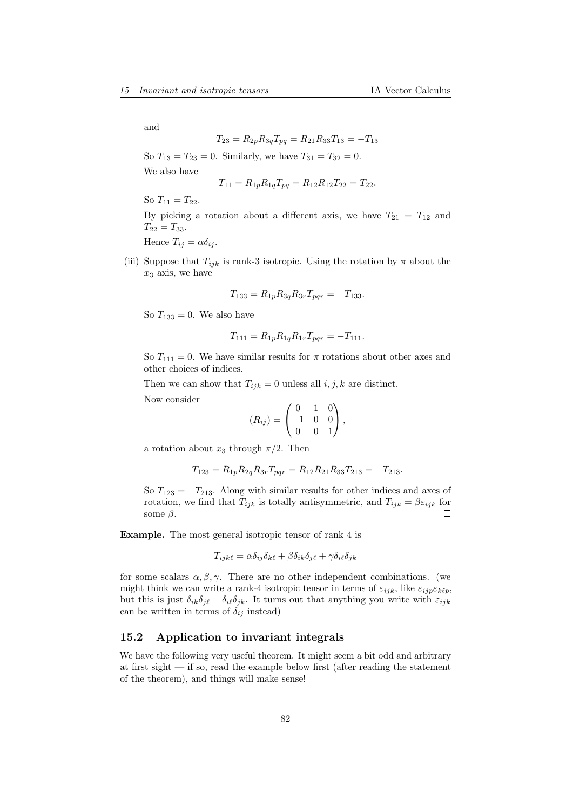and

$$
T_{23} = R_{2p} R_{3q} T_{pq} = R_{21} R_{33} T_{13} = -T_{13}
$$

So  $T_{13} = T_{23} = 0$ . Similarly, we have  $T_{31} = T_{32} = 0$ .

We also have

$$
T_{11} = R_{1p} R_{1q} T_{pq} = R_{12} R_{12} T_{22} = T_{22}.
$$

So  $T_{11} = T_{22}$ .

By picking a rotation about a different axis, we have  $T_{21} = T_{12}$  and  $T_{22} = T_{33}.$ 

Hence  $T_{ij} = \alpha \delta_{ij}$ .

(iii) Suppose that  $T_{ijk}$  is rank-3 isotropic. Using the rotation by  $\pi$  about the  $x_3$  axis, we have

$$
T_{133} = R_{1p} R_{3q} R_{3r} T_{pqr} = -T_{133}.
$$

So  $T_{133} = 0$ . We also have

$$
T_{111} = R_{1p} R_{1q} R_{1r} T_{pqr} = -T_{111}.
$$

So  $T_{111} = 0$ . We have similar results for  $\pi$  rotations about other axes and other choices of indices.

Then we can show that  $T_{ijk} = 0$  unless all  $i, j, k$  are distinct.

Now consider

$$
(R_{ij}) = \begin{pmatrix} 0 & 1 & 0 \\ -1 & 0 & 0 \\ 0 & 0 & 1 \end{pmatrix},
$$

a rotation about  $x_3$  through  $\pi/2$ . Then

$$
T_{123} = R_{1p} R_{2q} R_{3r} T_{pqr} = R_{12} R_{21} R_{33} T_{213} = -T_{213}.
$$

So  $T_{123} = -T_{213}$ . Along with similar results for other indices and axes of rotation, we find that  $T_{ijk}$  is totally antisymmetric, and  $T_{ijk} = \beta \varepsilon_{ijk}$  for some  $\beta$ .  $\Box$ 

Example. The most general isotropic tensor of rank 4 is

$$
T_{ijk\ell} = \alpha \delta_{ij} \delta_{k\ell} + \beta \delta_{ik} \delta_{j\ell} + \gamma \delta_{i\ell} \delta_{jk}
$$

for some scalars  $\alpha, \beta, \gamma$ . There are no other independent combinations. (we might think we can write a rank-4 isotropic tensor in terms of  $\varepsilon_{ijk}$ , like  $\varepsilon_{ijp}\varepsilon_{k\ell p}$ , but this is just  $\delta_{ik}\delta_{j\ell} - \delta_{i\ell}\delta_{jk}$ . It turns out that anything you write with  $\varepsilon_{ijk}$ can be written in terms of  $\delta_{ij}$  instead)

## 15.2 Application to invariant integrals

We have the following very useful theorem. It might seem a bit odd and arbitrary at first sight — if so, read the example below first (after reading the statement of the theorem), and things will make sense!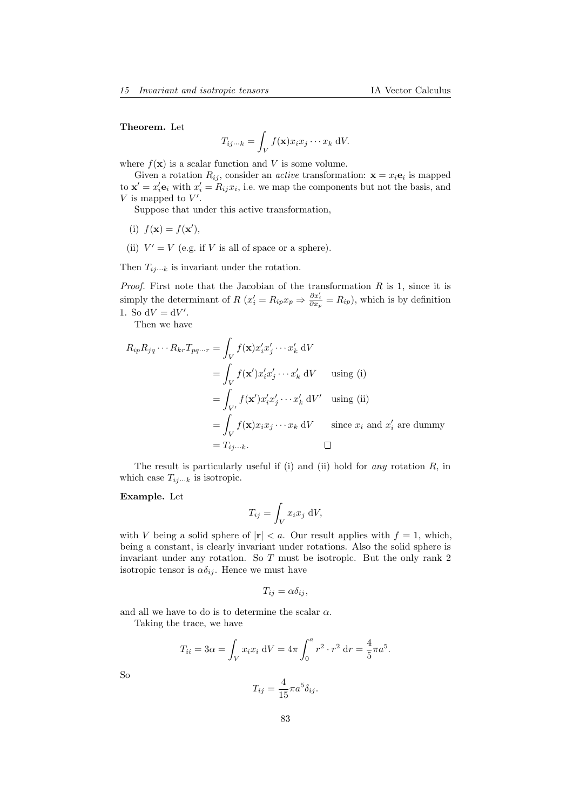#### Theorem. Let

$$
T_{ij\cdots k} = \int_V f(\mathbf{x}) x_i x_j \cdots x_k \, \mathrm{d}V.
$$

where  $f(\mathbf{x})$  is a scalar function and V is some volume.

Given a rotation  $R_{ij}$ , consider an *active* transformation:  $\mathbf{x} = x_i \mathbf{e}_i$  is mapped to  $\mathbf{x}' = x'_i \mathbf{e}_i$  with  $x'_i = R_{ij} x_i$ , i.e. we map the components but not the basis, and  $V$  is mapped to  $V'$ .

Suppose that under this active transformation,

- (i)  $f(\mathbf{x}) = f(\mathbf{x}'),$
- (ii)  $V' = V$  (e.g. if V is all of space or a sphere).

Then  $T_{ij\cdots k}$  is invariant under the rotation.

*Proof.* First note that the Jacobian of the transformation  $R$  is 1, since it is simply the determinant of  $R(x'_i = R_{ip}x_p \Rightarrow \frac{\partial x'_i}{\partial x_p} = R_{ip})$ , which is by definition 1. So  $dV = dV'$ .

Then we have

$$
R_{ip}R_{jq}\cdots R_{kr}T_{pq\cdots r} = \int_{V} f(\mathbf{x})x'_{i}x'_{j}\cdots x'_{k} dV
$$
  
\n
$$
= \int_{V} f(\mathbf{x}')x'_{i}x'_{j}\cdots x'_{k} dV \quad \text{using (i)}
$$
  
\n
$$
= \int_{V'} f(\mathbf{x}')x'_{i}x'_{j}\cdots x'_{k} dV' \quad \text{using (ii)}
$$
  
\n
$$
= \int_{V} f(\mathbf{x})x_{i}x_{j}\cdots x_{k} dV \quad \text{since } x_{i} \text{ and } x'_{i} \text{ are dummy}
$$
  
\n
$$
= T_{ij\cdots k}.
$$

The result is particularly useful if (i) and (ii) hold for *any* rotation  $R$ , in which case  $T_{ij\cdots k}$  is isotropic.

#### Example. Let

$$
T_{ij} = \int_V x_i x_j \, \mathrm{d}V,
$$

with V being a solid sphere of  $|r| < a$ . Our result applies with  $f = 1$ , which, being a constant, is clearly invariant under rotations. Also the solid sphere is invariant under any rotation. So T must be isotropic. But the only rank 2 isotropic tensor is  $\alpha \delta_{ij}$ . Hence we must have

$$
T_{ij} = \alpha \delta_{ij},
$$

and all we have to do is to determine the scalar  $\alpha$ . Taking the trace, we have

$$
T_{ii} = 3\alpha = \int_{V} x_i x_i \, dV = 4\pi \int_0^a r^2 \cdot r^2 \, dr = \frac{4}{5} \pi a^5.
$$

So

$$
T_{ij} = \frac{4}{15} \pi a^5 \delta_{ij}.
$$